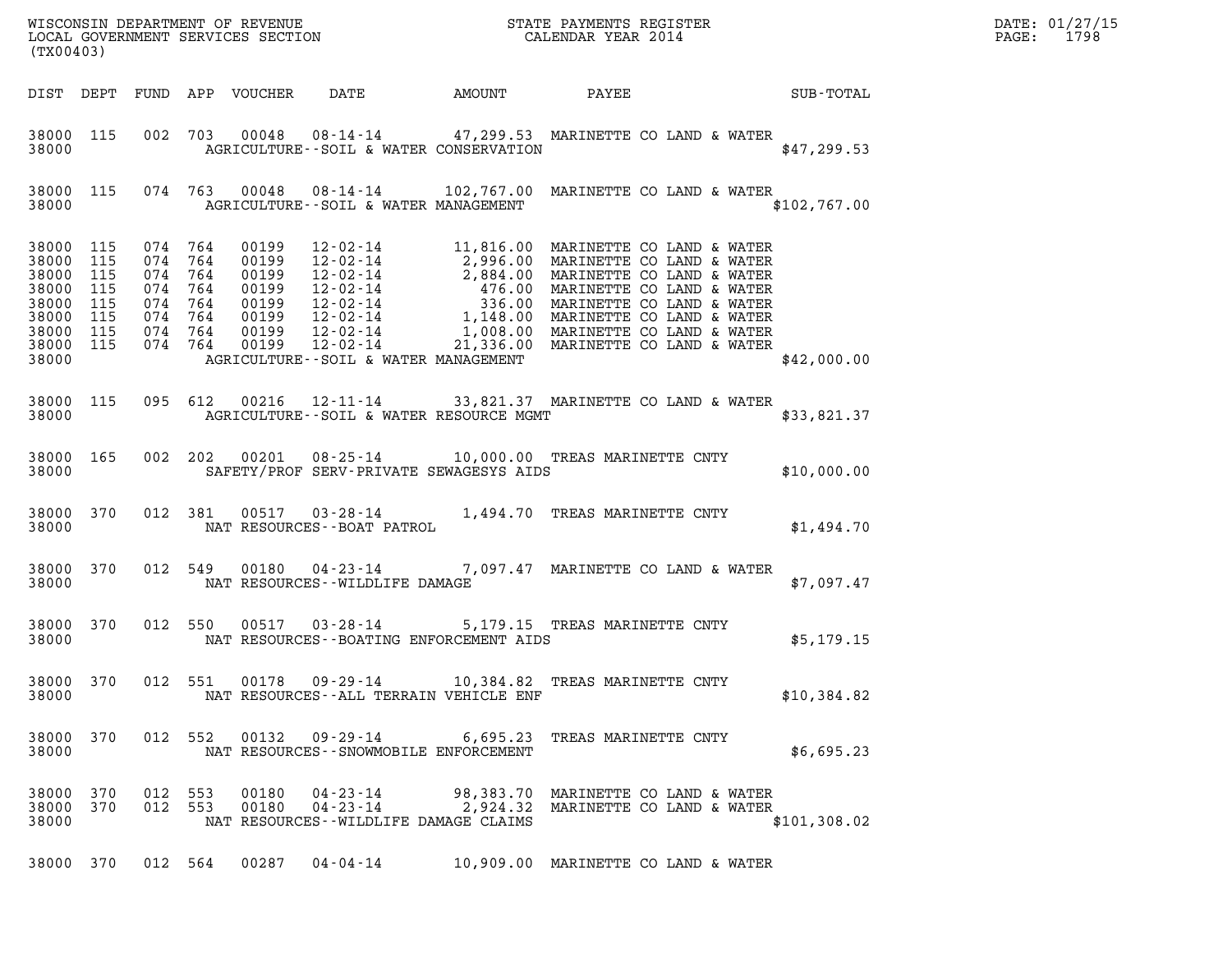| DATE: | 01/27/15 |
|-------|----------|
| PAGE: | 1798     |

| (TX00403)                                                                                     |                          |                                                                                      |         |                            |                                                     |                                            |                                                                                                                                                                                                                                                                                                                                   |              | DATE: 01/27/15<br>$\mathtt{PAGE}$ :<br>1798 |
|-----------------------------------------------------------------------------------------------|--------------------------|--------------------------------------------------------------------------------------|---------|----------------------------|-----------------------------------------------------|--------------------------------------------|-----------------------------------------------------------------------------------------------------------------------------------------------------------------------------------------------------------------------------------------------------------------------------------------------------------------------------------|--------------|---------------------------------------------|
|                                                                                               |                          |                                                                                      |         | DIST DEPT FUND APP VOUCHER | DATE                                                | AMOUNT                                     | PAYEE                                                                                                                                                                                                                                                                                                                             | SUB-TOTAL    |                                             |
| 38000 115<br>38000                                                                            |                          |                                                                                      |         |                            |                                                     | AGRICULTURE--SOIL & WATER CONSERVATION     | 002 703 00048 08-14-14 47,299.53 MARINETTE CO LAND & WATER                                                                                                                                                                                                                                                                        | \$47,299.53  |                                             |
| 38000                                                                                         | 38000 115                |                                                                                      |         |                            |                                                     | AGRICULTURE--SOIL & WATER MANAGEMENT       | 074 763 00048 08-14-14 102,767.00 MARINETTE CO LAND & WATER                                                                                                                                                                                                                                                                       | \$102,767.00 |                                             |
| 38000 115<br>38000<br>38000<br>38000<br>38000 115<br>38000<br>38000 115<br>38000 115<br>38000 | 115<br>115<br>115<br>115 | 074 764<br>074 764<br>074 764<br>074 764<br>074 764<br>074 764<br>074 764<br>074 764 |         | 00199<br>00199             | $12 - 02 - 14$                                      | AGRICULTURE--SOIL & WATER MANAGEMENT       | 12-02-14 11,816.00 MARINETTE CO LAND & WATER<br>00199 12-02-14 1,010.00 MARINETTE CO LAND & WATER<br>00199 12-02-14 2,996.00 MARINETTE CO LAND & WATER<br>00199 12-02-14 476.00 MARINETTE CO LAND & WATER<br>00199 12-02-14 336.00 MARINETTE CO LAND & WATER<br>00199 12-02-14 1,148.00 MA<br>21,336.00 MARINETTE CO LAND & WATER | \$42,000.00  |                                             |
| 38000 115<br>38000                                                                            |                          | 095 612                                                                              |         |                            |                                                     | AGRICULTURE--SOIL & WATER RESOURCE MGMT    | 00216  12-11-14  33,821.37  MARINETTE CO LAND & WATER                                                                                                                                                                                                                                                                             | \$33,821.37  |                                             |
| 38000 165<br>38000                                                                            |                          | 002 202                                                                              |         |                            |                                                     | SAFETY/PROF SERV-PRIVATE SEWAGESYS AIDS    | 00201  08-25-14  10,000.00  TREAS MARINETTE CNTY                                                                                                                                                                                                                                                                                  | \$10,000.00  |                                             |
| 38000 370<br>38000                                                                            |                          |                                                                                      | 012 381 | 00517                      | $03 - 28 - 14$<br>NAT RESOURCES - - BOAT PATROL     |                                            | 1,494.70 TREAS MARINETTE CNTY                                                                                                                                                                                                                                                                                                     | \$1,494.70   |                                             |
| 38000 370<br>38000                                                                            |                          | 012 549                                                                              |         | 00180                      | $04 - 23 - 14$<br>NAT RESOURCES - - WILDLIFE DAMAGE |                                            | 7,097.47 MARINETTE CO LAND & WATER                                                                                                                                                                                                                                                                                                | \$7,097.47   |                                             |
| 38000 370<br>38000                                                                            |                          | 012 550                                                                              |         | 00517                      | $03 - 28 - 14$                                      | NAT RESOURCES - - BOATING ENFORCEMENT AIDS | 5,179.15 TREAS MARINETTE CNTY                                                                                                                                                                                                                                                                                                     | \$5,179.15   |                                             |
| 38000 370<br>38000                                                                            |                          | 012 551                                                                              |         |                            |                                                     | NAT RESOURCES--ALL TERRAIN VEHICLE ENF     | 00178  09-29-14  10,384.82  TREAS MARINETTE CNTY                                                                                                                                                                                                                                                                                  | \$10,384.82  |                                             |
| 38000 370<br>38000                                                                            |                          |                                                                                      |         |                            | 012 552 00132 09-29-14                              | NAT RESOURCES - - SNOWMOBILE ENFORCEMENT   | 6,695.23 TREAS MARINETTE CNTY                                                                                                                                                                                                                                                                                                     | \$6,695.23   |                                             |
| 38000 370<br>38000 370<br>38000                                                               |                          | 012 553<br>012 553                                                                   |         | 00180<br>00180             | 04-23-14<br>$04 - 23 - 14$                          | NAT RESOURCES -- WILDLIFE DAMAGE CLAIMS    | 98,383.70 MARINETTE CO LAND & WATER<br>2,924.32 MARINETTE CO LAND & WATER                                                                                                                                                                                                                                                         | \$101,308.02 |                                             |
| 38000 370                                                                                     |                          |                                                                                      | 012 564 | 00287                      | 04-04-14                                            |                                            | 10,909.00 MARINETTE CO LAND & WATER                                                                                                                                                                                                                                                                                               |              |                                             |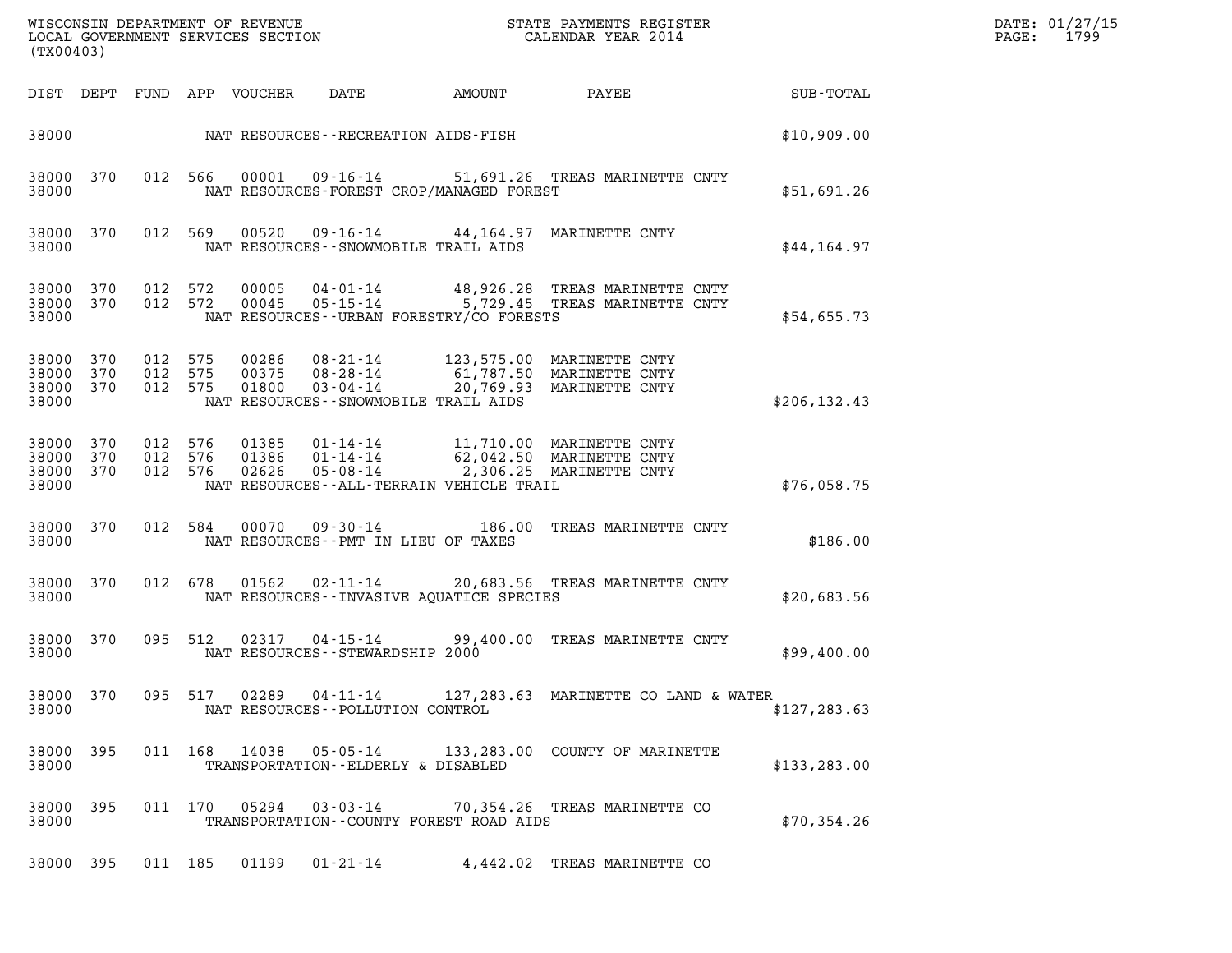| (TX00403)                                |     |                               |                    |                                                                   |  |                      |        | DATE: 01/27/15<br>$\mathtt{PAGE:}$                                                                        | 1799          |  |  |
|------------------------------------------|-----|-------------------------------|--------------------|-------------------------------------------------------------------|--|----------------------|--------|-----------------------------------------------------------------------------------------------------------|---------------|--|--|
|                                          |     |                               |                    | DIST DEPT FUND APP VOUCHER                                        |  | DATE                 | AMOUNT | PAYEE                                                                                                     | SUB-TOTAL     |  |  |
| 38000                                    |     |                               |                    | NAT RESOURCES - - RECREATION AIDS - FISH                          |  |                      |        |                                                                                                           | \$10,909.00   |  |  |
| 38000 370<br>38000                       |     |                               | 012 566            | NAT RESOURCES-FOREST CROP/MANAGED FOREST                          |  |                      |        | 00001  09-16-14  51,691.26  TREAS MARINETTE CNTY                                                          | \$51,691.26   |  |  |
| 38000 370<br>38000                       |     |                               | 012 569            | 00520<br>NAT RESOURCES - - SNOWMOBILE TRAIL AIDS                  |  |                      |        | 09-16-14 44,164.97 MARINETTE CNTY                                                                         | \$44,164.97   |  |  |
| 38000 370<br>38000 370<br>38000          |     |                               | 012 572<br>012 572 | 00005<br>00045<br>NAT RESOURCES - - URBAN FORESTRY/CO FORESTS     |  |                      |        | 04-01-14 48,926.28 TREAS MARINETTE CNTY<br>05-15-14 5,729.45 TREAS MARINETTE CNTY                         | \$54,655.73   |  |  |
| 38000 370<br>38000<br>38000 370<br>38000 | 370 | 012 575<br>012 575<br>012 575 |                    | 00375<br>01800<br>NAT RESOURCES - - SNOWMOBILE TRAIL AIDS         |  | 08-28-14<br>03-04-14 |        | 00286  08-21-14  123,575.00 MARINETTE CNTY<br>61,787.50 MARINETTE CNTY<br>20,769.93 MARINETTE CNTY        | \$206, 132.43 |  |  |
| 38000 370<br>38000<br>38000 370<br>38000 | 370 | 012 576                       | 012 576<br>012 576 | 01386<br>02626<br>NAT RESOURCES - - ALL - TERRAIN VEHICLE TRAIL   |  | 05-08-14             |        | 01385  01-14-14  11,710.00 MARINETTE CNTY<br>01-14-14 62,042.50 MARINETTE CNTY<br>2,306.25 MARINETTE CNTY | \$76,058.75   |  |  |
| 38000 370<br>38000                       |     |                               | 012 584            | 00070<br>NAT RESOURCES -- PMT IN LIEU OF TAXES                    |  | 09-30-14             |        | 186.00 TREAS MARINETTE CNTY                                                                               | \$186.00      |  |  |
| 38000 370<br>38000                       |     |                               |                    | 012 678 01562<br>NAT RESOURCES - - INVASIVE AOUATICE SPECIES      |  |                      |        | 02-11-14 20,683.56 TREAS MARINETTE CNTY                                                                   | \$20,683.56   |  |  |
| 38000 370<br>38000                       |     |                               | 095 512            | $02317$ $04-15-14$<br>NAT RESOURCES - - STEWARDSHIP 2000          |  |                      |        | 99,400.00 TREAS MARINETTE CNTY                                                                            | \$99,400.00   |  |  |
| 38000 370<br>38000                       |     |                               |                    | NAT RESOURCES - - POLLUTION CONTROL                               |  |                      |        | 095 517 02289 04-11-14 127,283.63 MARINETTE CO LAND & WATER                                               | \$127, 283.63 |  |  |
| 38000 395<br>38000                       |     |                               |                    | TRANSPORTATION--ELDERLY & DISABLED                                |  |                      |        | 011  168  14038  05-05-14  133,283.00  COUNTY OF MARINETTE                                                | \$133, 283.00 |  |  |
| 38000 395<br>38000                       |     |                               |                    | 011 170 05294 03-03-14<br>TRANSPORTATION--COUNTY FOREST ROAD AIDS |  |                      |        | 70,354.26 TREAS MARINETTE CO                                                                              | \$70,354.26   |  |  |
| 38000 395                                |     |                               |                    | 011 185 01199 01-21-14                                            |  |                      |        | 4,442.02 TREAS MARINETTE CO                                                                               |               |  |  |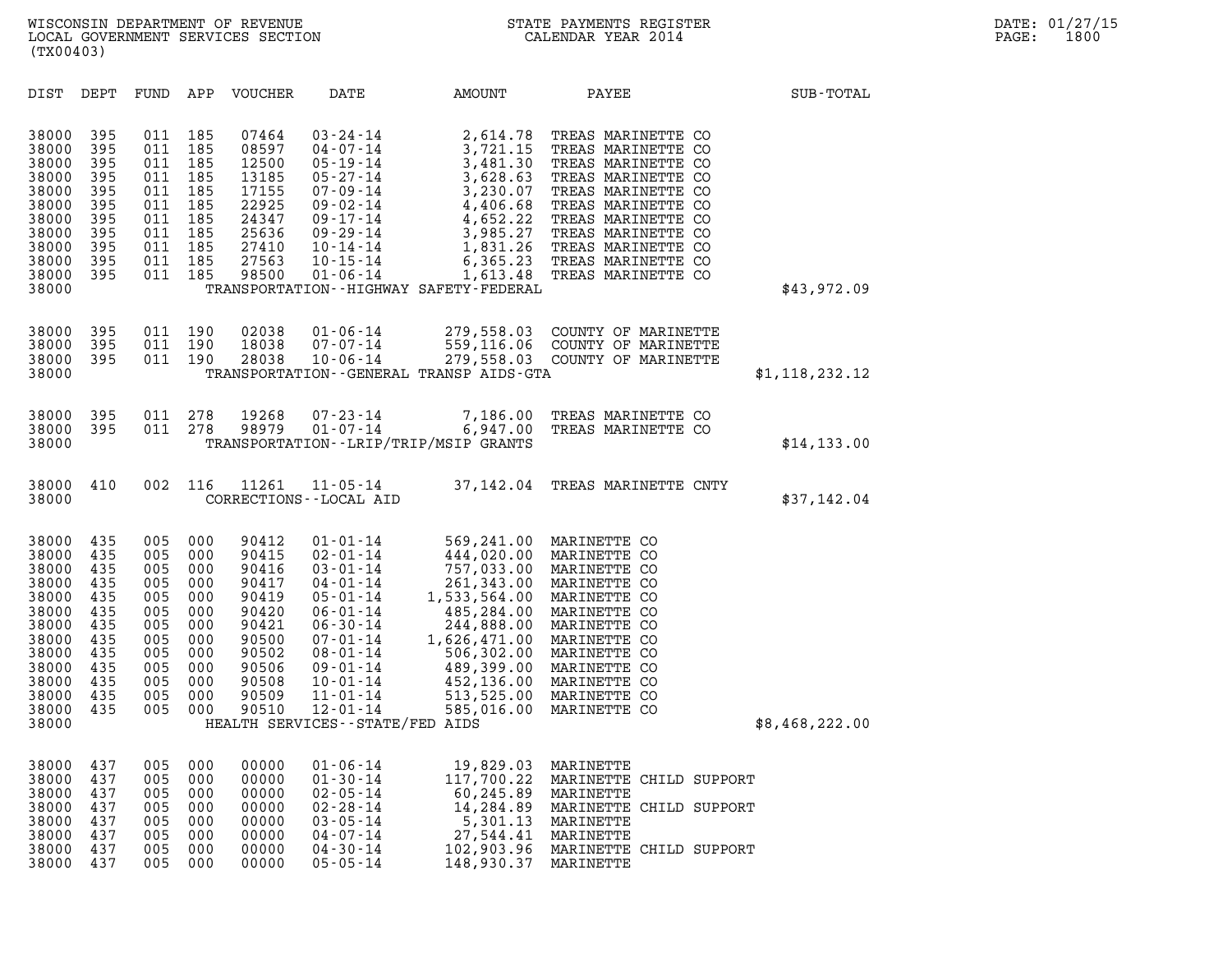| (TX00403)                                                                                                                  |                                                                                         |                                                                                         |                                                                                         |                                                                                                                   |                                                                                                                                                                                                                                                                              |                                                                                                                                                                          |                                                                                                                                                                                                                                                                  |                |
|----------------------------------------------------------------------------------------------------------------------------|-----------------------------------------------------------------------------------------|-----------------------------------------------------------------------------------------|-----------------------------------------------------------------------------------------|-------------------------------------------------------------------------------------------------------------------|------------------------------------------------------------------------------------------------------------------------------------------------------------------------------------------------------------------------------------------------------------------------------|--------------------------------------------------------------------------------------------------------------------------------------------------------------------------|------------------------------------------------------------------------------------------------------------------------------------------------------------------------------------------------------------------------------------------------------------------|----------------|
| DIST                                                                                                                       | DEPT                                                                                    | FUND                                                                                    | APP                                                                                     | <b>VOUCHER</b>                                                                                                    | DATE                                                                                                                                                                                                                                                                         | AMOUNT                                                                                                                                                                   | PAYEE                                                                                                                                                                                                                                                            | SUB-TOTAL      |
| 38000<br>38000<br>38000<br>38000<br>38000<br>38000<br>38000<br>38000<br>38000<br>38000<br>38000<br>38000                   | 395<br>395<br>395<br>395<br>395<br>395<br>395<br>395<br>395<br>395<br>395               | 011<br>011<br>011<br>011<br>011<br>011<br>011<br>011<br>011<br>011<br>011               | 185<br>185<br>185<br>185<br>185<br>185<br>185<br>185<br>185<br>185<br>185               | 07464<br>08597<br>12500<br>13185<br>17155<br>22925<br>24347<br>25636<br>27410<br>27563<br>98500                   | $03 - 24 - 14$<br>$04 - 07 - 14$<br>$05 - 19 - 14$<br>$05 - 27 - 14$<br>$07 - 09 - 14$<br>$09 - 02 - 14$<br>09-17-14<br>$09 - 29 - 14$<br>$10 - 14 - 14$<br>$10 - 15 - 14$<br>$01 - 06 - 14$                                                                                 | 2,614.78<br>3,721.15<br>3,481.30<br>3,628.63<br>3,230.07<br>4,406.68<br>4,652.22<br>3,985.27<br>1,613.48<br>TRANSPORTATION - - HIGHWAY SAFETY - FEDERAL                  | TREAS MARINETTE CO<br>TREAS MARINETTE CO<br>TREAS MARINETTE CO<br>TREAS MARINETTE CO<br>TREAS MARINETTE CO<br>TREAS MARINETTE CO<br>TREAS MARINETTE CO<br>TREAS MARINETTE CO<br>1,831.26 TREAS MARINETTE CO<br>6,365.23 TREAS MARINETTE CO<br>TREAS MARINETTE CO | \$43,972.09    |
| 38000<br>38000<br>38000<br>38000                                                                                           | 395<br>395<br>395                                                                       | 011<br>011<br>011                                                                       | 190<br>190<br>190                                                                       | 02038<br>18038<br>28038                                                                                           | $01 - 06 - 14$<br>$07 - 07 - 14$<br>$10 - 06 - 14$                                                                                                                                                                                                                           | 279,558.03<br>279,558.03<br>TRANSPORTATION--GENERAL TRANSP AIDS-GTA                                                                                                      | COUNTY OF MARINETTE<br>559,116.06 COUNTY OF MARINETTE<br>COUNTY OF MARINETTE                                                                                                                                                                                     | \$1,118,232.12 |
| 38000<br>38000<br>38000                                                                                                    | 395<br>395                                                                              | 011<br>011                                                                              | 278<br>278                                                                              | 19268<br>98979                                                                                                    | $07 - 23 - 14$<br>$01 - 07 - 14$                                                                                                                                                                                                                                             | 7,186.00<br>6,947.00<br>TRANSPORTATION - - LRIP/TRIP/MSIP GRANTS                                                                                                         | TREAS MARINETTE CO<br>TREAS MARINETTE CO                                                                                                                                                                                                                         | \$14,133.00    |
| 38000<br>38000                                                                                                             | 410                                                                                     | 002                                                                                     | 116                                                                                     | 11261                                                                                                             | $11 - 05 - 14$<br>CORRECTIONS - - LOCAL AID                                                                                                                                                                                                                                  | 37,142.04                                                                                                                                                                | TREAS MARINETTE CNTY                                                                                                                                                                                                                                             | \$37,142.04    |
| 38000<br>38000<br>38000<br>38000<br>38000<br>38000<br>38000<br>38000<br>38000<br>38000<br>38000<br>38000<br>38000<br>38000 | 435<br>435<br>435<br>435<br>435<br>435<br>435<br>435<br>435<br>435<br>435<br>435<br>435 | 005<br>005<br>005<br>005<br>005<br>005<br>005<br>005<br>005<br>005<br>005<br>005<br>005 | 000<br>000<br>000<br>000<br>000<br>000<br>000<br>000<br>000<br>000<br>000<br>000<br>000 | 90412<br>90415<br>90416<br>90417<br>90419<br>90420<br>90421<br>90500<br>90502<br>90506<br>90508<br>90509<br>90510 | $01 - 01 - 14$<br>$02 - 01 - 14$<br>$03 - 01 - 14$<br>$04 - 01 - 14$<br>$05 - 01 - 14$<br>$06 - 01 - 14$<br>$06 - 30 - 14$<br>$07 - 01 - 14$<br>$08 - 01 - 14$<br>$09 - 01 - 14$<br>$10 - 01 - 14$<br>$11 - 01 - 14$<br>$12 - 01 - 14$<br>HEALTH SERVICES - - STATE/FED AIDS | 444,020.00<br>757,033.00<br>261,343.00<br>1,533,564.00<br>485,284.00<br>244,888.00<br>1,626,471.00<br>506,302.00<br>489,399.00<br>452,136.00<br>513,525.00<br>585,016.00 | 569,241.00 MARINETTE CO<br>MARINETTE CO<br>MARINETTE CO<br>MARINETTE CO<br>MARINETTE CO<br>MARINETTE CO<br>MARINETTE CO<br>MARINETTE CO<br>MARINETTE CO<br>MARINETTE CO<br>MARINETTE CO<br>MARINETTE CO<br>MARINETTE CO                                          | \$8,468,222.00 |
| 38000<br>38000<br>38000<br>38000<br>38000<br>38000<br>38000<br>38000                                                       | 437<br>437<br>437<br>437<br>437<br>437<br>437<br>437                                    | 005<br>005<br>005<br>005<br>005<br>005<br>005<br>005                                    | 000<br>000<br>000<br>000<br>000<br>000<br>000<br>000                                    | 00000<br>00000<br>00000<br>00000<br>00000<br>00000<br>00000<br>00000                                              | $01 - 06 - 14$<br>$01 - 30 - 14$<br>$02 - 05 - 14$<br>$02 - 28 - 14$<br>$03 - 05 - 14$<br>$04 - 07 - 14$<br>$04 - 30 - 14$<br>$05 - 05 - 14$                                                                                                                                 | 19,829.03<br>117,700.22<br>60,245.89<br>14,284.89<br>5,301.13<br>27,544.41<br>102,903.96<br>148,930.37                                                                   | MARINETTE<br>MARINETTE CHILD SUPPORT<br>MARINETTE<br>MARINETTE CHILD SUPPORT<br>MARINETTE<br>MARINETTE<br>MARINETTE CHILD SUPPORT<br>MARINETTE                                                                                                                   |                |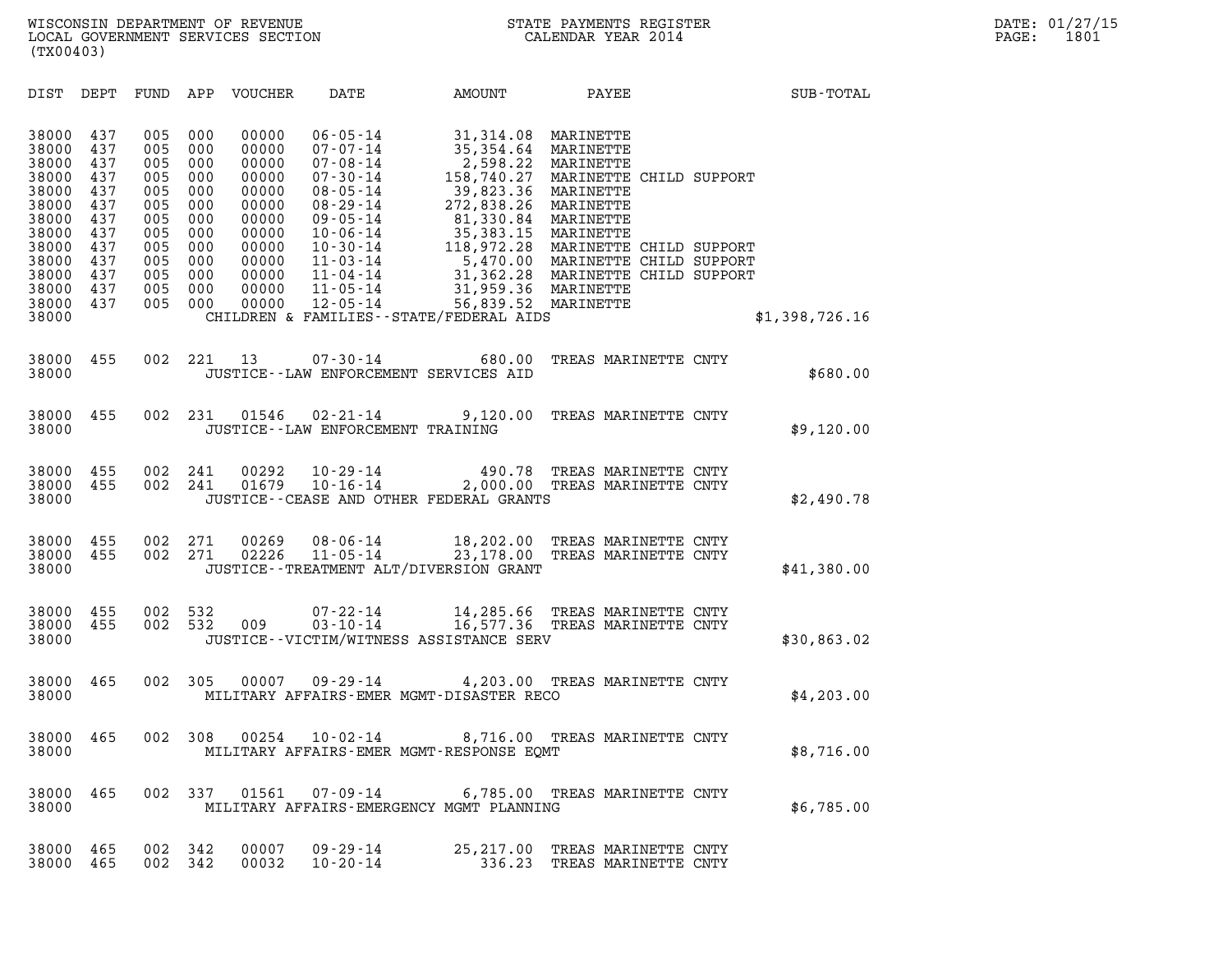WISCONSIN DEPARTMENT OF REVENUE<br>LOCAL GOVERNMENT SERVICES SECTION STATE PAYMENTS REGISTER SECONDER STATE PASS: 1801<br>DOCAL GOVERNMENT SERVICES SECTION WISCONSIN DEPARTMENT OF REVENUE<br>LOCAL GOVERNMENT SERVICES SECTION CALENDAR YEAR 2014<br>(TX00403) (TX00403)

| (TX00403)                                                                                                                    |                                                                                                              |                                                                                                                                                                                                                      |                                                                                                         |                                                                                                                    |                |
|------------------------------------------------------------------------------------------------------------------------------|--------------------------------------------------------------------------------------------------------------|----------------------------------------------------------------------------------------------------------------------------------------------------------------------------------------------------------------------|---------------------------------------------------------------------------------------------------------|--------------------------------------------------------------------------------------------------------------------|----------------|
| DIST<br>DEPT                                                                                                                 | FUND<br>APP                                                                                                  | VOUCHER<br>DATE                                                                                                                                                                                                      | AMOUNT                                                                                                  | PAYEE                                                                                                              | SUB-TOTAL      |
| 38000<br>437<br>38000<br>437<br>38000<br>437<br>38000<br>437<br>38000<br>437<br>38000<br>437<br>38000<br>437<br>38000<br>437 | 005<br>000<br>005<br>000<br>005<br>000<br>005<br>000<br>005<br>000<br>005<br>000<br>005<br>000<br>005<br>000 | 00000<br>$06 - 05 - 14$<br>00000<br>$07 - 07 - 14$<br>00000<br>$07 - 08 - 14$<br>00000<br>$07 - 30 - 14$<br>00000<br>$08 - 05 - 14$<br>00000<br>$08 - 29 - 14$<br>00000<br>$09 - 05 - 14$<br>00000<br>$10 - 06 - 14$ | 31,314.08<br>35,354.64<br>2,598.22<br>158,740.27<br>39,823.36<br>272,838.26<br>81,330.84<br>35, 383. 15 | MARINETTE<br>MARINETTE<br>MARINETTE<br>MARINETTE CHILD SUPPORT<br>MARINETTE<br>MARINETTE<br>MARINETTE<br>MARINETTE |                |
| 38000<br>437<br>38000<br>437<br>38000<br>437<br>38000<br>437<br>38000<br>437<br>38000                                        | 005<br>000<br>005<br>000<br>005<br>000<br>005<br>000<br>005<br>000                                           | 00000<br>$10 - 30 - 14$<br>00000<br>$11 - 03 - 14$<br>00000<br>$11 - 04 - 14$<br>$11 - 05 - 14$<br>00000<br>00000<br>$12 - 05 - 14$<br>CHILDREN & FAMILIES - - STATE/FEDERAL AIDS                                    | 118,972.28<br>31,959.36 MARINETTE<br>56,839.52 MARINETTE                                                | MARINETTE CHILD SUPPORT<br>5,470.00 MARINETTE CHILD SUPPORT<br>31,362.28 MARINETTE CHILD SUPPORT                   | \$1,398,726.16 |
|                                                                                                                              |                                                                                                              |                                                                                                                                                                                                                      |                                                                                                         |                                                                                                                    |                |
| 455<br>38000<br>38000                                                                                                        | 002<br>221                                                                                                   | 13<br>$07 - 30 - 14$<br>JUSTICE -- LAW ENFORCEMENT SERVICES AID                                                                                                                                                      | 680.00                                                                                                  | TREAS MARINETTE CNTY                                                                                               | \$680.00       |
| 455<br>38000<br>38000                                                                                                        | 002<br>231                                                                                                   | 01546<br>$02 - 21 - 14$<br>JUSTICE - - LAW ENFORCEMENT TRAINING                                                                                                                                                      | 9,120.00                                                                                                | TREAS MARINETTE CNTY                                                                                               | \$9,120.00     |
| 455<br>38000<br>38000<br>455<br>38000                                                                                        | 002<br>241<br>002<br>241                                                                                     | 00292<br>$10 - 29 - 14$<br>$10 - 16 - 14$<br>01679<br>JUSTICE -- CEASE AND OTHER FEDERAL GRANTS                                                                                                                      | 490.78<br>2,000.00                                                                                      | TREAS MARINETTE CNTY<br>TREAS MARINETTE CNTY                                                                       | \$2,490.78     |
| 38000<br>455<br>38000<br>455<br>38000                                                                                        | 002<br>271<br>002<br>271                                                                                     | 00269<br>$08 - 06 - 14$<br>02226<br>$11 - 05 - 14$<br>JUSTICE - - TREATMENT ALT/DIVERSION GRANT                                                                                                                      | 18,202.00<br>23,178.00                                                                                  | TREAS MARINETTE CNTY<br>TREAS MARINETTE CNTY                                                                       | \$41,380.00    |
| 455<br>38000<br>38000<br>455<br>38000                                                                                        | 002<br>532<br>002<br>532                                                                                     | $07 - 22 - 14$<br>009<br>$03 - 10 - 14$<br>JUSTICE - - VICTIM/WITNESS ASSISTANCE SERV                                                                                                                                | 14,285.66<br>16,577.36                                                                                  | TREAS MARINETTE CNTY<br>TREAS MARINETTE CNTY                                                                       | \$30,863.02    |
| 38000<br>465<br>38000                                                                                                        | 002<br>305                                                                                                   | 00007<br>$09 - 29 - 14$<br>MILITARY AFFAIRS-EMER MGMT-DISASTER RECO                                                                                                                                                  |                                                                                                         | 4,203.00 TREAS MARINETTE CNTY                                                                                      | \$4,203.00     |
| 38000<br>465<br>38000                                                                                                        | 002<br>308                                                                                                   | 00254<br>$10 - 02 - 14$<br>MILITARY AFFAIRS-EMER MGMT-RESPONSE EQMT                                                                                                                                                  | 8,716.00                                                                                                | TREAS MARINETTE CNTY                                                                                               | \$8,716.00     |
| 38000<br>465<br>38000                                                                                                        | 002<br>337                                                                                                   | 01561<br>MILITARY AFFAIRS-EMERGENCY MGMT PLANNING                                                                                                                                                                    | 07-09-14 6,785.00 TREAS MARINETTE CNTY                                                                  |                                                                                                                    | \$6,785.00     |
| 38000<br>465<br>38000<br>465                                                                                                 | 002<br>342<br>002<br>342                                                                                     | 00007<br>09 - 29 - 14<br>00032<br>$10 - 20 - 14$                                                                                                                                                                     | 25,217.00<br>336.23                                                                                     | TREAS MARINETTE CNTY<br>TREAS MARINETTE CNTY                                                                       |                |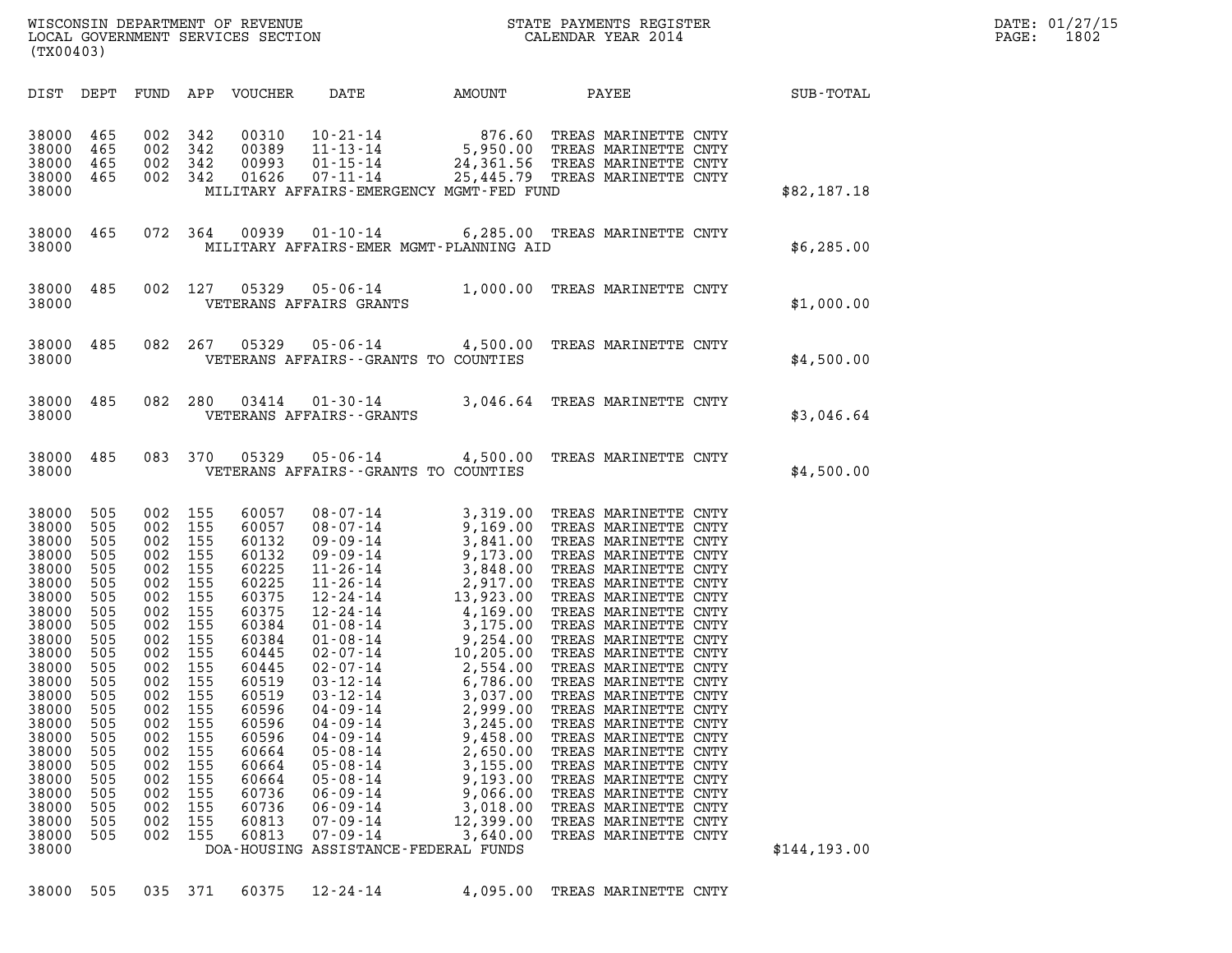| (TX00403)                                                                                                                                                                                                                                                                                                                                                                                          |                                                                                                                                                                                                                                                                                                                                                                                                                                                                                                                                                                                                                |                                                                                                                                                                           |                                                                                                                                                                                                                                                                      |               | DATE: 01/27/15<br>PAGE: 1802 |
|----------------------------------------------------------------------------------------------------------------------------------------------------------------------------------------------------------------------------------------------------------------------------------------------------------------------------------------------------------------------------------------------------|----------------------------------------------------------------------------------------------------------------------------------------------------------------------------------------------------------------------------------------------------------------------------------------------------------------------------------------------------------------------------------------------------------------------------------------------------------------------------------------------------------------------------------------------------------------------------------------------------------------|---------------------------------------------------------------------------------------------------------------------------------------------------------------------------|----------------------------------------------------------------------------------------------------------------------------------------------------------------------------------------------------------------------------------------------------------------------|---------------|------------------------------|
|                                                                                                                                                                                                                                                                                                                                                                                                    |                                                                                                                                                                                                                                                                                                                                                                                                                                                                                                                                                                                                                |                                                                                                                                                                           |                                                                                                                                                                                                                                                                      |               |                              |
| 38000 465<br>38000 465<br>38000<br>38000<br>38000                                                                                                                                                                                                                                                                                                                                                  | 465 002 342 00310 10-21-14 876.60 TREAS MARINETTE CNTY<br>465 002 342 00389 11-13-14 5,950.00 TREAS MARINETTE CNTY<br>465 002 342 00993 01-15-14 24,361.56 TREAS MARINETTE CNTY<br>465 002 342 01626 07-11-14 25,445.79 TREAS MARINETTE<br>MILITARY AFFAIRS-EMERGENCY MGMT-FED FUND                                                                                                                                                                                                                                                                                                                            |                                                                                                                                                                           |                                                                                                                                                                                                                                                                      | \$82,187.18   |                              |
| 38000                                                                                                                                                                                                                                                                                                                                                                                              | 38000 465 072 364 00939 01-10-14 6,285.00 TREAS MARINETTE CNTY<br>MILITARY AFFAIRS-EMER MGMT-PLANNING AID                                                                                                                                                                                                                                                                                                                                                                                                                                                                                                      |                                                                                                                                                                           |                                                                                                                                                                                                                                                                      | \$6,285.00    |                              |
| 38000                                                                                                                                                                                                                                                                                                                                                                                              | 38000 485 002 127 05329 05-06-14 1,000.00 TREAS MARINETTE CNTY<br>VETERANS AFFAIRS GRANTS                                                                                                                                                                                                                                                                                                                                                                                                                                                                                                                      |                                                                                                                                                                           |                                                                                                                                                                                                                                                                      | \$1,000.00    |                              |
| 38000                                                                                                                                                                                                                                                                                                                                                                                              | 38000 485 082 267 05329 05-06-14 4,500.00 TREAS MARINETTE CNTY<br>VETERANS AFFAIRS - GRANTS TO COUNTIES                                                                                                                                                                                                                                                                                                                                                                                                                                                                                                        |                                                                                                                                                                           |                                                                                                                                                                                                                                                                      | \$4,500.00    |                              |
| 38000                                                                                                                                                                                                                                                                                                                                                                                              | 38000 485 082 280 03414 01-30-14 3,046.64 TREAS MARINETTE CNTY<br>VETERANS AFFAIRS - - GRANTS                                                                                                                                                                                                                                                                                                                                                                                                                                                                                                                  |                                                                                                                                                                           |                                                                                                                                                                                                                                                                      | \$3,046.64    |                              |
| 38000                                                                                                                                                                                                                                                                                                                                                                                              | 38000 485 083 370 05329 05-06-14 4,500.00 TREAS MARINETTE CNTY<br>VETERANS AFFAIRS -- GRANTS TO COUNTIES                                                                                                                                                                                                                                                                                                                                                                                                                                                                                                       |                                                                                                                                                                           |                                                                                                                                                                                                                                                                      | \$4,500.00    |                              |
| 38000 505<br>38000<br>505<br>38000<br>505<br>38000<br>505<br>38000<br>505<br>38000<br>505<br>38000<br>505<br>38000<br>505<br>38000<br>505<br>38000<br>505<br>38000<br>505<br>38000<br>505<br>505<br>38000<br>38000<br>505<br>38000<br>505<br>38000<br>505<br>38000<br>505<br>38000<br>505<br>38000<br>505<br>38000<br>505<br>38000<br>505<br>38000<br>505<br>38000<br>505<br>38000<br>505<br>38000 | 002 155<br>002 155<br>002 155<br>002 155<br>002 155<br>002 155<br>002 155<br>002 155<br>002 155<br>002 155<br>002 155<br>002 155<br>002 155<br>002<br>155<br>60519<br>$03 - 12 - 14$<br>155<br>60596<br>$04 - 09 - 14$<br>002<br>002<br>155<br>60596<br>$04 - 09 - 14$<br>155<br>60596<br>002<br>$04 - 09 - 14$<br>002<br>155<br>60664<br>$05 - 08 - 14$<br>002<br>155<br>60664<br>$05 - 08 - 14$<br>002<br>155<br>60664<br>$05 - 08 - 14$<br>155<br>60736<br>002<br>$06 - 09 - 14$<br>155<br>60736<br>$06 - 09 - 14$<br>002<br>155<br>$07 - 09 - 14$<br>002<br>60813<br>002<br>155<br>60813<br>$07 - 09 - 14$ | 3,037.00<br>2,999.00<br>3,245.00<br>9,458.00<br>2,650.00<br>3,155.00<br>9,193.00<br>9,066.00<br>3,018.00<br>12,399.00<br>3,640.00<br>DOA-HOUSING ASSISTANCE-FEDERAL FUNDS | TREAS MARINETTE CNTY<br>TREAS MARINETTE CNTY<br>TREAS MARINETTE CNTY<br>TREAS MARINETTE CNTY<br>TREAS MARINETTE CNTY<br>TREAS MARINETTE CNTY<br>TREAS MARINETTE CNTY<br>TREAS MARINETTE CNTY<br>TREAS MARINETTE CNTY<br>TREAS MARINETTE CNTY<br>TREAS MARINETTE CNTY | \$144, 193.00 |                              |

38000 505 035 371 60375 12-24-14 4,095.00 TREAS MARINETTE CNTY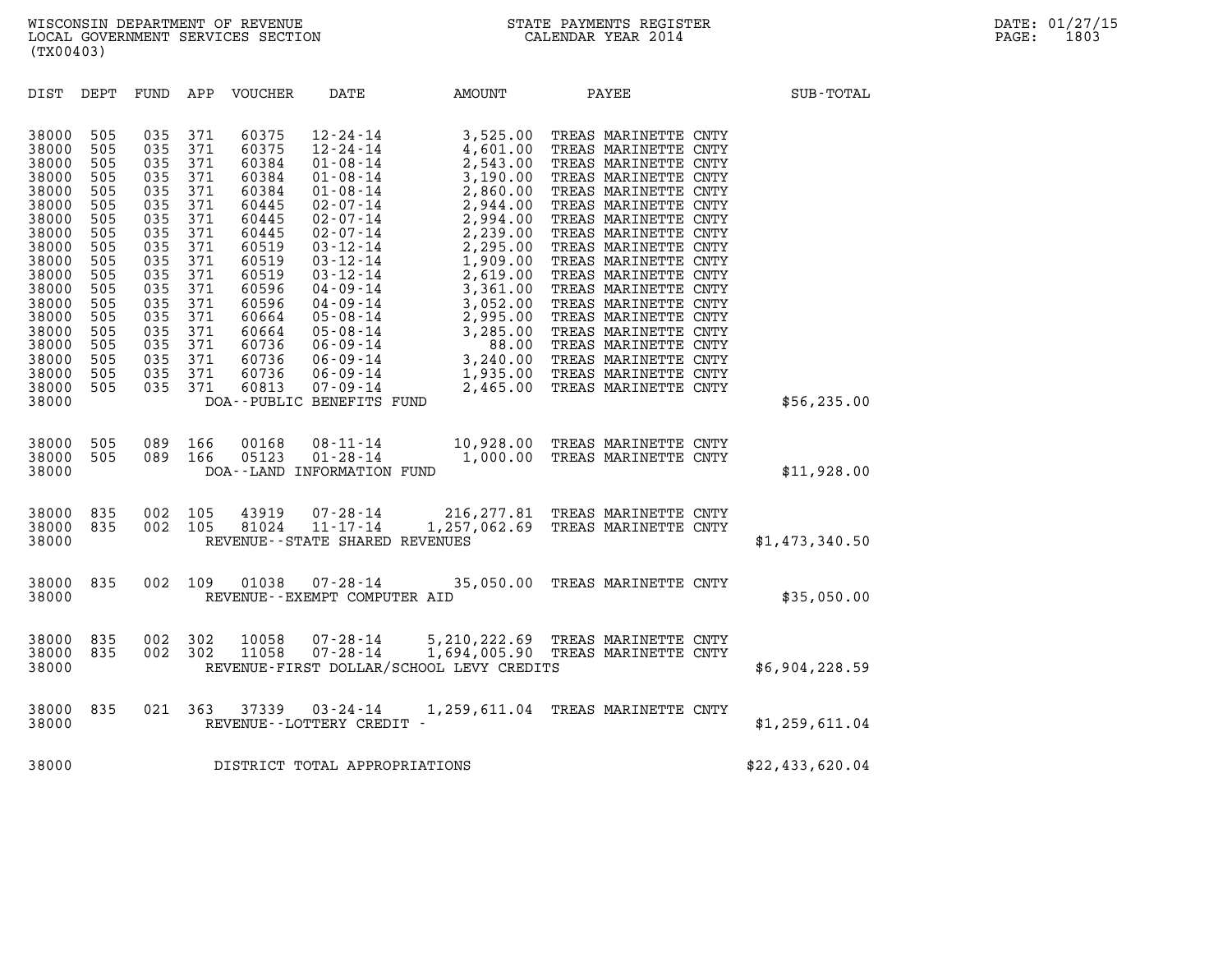| (TX00403)                                                                                                                                                                        |                                                                                                                                   |                                                                                                                                   |                                                                                                                                   |                                                                                                                                                                         |                                                                               |                                          |                                                                        |                 |
|----------------------------------------------------------------------------------------------------------------------------------------------------------------------------------|-----------------------------------------------------------------------------------------------------------------------------------|-----------------------------------------------------------------------------------------------------------------------------------|-----------------------------------------------------------------------------------------------------------------------------------|-------------------------------------------------------------------------------------------------------------------------------------------------------------------------|-------------------------------------------------------------------------------|------------------------------------------|------------------------------------------------------------------------|-----------------|
| DIST                                                                                                                                                                             | DEPT                                                                                                                              | FUND                                                                                                                              | APP                                                                                                                               | VOUCHER                                                                                                                                                                 | DATE                                                                          | AMOUNT                                   | PAYEE                                                                  | SUB-TOTAL       |
| 38000<br>38000<br>38000<br>38000<br>38000<br>38000<br>38000<br>38000<br>38000<br>38000<br>38000<br>38000<br>38000<br>38000<br>38000<br>38000<br>38000<br>38000<br>38000<br>38000 | 505<br>505<br>505<br>505<br>505<br>505<br>505<br>505<br>505<br>505<br>505<br>505<br>505<br>505<br>505<br>505<br>505<br>505<br>505 | 035<br>035<br>035<br>035<br>035<br>035<br>035<br>035<br>035<br>035<br>035<br>035<br>035<br>035<br>035<br>035<br>035<br>035<br>035 | 371<br>371<br>371<br>371<br>371<br>371<br>371<br>371<br>371<br>371<br>371<br>371<br>371<br>371<br>371<br>371<br>371<br>371<br>371 | 60375<br>60375<br>60384<br>60384<br>60384<br>60445<br>60445<br>60445<br>60519<br>60519<br>60519<br>60596<br>60596<br>60664<br>60664<br>60736<br>60736<br>60736<br>60813 | DOA--PUBLIC BENEFITS FUND                                                     |                                          |                                                                        | \$56, 235.00    |
| 38000<br>38000<br>38000                                                                                                                                                          | 505<br>505                                                                                                                        | 089<br>089                                                                                                                        | 166<br>166                                                                                                                        | 00168<br>05123                                                                                                                                                          | $08 - 11 - 14$<br>$01 - 28 - 14$<br>DOA--LAND INFORMATION FUND                |                                          | 10,928.00 TREAS MARINETTE CNTY<br>1,000.00 TREAS MARINETTE CNTY        | \$11,928.00     |
| 38000<br>38000<br>38000                                                                                                                                                          | 835<br>835                                                                                                                        | 002<br>002                                                                                                                        |                                                                                                                                   |                                                                                                                                                                         | 105 43919 07-28-14<br>105 81024 11-17-14<br>REVENUE - - STATE SHARED REVENUES |                                          | 216, 277.81 TREAS MARINETTE CNTY<br>1,257,062.69 TREAS MARINETTE CNTY  | \$1,473,340.50  |
| 38000<br>38000                                                                                                                                                                   | 835                                                                                                                               | 002                                                                                                                               | 109                                                                                                                               | 01038                                                                                                                                                                   | 07-28-14<br>REVENUE--EXEMPT COMPUTER AID                                      |                                          | 35,050.00 TREAS MARINETTE CNTY                                         | \$35,050.00     |
| 38000<br>38000<br>38000                                                                                                                                                          | 835<br>835                                                                                                                        | 002<br>002                                                                                                                        | 302<br>302                                                                                                                        | 10058<br>11058                                                                                                                                                          | $07 - 28 - 14$<br>$07 - 28 - 14$                                              | REVENUE-FIRST DOLLAR/SCHOOL LEVY CREDITS | 5,210,222.69 TREAS MARINETTE CNTY<br>1,694,005.90 TREAS MARINETTE CNTY | \$6,904,228.59  |
| 38000<br>38000                                                                                                                                                                   | 835                                                                                                                               | 021                                                                                                                               | 363                                                                                                                               |                                                                                                                                                                         | $37339$ $03 - 24 - 14$<br>REVENUE - - LOTTERY CREDIT -                        |                                          | 1,259,611.04 TREAS MARINETTE CNTY                                      | \$1,259,611.04  |
| 38000                                                                                                                                                                            |                                                                                                                                   |                                                                                                                                   |                                                                                                                                   |                                                                                                                                                                         | DISTRICT TOTAL APPROPRIATIONS                                                 |                                          |                                                                        | \$22,433,620.04 |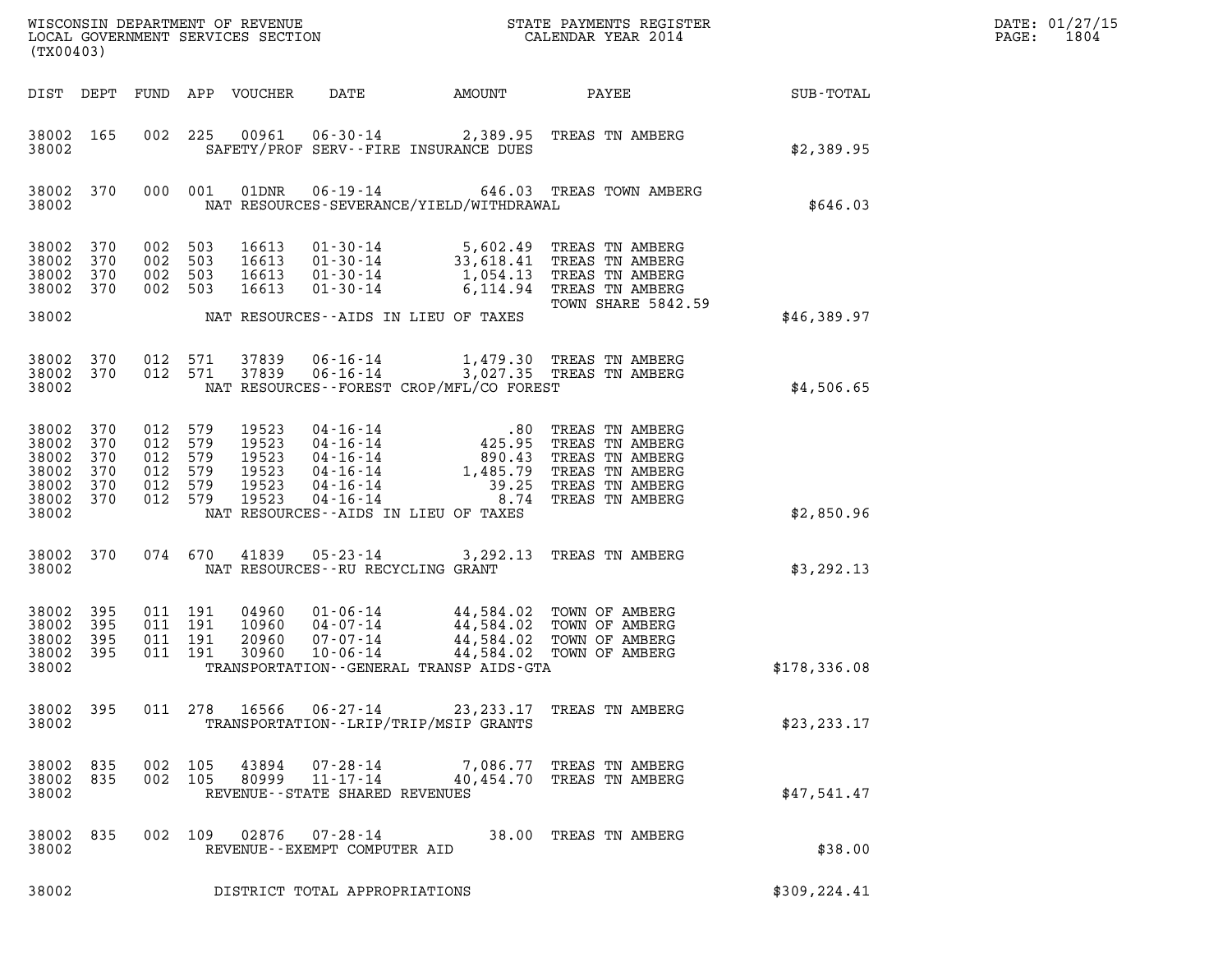| (TX00403)                                                   |                                        |                                          |                    |                                                    |                                   |                                          |                                                                                                                                                                                                                                                                                                                                              |              | DATE: 01/27/15<br>PAGE: 1804 |
|-------------------------------------------------------------|----------------------------------------|------------------------------------------|--------------------|----------------------------------------------------|-----------------------------------|------------------------------------------|----------------------------------------------------------------------------------------------------------------------------------------------------------------------------------------------------------------------------------------------------------------------------------------------------------------------------------------------|--------------|------------------------------|
|                                                             |                                        |                                          |                    |                                                    |                                   |                                          |                                                                                                                                                                                                                                                                                                                                              | SUB-TOTAL    |                              |
| 38002 165<br>38002                                          |                                        |                                          |                    |                                                    |                                   | SAFETY/PROF SERV--FIRE INSURANCE DUES    | 002 225 00961 06-30-14 2,389.95 TREAS TN AMBERG                                                                                                                                                                                                                                                                                              | \$2,389.95   |                              |
| 38002                                                       |                                        |                                          |                    |                                                    |                                   | NAT RESOURCES-SEVERANCE/YIELD/WITHDRAWAL | 38002 370 000 001 01DNR 06-19-14 646.03 TREAS TOWN AMBERG                                                                                                                                                                                                                                                                                    | \$646.03     |                              |
| 38002 370<br>38002<br>38002<br>38002                        | 370<br>370<br>370                      | 002 503<br>002 503                       | 002 503<br>002 503 | 16613<br>16613<br>16613<br>16613                   |                                   |                                          | 01-30-14 5,602.49 TREAS TN AMBERG<br>01-30-14 33,618.41 TREAS TN AMBERG<br>01-30-14 1,054.13 TREAS TN AMBERG<br>01-30-14 6,114.94 TREAS TN AMBERG<br>TOWN SHARE 5842.59                                                                                                                                                                      |              |                              |
| 38002                                                       |                                        |                                          |                    |                                                    |                                   | NAT RESOURCES--AIDS IN LIEU OF TAXES     |                                                                                                                                                                                                                                                                                                                                              | \$46,389.97  |                              |
| 38002                                                       | 38002 370<br>38002 370                 |                                          |                    |                                                    |                                   | NAT RESOURCES--FOREST CROP/MFL/CO FOREST | 012 571 37839 06-16-14 1,479.30 TREAS TN AMBERG<br>012 571 37839 06-16-14 3,027.35 TREAS TN AMBERG                                                                                                                                                                                                                                           | \$4,506.65   |                              |
| 38002<br>38002<br>38002<br>38002<br>38002<br>38002<br>38002 | 370<br>370<br>370<br>370<br>370<br>370 | 012 579<br>012 579<br>012 579<br>012 579 | 012 579<br>012 579 | 19523<br>19523<br>19523<br>19523<br>19523<br>19523 |                                   | NAT RESOURCES--AIDS IN LIEU OF TAXES     | 04-16-14<br>04-16-14<br>04-16-14<br>04-16-14<br>04-16-14<br>04-16-14<br>04-16-14<br>04-16-14<br>04-16-14<br>04-16-14<br>04-16-14<br>04-16-14<br>04-16-14<br>04-16-14<br>04-16-14<br>04-16-14<br>04-16-14<br>04-16-14<br>04-16-14<br>04-16-14<br>04-16-14<br>04-16-14<br>04                                                                   | \$2,850.96   |                              |
| 38002 370<br>38002                                          |                                        |                                          |                    |                                                    | NAT RESOURCES--RU RECYCLING GRANT |                                          | 074 670 41839 05-23-14 3,292.13 TREAS TN AMBERG                                                                                                                                                                                                                                                                                              | \$3,292.13   |                              |
| 38002 395<br>38002<br>38002<br>38002<br>38002               | 395<br>395<br>395                      |                                          |                    |                                                    |                                   | TRANSPORTATION--GENERAL TRANSP AIDS-GTA  | $\begin{array}{cccc} 011 & 191 & 04960 & 01\text{-}06\text{-}14 & 44,584.02 & \text{TOWN OF AMBERG} \\ 011 & 191 & 10960 & 04\text{-}07\text{-}14 & 44,584.02 & \text{TOWN OF AMBERG} \\ 011 & 191 & 20960 & 07\text{-}07\text{-}14 & 44,584.02 & \text{TOWN OF AMBERG} \\ 011 & 191 & 30960 & 10\text{-}06\text{-}14 & 44,584.02 & \text{T$ | \$178,336.08 |                              |
|                                                             |                                        |                                          |                    |                                                    |                                   |                                          |                                                                                                                                                                                                                                                                                                                                              |              |                              |

38002 395 011 278 16566 06-27-14 23,233.17 TREAS TN AMBERG 38002 TRANSPORTATION--LRIP/TRIP/MSIP GRANTS \$23,233.17 38002 835 002 105 43894 07-28-14 7,086.77 TREAS TN AMBERG

|           |  |         | 38002 835 002 105 43894 | 07-28-14                       | 7,086.77 TREAS TN AMBERG  |             |
|-----------|--|---------|-------------------------|--------------------------------|---------------------------|-------------|
| 38002 835 |  | 002 105 |                         | 80999 11-17-14                 | 40,454.70 TREAS TN AMBERG |             |
| 38002     |  |         |                         | REVENUE--STATE SHARED REVENUES |                           | \$47.541.47 |

| 38002              | REVENUE--STATE SHARED REVENUES                            |  |                       | \$47,541.47  |
|--------------------|-----------------------------------------------------------|--|-----------------------|--------------|
| 38002 835<br>38002 | 002 109<br>02876 07-28-14<br>REVENUE--EXEMPT COMPUTER AID |  | 38.00 TREAS TN AMBERG | \$38.00      |
| 38002              | DISTRICT TOTAL APPROPRIATIONS                             |  |                       | \$309,224.41 |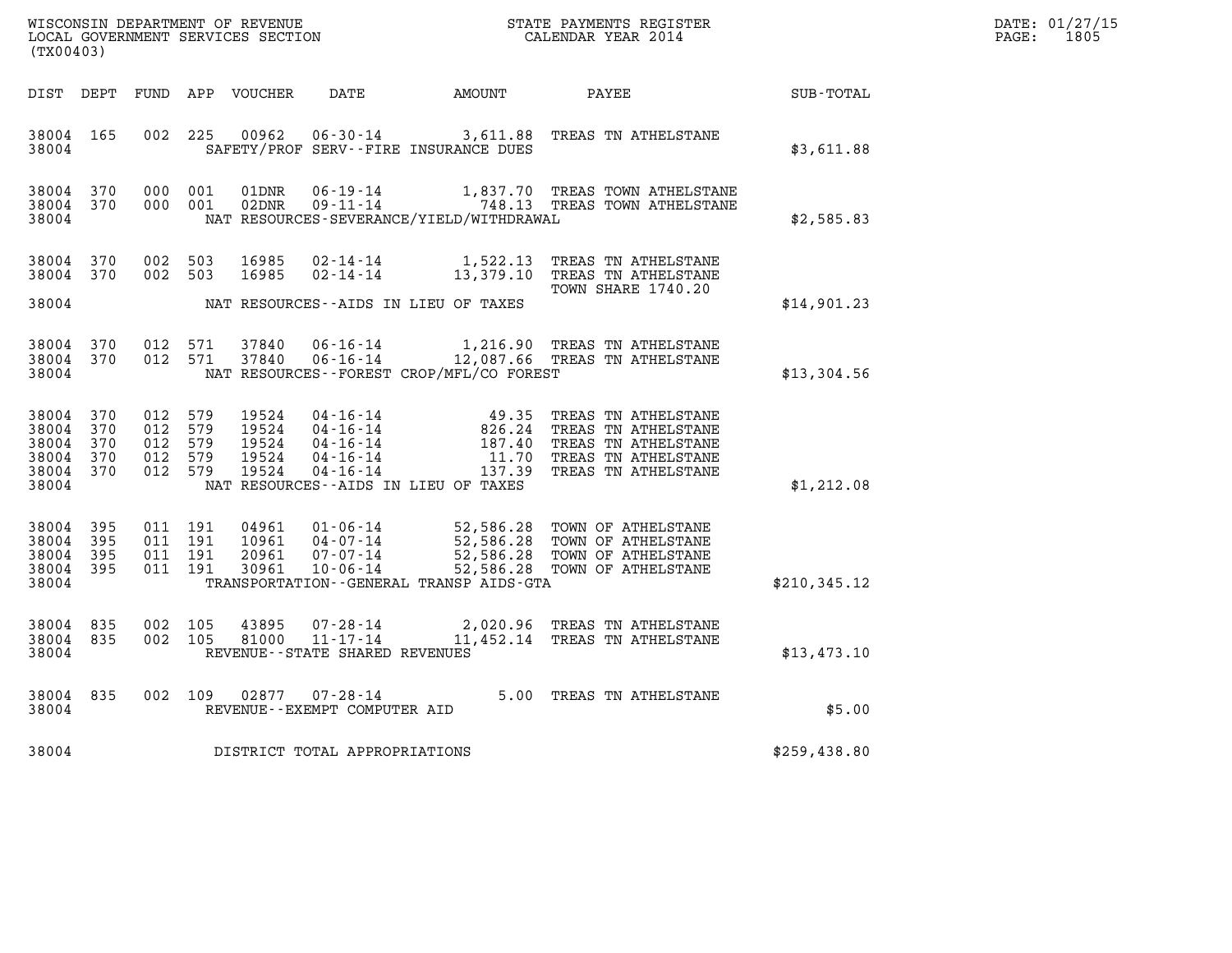| DATE: | 01/27/15 |
|-------|----------|
| PAGE: | 1805     |

| WISCONSIN DEPARTMENT OF REVENUE<br>LOCAL GOVERNMENT SERVICES SECTION<br>(TX00403) |            |                                                     |  |                                           |                                                        |                                             | STATE PAYMENTS REGISTER<br>CALENDAR YEAR 2014                                                                                                                                                                                                      |               | DATE: 01/27/15<br>$\mathtt{PAGE:}$<br>1805 |
|-----------------------------------------------------------------------------------|------------|-----------------------------------------------------|--|-------------------------------------------|--------------------------------------------------------|---------------------------------------------|----------------------------------------------------------------------------------------------------------------------------------------------------------------------------------------------------------------------------------------------------|---------------|--------------------------------------------|
| DIST DEPT                                                                         |            |                                                     |  | FUND APP VOUCHER                          | DATE                                                   | AMOUNT                                      | PAYEE                                                                                                                                                                                                                                              | SUB - TOTAL   |                                            |
| 38004 165<br>38004                                                                |            | 002 225                                             |  | 00962                                     |                                                        | SAFETY/PROF SERV--FIRE INSURANCE DUES       | 06-30-14 3,611.88 TREAS TN ATHELSTANE                                                                                                                                                                                                              | \$3,611.88    |                                            |
| 38004 370<br>38004 370<br>38004                                                   |            | 000 001<br>000 001                                  |  | 01DNR<br>02DNR                            | $06 - 19 - 14$                                         | NAT RESOURCES-SEVERANCE/YIELD/WITHDRAWAL    | 1,837.70 TREAS TOWN ATHELSTANE<br>09-11-14 748.13 TREAS TOWN ATHELSTANE                                                                                                                                                                            | \$2,585.83    |                                            |
| 38004 370<br>38004 370<br>38004                                                   |            | 002 503<br>002 503                                  |  | 16985<br>16985                            | $02 - 14 - 14$                                         | NAT RESOURCES--AIDS IN LIEU OF TAXES        | 02-14-14 1,522.13 TREAS TN ATHELSTANE<br>13,379.10 TREAS TN ATHELSTANE<br>TOWN SHARE 1740.20                                                                                                                                                       | \$14,901.23   |                                            |
| 38004 370<br>38004                                                                | 38004 370  | 012 571<br>012 571                                  |  | 37840<br>37840                            |                                                        | NAT RESOURCES - - FOREST CROP/MFL/CO FOREST | 06-16-14 1,216.90 TREAS TN ATHELSTANE<br>06-16-14 12,087.66 TREAS TN ATHELSTANE                                                                                                                                                                    | \$13,304.56   |                                            |
| 38004 370<br>38004 370<br>38004 370<br>38004 370<br>38004 370<br>38004            |            | 012 579<br>012 579<br>012 579<br>012 579<br>012 579 |  | 19524<br>19524<br>19524<br>19524<br>19524 |                                                        | NAT RESOURCES--AIDS IN LIEU OF TAXES        | 04-16-14<br>04-16-14<br>04-16-14<br>04-16-14<br>04-16-14<br>04-16-14<br>04-16-14<br>04-16-14<br>04-16-14<br>04-16-14<br>04-16-14<br>04-16-14<br>04-16-14<br>04-16-14<br>04-16-14<br>04-16-14<br>04-16-14<br>04-16-14<br>04-16-14<br>04-16-14<br>04 | \$1,212.08    |                                            |
| 38004 395<br>38004<br>38004<br>38004 395<br>38004                                 | 395<br>395 | 011 191<br>011 191<br>011 191<br>011 191            |  | 10961<br>20961<br>30961                   | 04-07-14<br>07-07-14<br>10-06-14                       | TRANSPORTATION--GENERAL TRANSP AIDS-GTA     | 52,586.28 TOWN OF ATHELSTANE<br>52,586.28 TOWN OF ATHELSTANE<br>52,586.28 TOWN OF ATHELSTANE<br>52,586.28 TOWN OF ATHELSTANE<br>52,586.28 TOWN OF ATHELSTANE                                                                                       | \$210, 345.12 |                                            |
| 38004 835<br>38004 835<br>38004                                                   |            | 002 105<br>002 105                                  |  | 43895<br>81000                            | REVENUE--STATE SHARED REVENUES                         |                                             | 07-28-14<br>2,020.96 TREAS TN ATHELSTANE<br>11-17-14 11.452.14 TREAS TN 1000                                                                                                                                                                       | \$13,473.10   |                                            |
| 38004 835<br>38004                                                                |            |                                                     |  |                                           | 002 109 02877 07-28-14<br>REVENUE--EXEMPT COMPUTER AID |                                             | 5.00 TREAS TN ATHELSTANE                                                                                                                                                                                                                           | \$5.00        |                                            |
| 38004                                                                             |            |                                                     |  |                                           | DISTRICT TOTAL APPROPRIATIONS                          |                                             |                                                                                                                                                                                                                                                    | \$259,438.80  |                                            |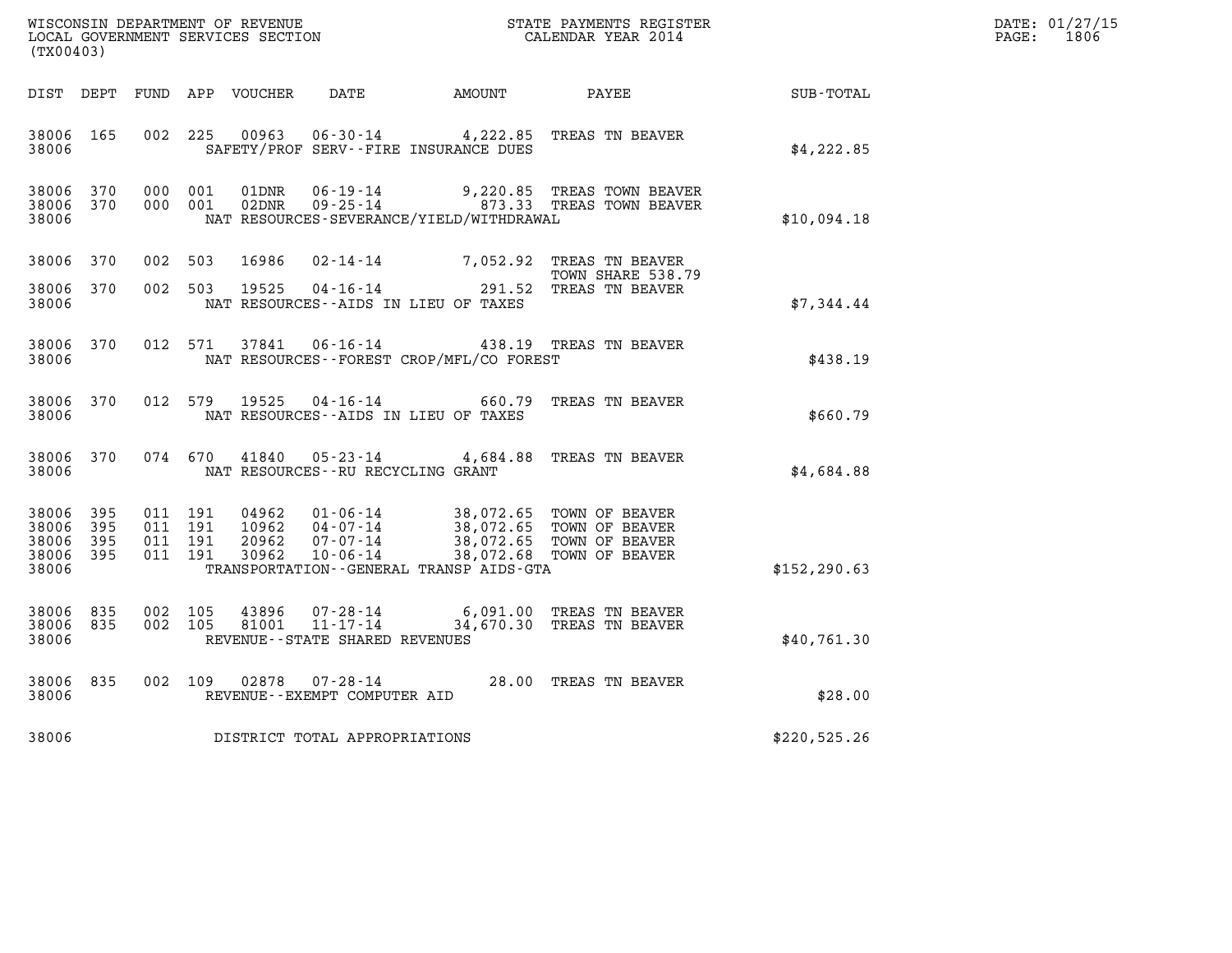| (TX00403)                                     |                   |                    |                               |                                  |                                                                 |                                                                                                            |                                                                                                              |                  | DATE: 01/27/15<br>$\mathtt{PAGE:}$<br>1806 |
|-----------------------------------------------|-------------------|--------------------|-------------------------------|----------------------------------|-----------------------------------------------------------------|------------------------------------------------------------------------------------------------------------|--------------------------------------------------------------------------------------------------------------|------------------|--------------------------------------------|
|                                               |                   |                    |                               |                                  |                                                                 | DIST DEPT FUND APP VOUCHER DATE AMOUNT                                                                     | PAYEE                                                                                                        | <b>SUB-TOTAL</b> |                                            |
| 38006 165<br>38006                            |                   | 002 225            |                               | 00963                            |                                                                 | SAFETY/PROF SERV--FIRE INSURANCE DUES                                                                      | 06-30-14 4,222.85 TREAS TN BEAVER                                                                            | \$4,222.85       |                                            |
| 38006<br>38006 370<br>38006                   | 370               |                    | 000 001<br>000 001            | 01DNR<br>02DNR                   | 06-19-14<br>$09 - 25 - 14$                                      | NAT RESOURCES-SEVERANCE/YIELD/WITHDRAWAL                                                                   | 9,220.85 TREAS TOWN BEAVER<br>873.33 TREAS TOWN BEAVER                                                       | \$10,094.18      |                                            |
| 38006 370                                     |                   | 002 503            |                               | 16986                            |                                                                 |                                                                                                            | 02-14-14 7,052.92 TREAS TN BEAVER<br>TOWN SHARE 538.79                                                       |                  |                                            |
| 38006 370<br>38006                            |                   |                    | 002 503                       | 19525                            |                                                                 | $04 - 16 - 14$<br>S <sub>1</sub> - ATD <sup>e</sup> T <sup>2</sup><br>NAT RESOURCES--AIDS IN LIEU OF TAXES | 291.52 TREAS TN BEAVER                                                                                       | \$7,344.44       |                                            |
| 38006<br>38006                                | 370               |                    | 012 571                       | 37841                            | $06 - 16 - 14$                                                  | NAT RESOURCES - - FOREST CROP/MFL/CO FOREST                                                                | 438.19 TREAS TN BEAVER                                                                                       | \$438.19         |                                            |
| 38006 370<br>38006                            |                   |                    | 012 579                       | 19525                            |                                                                 | $04 - 16 - 14$ 660.79<br>NAT RESOURCES--AIDS IN LIEU OF TAXES                                              | TREAS TN BEAVER                                                                                              | \$660.79         |                                            |
| 38006 370<br>38006                            |                   |                    | 074 670                       | 41840                            | NAT RESOURCES--RU RECYCLING GRANT                               |                                                                                                            | 05-23-14 4,684.88 TREAS TN BEAVER                                                                            | \$4,684.88       |                                            |
| 38006<br>38006<br>38006<br>38006 395<br>38006 | 395<br>395<br>395 | 011 191            | 011 191<br>011 191<br>011 191 | 04962<br>10962<br>20962<br>30962 | 01-06-14<br>04-07-14<br>$07 - 07 - 14$<br>$10 - 06 - 14$        | TRANSPORTATION - - GENERAL TRANSP AIDS - GTA                                                               | 38,072.65 TOWN OF BEAVER<br>38,072.65 TOWN OF BEAVER<br>38,072.65 TOWN OF BEAVER<br>38,072.68 TOWN OF BEAVER | \$152, 290.63    |                                            |
| 38006 835<br>38006 835<br>38006               |                   | 002 105<br>002 105 |                               | 43896<br>81001                   | 07-28-14<br>$11 - 17 - 14$<br>REVENUE - - STATE SHARED REVENUES |                                                                                                            | 6,091.00 TREAS TN BEAVER<br>34,670.30 TREAS TN BEAVER                                                        | \$40,761.30      |                                            |
| 38006<br>38006                                | 835               |                    | 002 109                       | 02878                            | REVENUE - - EXEMPT COMPUTER AID                                 |                                                                                                            | 07-28-14 28.00 TREAS TN BEAVER                                                                               | \$28.00          |                                            |
| 38006                                         |                   |                    |                               |                                  | DISTRICT TOTAL APPROPRIATIONS                                   |                                                                                                            |                                                                                                              | \$220,525.26     |                                            |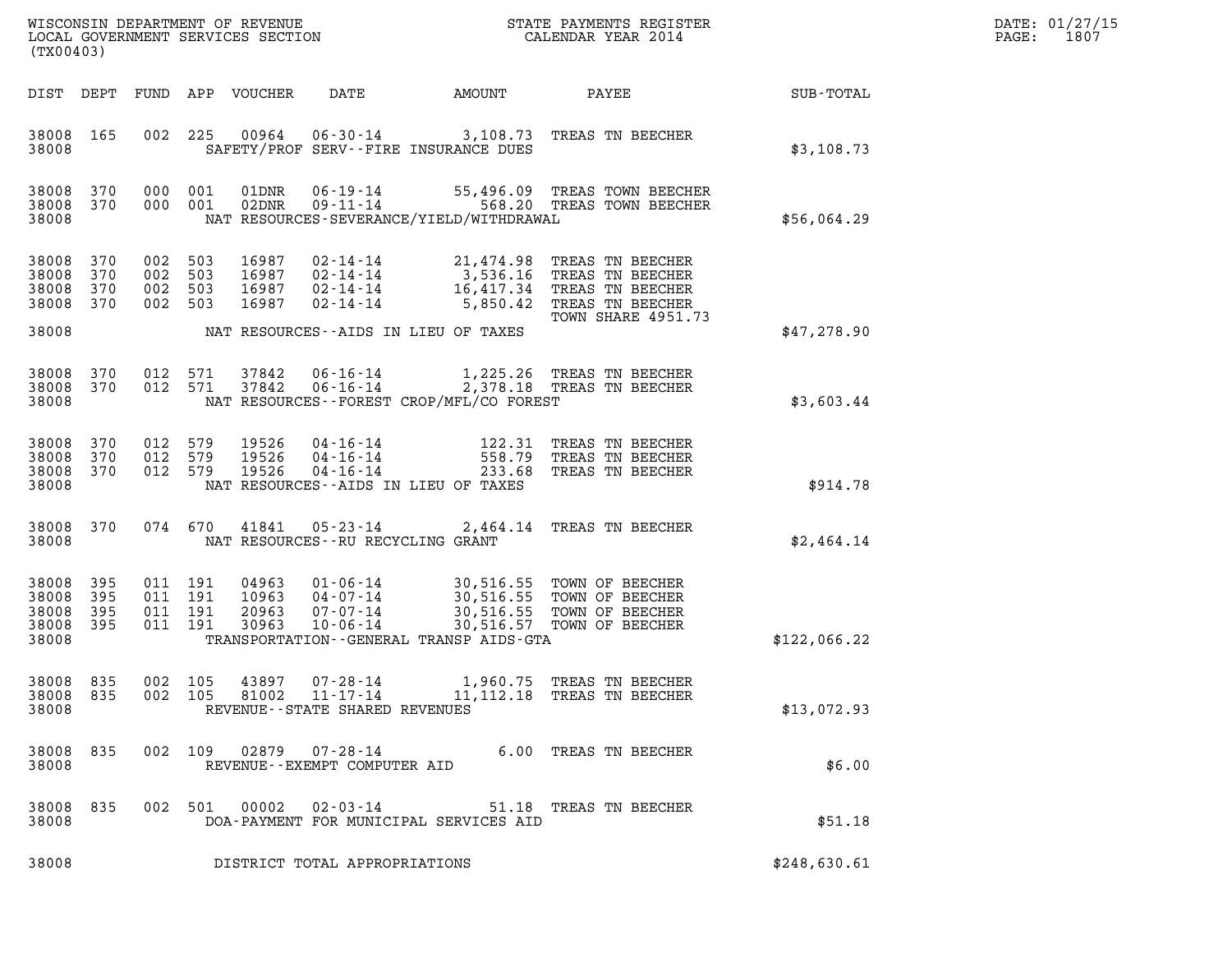| DATE: | 01/27/15 |
|-------|----------|
| PAGE: | 1807     |

| (TX00403)                                     |                   |                              | LOCAL GOVERNMENT SERVICES SECTION |                                                                                        |                                                                                 |        |                                                                                                                                                 |              | DATE: 01/27/15<br>1807<br>PAGE: |
|-----------------------------------------------|-------------------|------------------------------|-----------------------------------|----------------------------------------------------------------------------------------|---------------------------------------------------------------------------------|--------|-------------------------------------------------------------------------------------------------------------------------------------------------|--------------|---------------------------------|
| DIST DEPT                                     |                   | FUND                         | APP VOUCHER                       |                                                                                        | DATE                                                                            | AMOUNT | PAYEE                                                                                                                                           | SUB-TOTAL    |                                 |
| 38008 165<br>38008                            |                   | 002                          | 225                               | 00964                                                                                  | SAFETY/PROF SERV--FIRE INSURANCE DUES                                           |        | 06-30-14 3,108.73 TREAS TN BEECHER                                                                                                              | \$3,108.73   |                                 |
| 38008 370<br>38008 370<br>38008               |                   | 000 001                      | 000 001                           | 01DNR<br>02DNR                                                                         | NAT RESOURCES-SEVERANCE/YIELD/WITHDRAWAL                                        |        | 06-19-14 55,496.09 TREAS TOWN BEECHER<br>09-11-14 568.20 TREAS TOWN BEECHER                                                                     | \$56,064.29  |                                 |
| 38008<br>38008<br>38008<br>38008 370          | 370<br>370<br>370 | 002<br>002<br>002<br>002 503 | 503<br>503<br>503                 | 16987<br>16987<br>16987<br>16987                                                       | 02-14-14<br>02-14-14<br>$02 - 14 - 14$<br>02-14-14                              |        | 21,474.98 TREAS TN BEECHER<br>3,536.16 TREAS TN BEECHER<br>16,417.34 TREAS TN BEECHER<br>5,850.42 TREAS TN BEECHER<br><b>TOWN SHARE 4951.73</b> |              |                                 |
| 38008                                         |                   |                              |                                   |                                                                                        | NAT RESOURCES--AIDS IN LIEU OF TAXES                                            |        |                                                                                                                                                 | \$47,278.90  |                                 |
| 38008<br>38008 370<br>38008                   | 370               | 012                          | 571<br>012 571                    | 37842<br>37842                                                                         | $06 - 16 - 14$<br>$06 - 16 - 14$<br>NAT RESOURCES - - FOREST CROP/MFL/CO FOREST |        | 1,225.26 TREAS TN BEECHER<br>2,378.18 TREAS TN BEECHER                                                                                          | \$3,603.44   |                                 |
| 38008 370<br>38008<br>38008 370<br>38008      | 370               | 012 579<br>012<br>012 579    | 579                               | 19526<br>19526<br>19526<br>$04 - 16 - 14$                                              | 04-16-14<br>$04 - 16 - 14$<br>NAT RESOURCES -- AIDS IN LIEU OF TAXES            | 558.79 | 122.31 TREAS TN BEECHER<br>TREAS TN BEECHER<br>233.68 TREAS TN BEECHER                                                                          | \$914.78     |                                 |
| 38008 370<br>38008                            |                   |                              | 074 670                           | 41841                                                                                  | 05-23-14<br>NAT RESOURCES - - RU RECYCLING GRANT                                |        | 2,464.14 TREAS TN BEECHER                                                                                                                       | \$2,464.14   |                                 |
| 38008 395<br>38008<br>38008<br>38008<br>38008 | 395<br>395<br>395 | 011 191                      | 011 191<br>011 191<br>011 191     | 04963<br>10963<br>$04 - 07 - 14$<br>20963<br>$07 - 07 - 14$<br>30963<br>$10 - 06 - 14$ | 01-06-14<br>TRANSPORTATION--GENERAL TRANSP AIDS-GTA                             |        | 30,516.55 TOWN OF BEECHER<br>30,516.55 TOWN OF BEECHER<br>30,516.55 TOWN OF BEECHER<br>30,516.57 TOWN OF BEECHER                                | \$122,066.22 |                                 |
| 38008 835<br>38008 835<br>38008               |                   | 002 105                      | 002 105                           | 43897<br>$07 - 28 - 14$<br>81002                                                       | 11-17-14<br>REVENUE - - STATE SHARED REVENUES                                   |        | 1,960.75 TREAS TN BEECHER<br>11, 112.18 TREAS TN BEECHER                                                                                        | \$13,072.93  |                                 |
| 38008 835<br>38008                            |                   |                              | 002 109 02879                     | 07-28-14                                                                               | REVENUE--EXEMPT COMPUTER AID                                                    |        | 6.00 TREAS TN BEECHER                                                                                                                           | \$6.00       |                                 |
| 38008 835<br>38008                            |                   |                              | 002 501 00002                     |                                                                                        | 02-03-14<br>DOA-PAYMENT FOR MUNICIPAL SERVICES AID                              |        | 51.18 TREAS TN BEECHER                                                                                                                          | \$51.18      |                                 |
| 38008                                         |                   |                              |                                   |                                                                                        | DISTRICT TOTAL APPROPRIATIONS                                                   |        |                                                                                                                                                 | \$248,630.61 |                                 |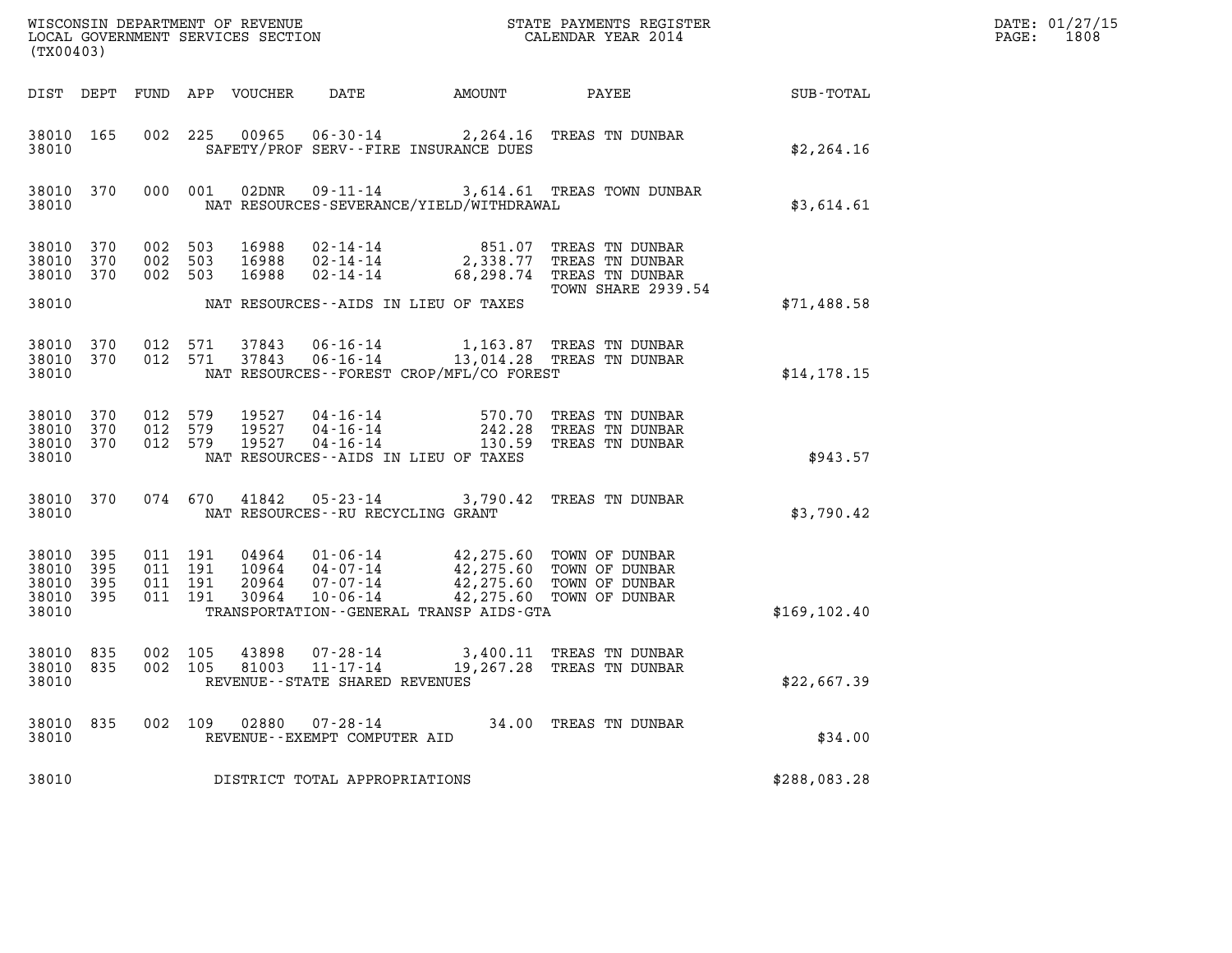| DATE: | 01/27/15 |
|-------|----------|
| PAGE: | 1808     |

| (TX00403)                                             |                                |                                          |         |                            |                                                           |                                                                                       |                                                                                                                               |               | DATE: 01/27/15<br>1808<br>$\mathtt{PAGE:}$ |
|-------------------------------------------------------|--------------------------------|------------------------------------------|---------|----------------------------|-----------------------------------------------------------|---------------------------------------------------------------------------------------|-------------------------------------------------------------------------------------------------------------------------------|---------------|--------------------------------------------|
|                                                       |                                |                                          |         | DIST DEPT FUND APP VOUCHER | DATE                                                      | <b>AMOUNT</b>                                                                         | <b>PAYEE</b>                                                                                                                  | SUB-TOTAL     |                                            |
| 38010 165<br>38010                                    |                                |                                          |         |                            |                                                           | SAFETY/PROF SERV--FIRE INSURANCE DUES                                                 | 002 225 00965 06-30-14 2,264.16 TREAS TN DUNBAR                                                                               | \$2, 264.16   |                                            |
| 38010                                                 | 38010 370                      |                                          | 000 001 |                            |                                                           | NAT RESOURCES-SEVERANCE/YIELD/WITHDRAWAL                                              | 02DNR  09-11-14  3,614.61 TREAS TOWN DUNBAR                                                                                   | \$3,614.61    |                                            |
| 38010 370<br>38010 370                                | 38010 370 002 503              | 002 503<br>002 503                       |         | 16988<br>16988<br>16988    |                                                           |                                                                                       | 02-14-14 851.07 TREAS TN DUNBAR<br>02-14-14 2,338.77 TREAS TN DUNBAR<br>02-14-14 68,298.74 TREAS TN DUNBAR                    |               |                                            |
| 38010                                                 |                                |                                          |         |                            |                                                           | NAT RESOURCES--AIDS IN LIEU OF TAXES                                                  | <b>TOWN SHARE 2939.54</b>                                                                                                     | \$71,488.58   |                                            |
| 38010 370<br>38010                                    | 38010 370                      |                                          |         |                            |                                                           | NAT RESOURCES - - FOREST CROP/MFL/CO FOREST                                           | 012 571 37843 06-16-14 1,163.87 TREAS TN DUNBAR<br>012 571 37843 06-16-14 13,014.28 TREAS TN DUNBAR                           | \$14.178.15   |                                            |
| 38010 370<br>38010                                    | 38010 370 012 579<br>38010 370 | 012 579                                  |         | 012 579 19527              |                                                           | NAT RESOURCES--AIDS IN LIEU OF TAXES                                                  |                                                                                                                               | \$943.57      |                                            |
| 38010                                                 |                                |                                          |         |                            | NAT RESOURCES -- RU RECYCLING GRANT                       |                                                                                       | 38010 370 074 670 41842 05-23-14 3,790.42 TREAS TN DUNBAR                                                                     | \$3,790.42    |                                            |
| 38010 395<br>38010<br>38010 395<br>38010 395<br>38010 | 395                            | 011 191<br>011 191<br>011 191<br>011 191 |         |                            |                                                           | 04964  01-06-14  42,275.60  TOWN OF DUNBAR<br>TRANSPORTATION--GENERAL TRANSP AIDS-GTA | 10964 04-07-14 42,275.60 TOWN OF DUNBAR<br>20964 07-07-14 42,275.60 TOWN OF DUNBAR<br>30964 10-06-14 42,275.60 TOWN OF DUNBAR | \$169, 102.40 |                                            |
| 38010 835<br>38010 835<br>38010                       |                                | 002 105<br>002 105                       |         | 43898<br>81003             | 07-28-14<br>11-17-14<br>REVENUE - - STATE SHARED REVENUES |                                                                                       | 3,400.11 TREAS TN DUNBAR<br>19,267.28 TREAS TN DUNBAR                                                                         | \$22,667.39   |                                            |
| 38010<br>38010                                        | 835                            | 002 109                                  |         | 02880                      | $07 - 28 - 14$<br>REVENUE--EXEMPT COMPUTER AID            |                                                                                       | 34.00 TREAS TN DUNBAR                                                                                                         | \$34.00       |                                            |
| 38010                                                 |                                |                                          |         |                            | DISTRICT TOTAL APPROPRIATIONS                             |                                                                                       |                                                                                                                               | \$288,083.28  |                                            |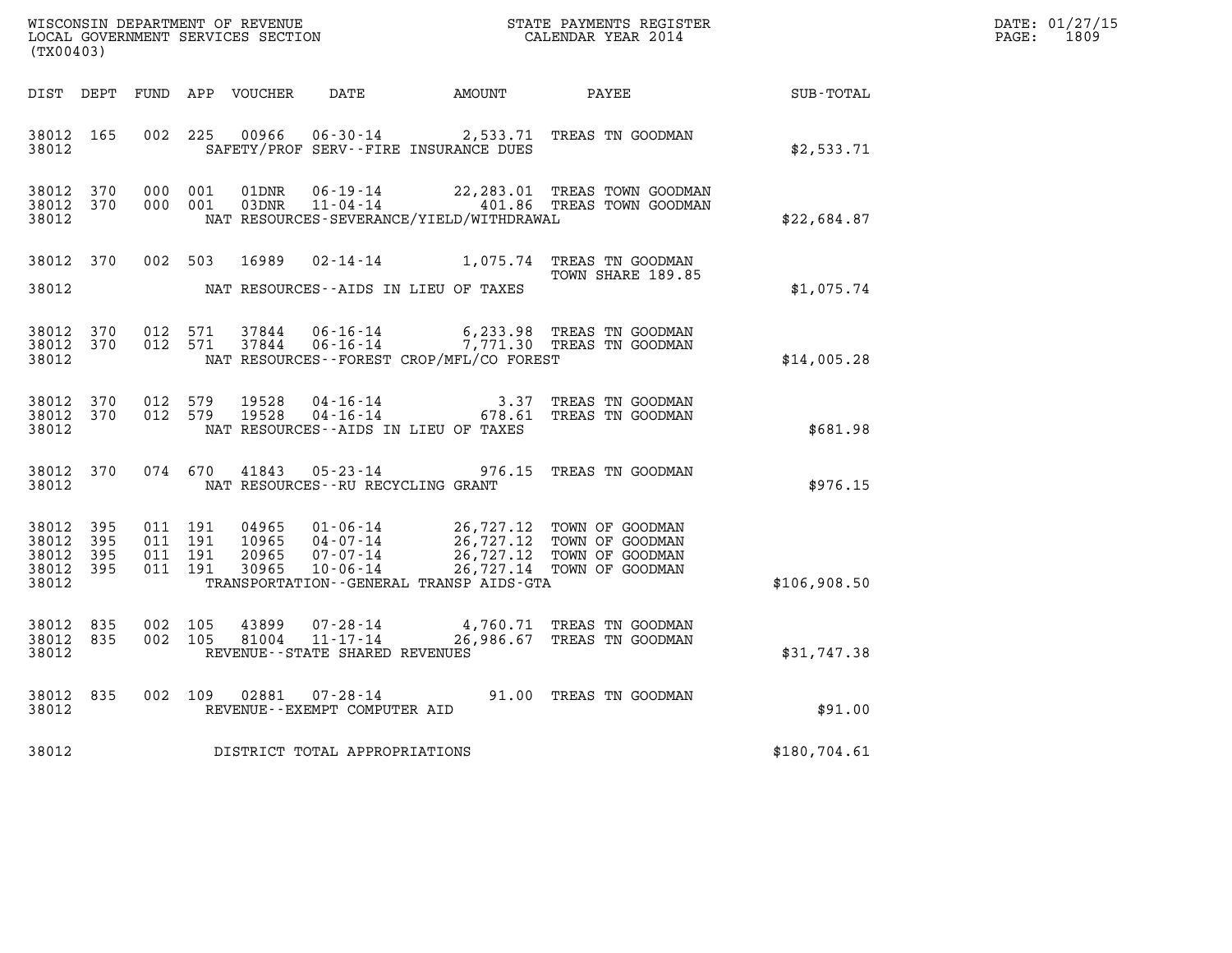| DATE: | 01/27/15 |
|-------|----------|
| PAGE: | 1809     |

| (TX00403)                                             |           |                              |                    |                         |                                   |                                          |                                                                                                                                                                                          |              | DATE: 01/27/15<br>$\mathtt{PAGE}$ :<br>1809 |
|-------------------------------------------------------|-----------|------------------------------|--------------------|-------------------------|-----------------------------------|------------------------------------------|------------------------------------------------------------------------------------------------------------------------------------------------------------------------------------------|--------------|---------------------------------------------|
| DIST DEPT                                             |           |                              |                    |                         |                                   |                                          |                                                                                                                                                                                          |              |                                             |
| 38012                                                 | 38012 165 |                              |                    |                         |                                   | SAFETY/PROF SERV--FIRE INSURANCE DUES    | 002 225 00966 06-30-14 2,533.71 TREAS TN GOODMAN                                                                                                                                         | \$2,533.71   |                                             |
| 38012 370<br>38012 370<br>38012                       |           |                              | 000 001<br>000 001 | 01DNR<br>03DNR          |                                   | NAT RESOURCES-SEVERANCE/YIELD/WITHDRAWAL | 06-19-14 22,283.01 TREAS TOWN GOODMAN<br>11-04-14 401.86 TREAS TOWN GOODMAN                                                                                                              | \$22,684.87  |                                             |
| 38012                                                 |           |                              |                    | 38012 370 002 503 16989 |                                   | NAT RESOURCES--AIDS IN LIEU OF TAXES     | 02-14-14 1,075.74 TREAS TN GOODMAN<br>TOWN SHARE 189.85                                                                                                                                  | \$1,075.74   |                                             |
| 38012                                                 | 38012 370 | 38012 370 012 571            |                    |                         |                                   | NAT RESOURCES--FOREST CROP/MFL/CO FOREST | 012 571 37844 06-16-14 6,233.98 TREAS TN GOODMAN<br>012 571 37844 06-16-14 7,771.30 TREAS TN GOODMAN                                                                                     | \$14,005.28  |                                             |
| 38012 370<br>38012                                    |           | 38012 370 012 579<br>012 579 |                    | 19528<br>19528          |                                   | NAT RESOURCES -- AIDS IN LIEU OF TAXES   | 04-16-14 3.37 TREAS TN GOODMAN<br>04-16-14 678.61 TREAS TN GOODMAN                                                                                                                       | \$681.98     |                                             |
| 38012                                                 | 38012 370 |                              | 074 670            | 41843                   | NAT RESOURCES--RU RECYCLING GRANT |                                          | 05-23-14 976.15 TREAS TN GOODMAN                                                                                                                                                         | \$976.15     |                                             |
| 38012 395<br>38012<br>38012 395<br>38012 395<br>38012 | - 395     | 011 191<br>011 191           | 011 191<br>011 191 |                         |                                   | TRANSPORTATION--GENERAL TRANSP AIDS-GTA  | 04965  01-06-14  26,727.12  TOWN OF GOODMAN<br>10965  04-07-14  26,727.12  TOWN OF GOODMAN<br>20965  07-07-14  26,727.12  TOWN OF GOODMAN<br>30965  10-06-14  26,727.14  TOWN OF GOODMAN | \$106,908.50 |                                             |
| 38012 835<br>38012                                    | 38012 835 | 002 105<br>002 105           |                    |                         | REVENUE--STATE SHARED REVENUES    |                                          | $\begin{array}{cccc} 43899 & 07\text{-}28\text{-}14 & 4,760.71 & \text{TREAS TN GOODMAN} \\ 81004 & 11\text{-}17\text{-}14 & 26,986.67 & \text{TREAS TN GOODMAN} \end{array}$            | \$31,747.38  |                                             |
| 38012                                                 | 38012 835 |                              |                    |                         | REVENUE--EXEMPT COMPUTER AID      |                                          | 002 109 02881 07-28-14 91.00 TREAS TN GOODMAN                                                                                                                                            | \$91.00      |                                             |
| 38012                                                 |           |                              |                    |                         | DISTRICT TOTAL APPROPRIATIONS     |                                          |                                                                                                                                                                                          | \$180,704.61 |                                             |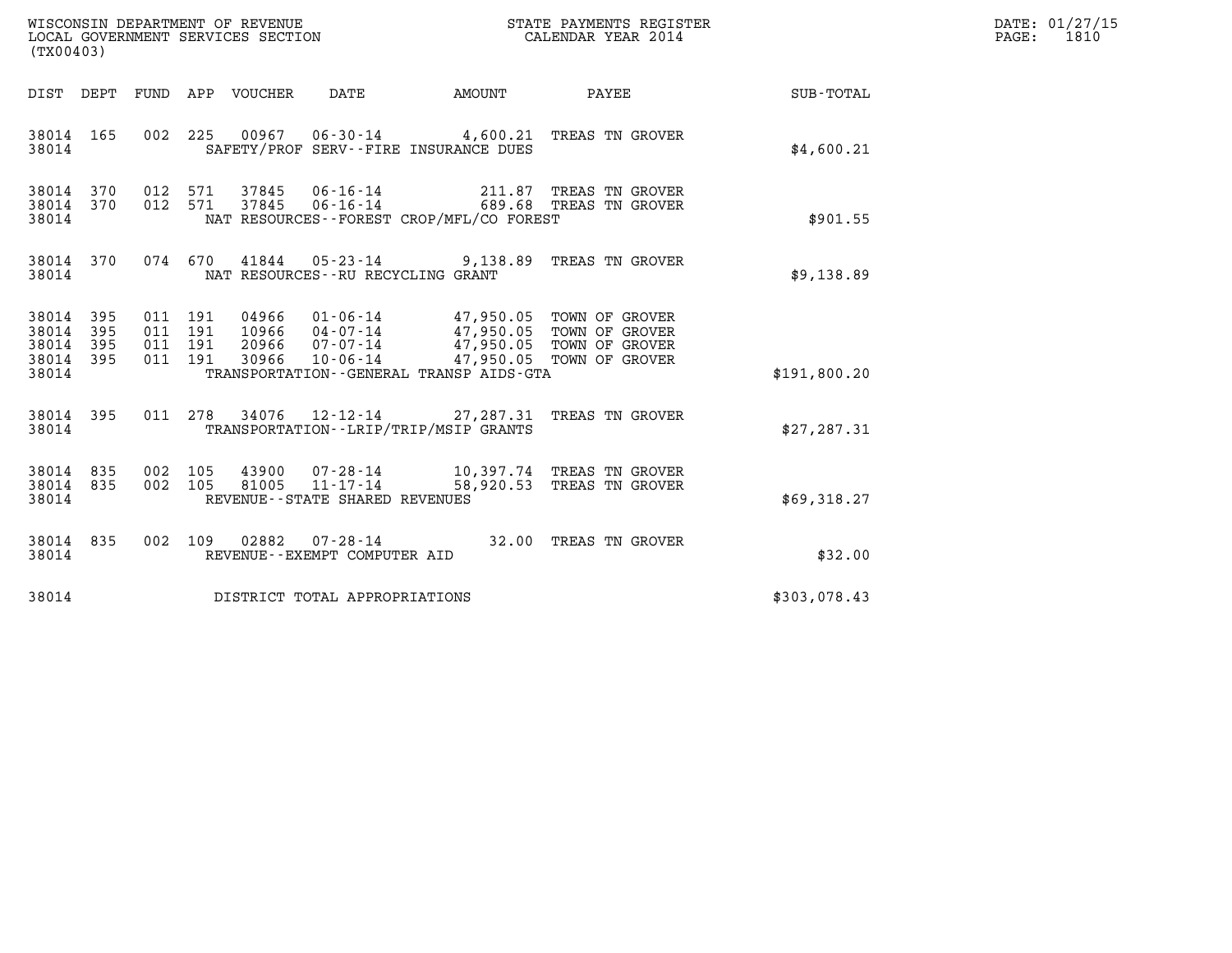| $\tt WISCONSIM DEPARTMENT OF REVENUE$ $\tt TOCALENDAR YEAR$ 2014 $\tt COCLL$ GOVERNMENT SERVICES SECTION $\tt CALENDAR YEAR$ 2014<br>(TX00403) |            |  |                    |               |                                                          |                                             |                                                                                                                                                                                  | DATE: 01/27/15<br>PAGE: 1810 |  |
|------------------------------------------------------------------------------------------------------------------------------------------------|------------|--|--------------------|---------------|----------------------------------------------------------|---------------------------------------------|----------------------------------------------------------------------------------------------------------------------------------------------------------------------------------|------------------------------|--|
|                                                                                                                                                | DIST DEPT  |  |                    |               |                                                          | FUND APP VOUCHER DATE AMOUNT                |                                                                                                                                                                                  | PAYEE SUB-TOTAL              |  |
| 38014 165<br>38014                                                                                                                             |            |  |                    |               |                                                          | SAFETY/PROF SERV--FIRE INSURANCE DUES       | 002 225 00967 06-30-14 4,600.21 TREAS TN GROVER                                                                                                                                  | \$4,600.21                   |  |
| 38014 370<br>38014 370<br>38014                                                                                                                |            |  |                    |               |                                                          | NAT RESOURCES - - FOREST CROP/MFL/CO FOREST | 012 571 37845 06-16-14 211.87 TREAS TN GROVER<br>012 571 37845 06-16-14 689.68 TREAS TN GROVER                                                                                   | \$901.55                     |  |
| 38014                                                                                                                                          | 38014 370  |  |                    |               | NAT RESOURCES -- RU RECYCLING GRANT                      |                                             | 074 670 41844 05-23-14 9,138.89 TREAS TN GROVER                                                                                                                                  | \$9,138.89                   |  |
| 38014 395<br>38014<br>38014<br>38014 395                                                                                                       | 395<br>395 |  | 011 191<br>011 191 | 011 191 30966 |                                                          |                                             | 011 191 04966 01-06-14 47,950.05 TOWN OF GROVER<br>10966 04-07-14 47,950.05 TOWN OF GROVER<br>20966 07-07-14 47,950.05 TOWN OF GROVER<br>30966 10-06-14 47,950.05 TOWN OF GROVER |                              |  |
| 38014                                                                                                                                          |            |  |                    |               |                                                          | TRANSPORTATION--GENERAL TRANSP AIDS-GTA     |                                                                                                                                                                                  | \$191,800.20                 |  |
| 38014 395<br>38014                                                                                                                             |            |  |                    |               |                                                          | TRANSPORTATION - - LRIP/TRIP/MSIP GRANTS    | 011 278 34076 12-12-14 27, 287.31 TREAS TN GROVER                                                                                                                                | \$27, 287.31                 |  |
| 38014 835<br>38014 835<br>38014                                                                                                                |            |  |                    |               | 002 105 81005 11-17-14<br>REVENUE--STATE SHARED REVENUES |                                             | 002 105 43900 07-28-14 10,397.74 TREAS TN GROVER<br>58,920.53 TREAS TN GROVER                                                                                                    | \$69,318.27                  |  |
| 38014 835<br>38014                                                                                                                             |            |  |                    |               | REVENUE--EXEMPT COMPUTER AID                             |                                             | 002 109 02882 07-28-14 32.00 TREAS TN GROVER                                                                                                                                     | \$32.00                      |  |
|                                                                                                                                                |            |  |                    |               | 38014 DISTRICT TOTAL APPROPRIATIONS                      |                                             |                                                                                                                                                                                  | \$303,078.43                 |  |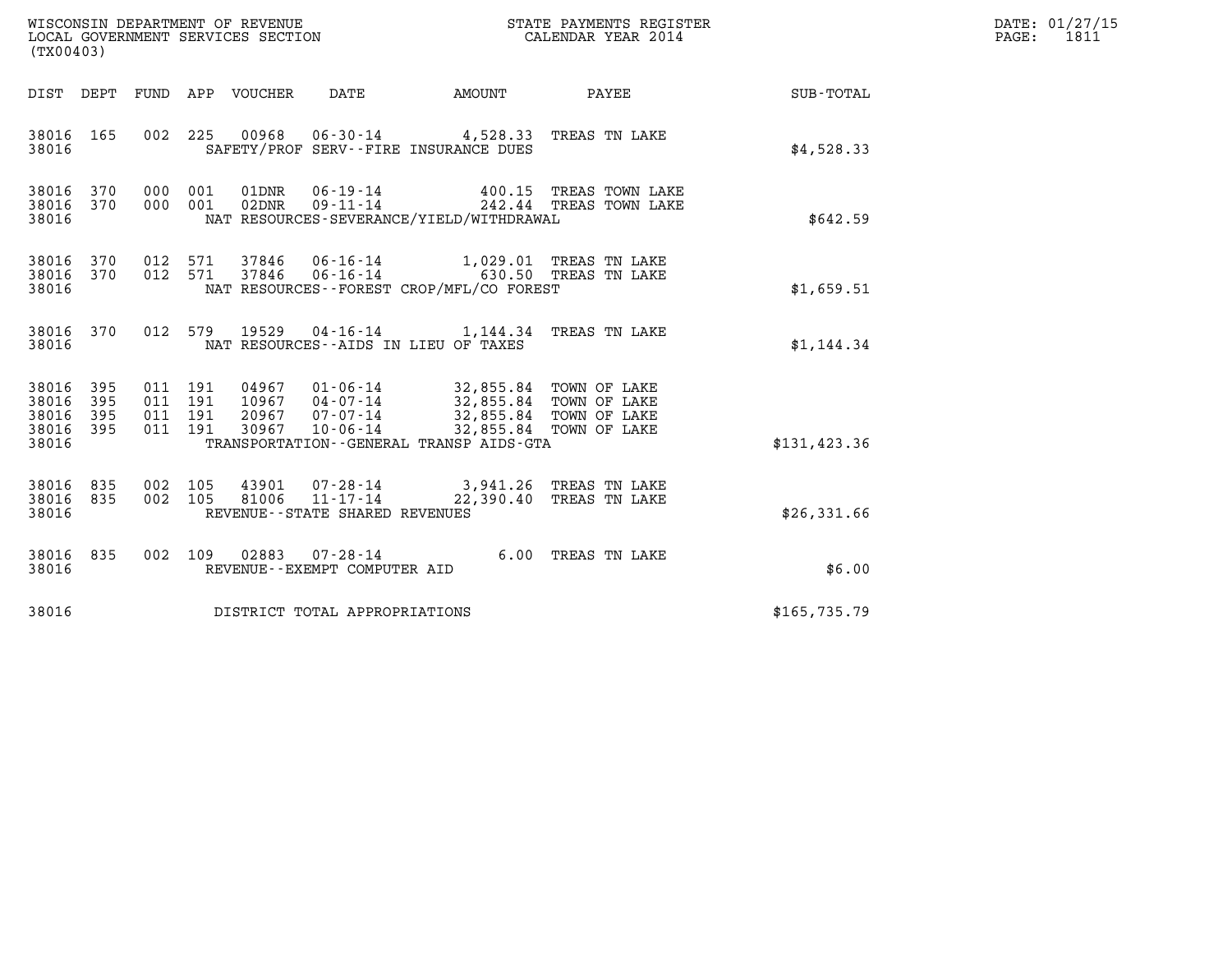| (TX00403)                                                          | WISCONSIN DEPARTMENT OF REVENUE<br>LOCAL GOVERNMENT SERVICES SECTION<br>STATE PAYMENTS REGISTER<br>CALENDAR YEAR 2014                                                    | DATE: 01/27/15<br>PAGE: 1811 |  |
|--------------------------------------------------------------------|--------------------------------------------------------------------------------------------------------------------------------------------------------------------------|------------------------------|--|
|                                                                    | DIST DEPT FUND APP VOUCHER DATE<br><b>AMOUNT</b>                                                                                                                         | PAYEE SUB-TOTAL              |  |
| 38016 165<br>38016                                                 | 002 225 00968 06-30-14 4,528.33 TREAS TN LAKE<br>SAFETY/PROF SERV--FIRE INSURANCE DUES                                                                                   | \$4,528.33                   |  |
| 38016 370<br>38016 370<br>38016                                    | 000 001<br>000 001<br>NAT RESOURCES-SEVERANCE/YIELD/WITHDRAWAL                                                                                                           | \$642.59                     |  |
| 38016 370<br>38016 370<br>38016                                    | 012 571 37846 06-16-14 1,029.01 TREAS TN LAKE 012 571 37846 06-16-14 630.50 TREAS TN LAKE<br>NAT RESOURCES--FOREST CROP/MFL/CO FOREST                                    | \$1,659.51                   |  |
| 38016 370<br>38016                                                 | 19529  04-16-14   1,144.34   TREAS TN LAKE<br>012 579<br>NAT RESOURCES--AIDS IN LIEU OF TAXES                                                                            | \$1,144.34                   |  |
| 38016<br>395<br>38016<br>395<br>38016<br>395<br>38016 395<br>38016 | 011 191<br>011 191<br>011 191<br>20967 07-07-14 32,855.84 TOWN OF LAKE<br>011 191<br>30967 10-06-14<br>32,855.84 TOWN OF LAKE<br>TRANSPORTATION--GENERAL TRANSP AIDS-GTA | \$131, 423.36                |  |
| 38016<br>835<br>38016 835<br>38016                                 | 07-28-14 3,941.26 TREAS TN LAKE<br>002 105<br>43901<br>002 105<br>81006 11-17-14<br>22,390.40 TREAS TN LAKE<br>REVENUE--STATE SHARED REVENUES                            | \$26,331.66                  |  |
| 38016<br>835<br>38016                                              | $02883$ $07 - 28 - 14$<br>6.00 TREAS TN LAKE<br>002 109<br>REVENUE--EXEMPT COMPUTER AID                                                                                  | \$6.00                       |  |
| 38016                                                              | DISTRICT TOTAL APPROPRIATIONS                                                                                                                                            | \$165,735.79                 |  |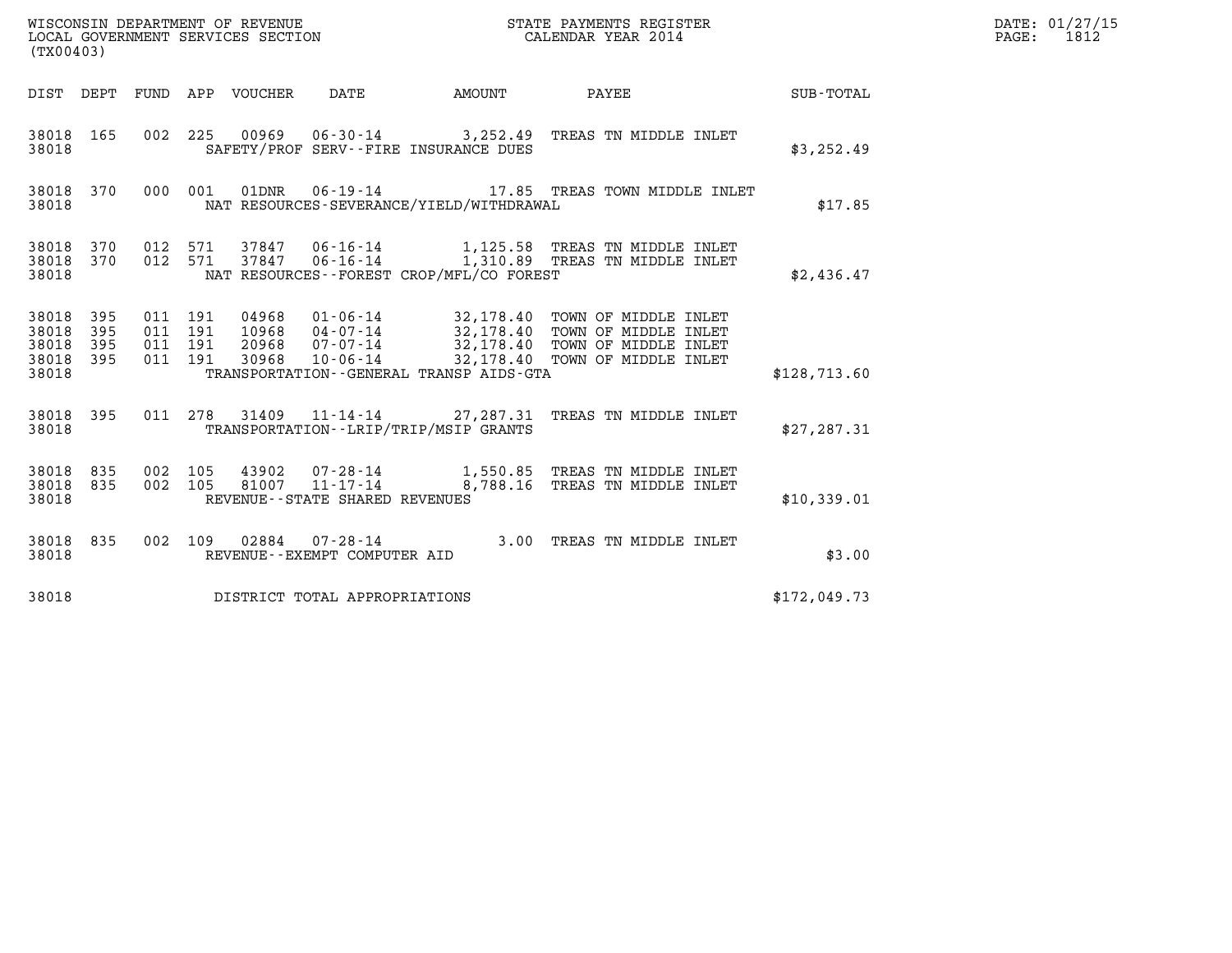| (TX00403)                                |            |                                          |  |  |                                   |                                              |                                                                                                                                                                                                              |              | DATE: 01/27/15<br>PAGE: 1812 |
|------------------------------------------|------------|------------------------------------------|--|--|-----------------------------------|----------------------------------------------|--------------------------------------------------------------------------------------------------------------------------------------------------------------------------------------------------------------|--------------|------------------------------|
|                                          |            |                                          |  |  |                                   | DIST DEPT FUND APP VOUCHER DATE AMOUNT       | PAYEE SUB-TOTAL                                                                                                                                                                                              |              |                              |
| 38018 165<br>38018                       |            |                                          |  |  |                                   | SAFETY/PROF SERV--FIRE INSURANCE DUES        | 002 225 00969 06-30-14 3,252.49 TREAS TN MIDDLE INLET                                                                                                                                                        | \$3,252.49   |                              |
| 38018                                    |            |                                          |  |  |                                   | NAT RESOURCES-SEVERANCE/YIELD/WITHDRAWAL     | 38018 370 000 001 01DNR 06-19-14 17.85 TREAS TOWN MIDDLE INLET                                                                                                                                               | \$17.85      |                              |
| 38018 370 012 571<br>38018 370<br>38018  |            | 012 571                                  |  |  |                                   | NAT RESOURCES--FOREST CROP/MFL/CO FOREST     |                                                                                                                                                                                                              | \$2,436.47   |                              |
| 38018 395<br>38018<br>38018<br>38018 395 | 395<br>395 | 011 191<br>011 191<br>011 191<br>011 191 |  |  |                                   |                                              | 04968  01-06-14  32,178.40  TOWN OF MIDDLE INLET<br>10968  04-07-14  32,178.40  TOWN OF MIDDLE INLET<br>20968  07-07-14  32,178.40  TOWN OF MIDDLE INLET<br>30968  10-06-14  32,178.40  TOWN OF MIDDLE INLET |              |                              |
| 38018                                    |            |                                          |  |  |                                   | TRANSPORTATION - - GENERAL TRANSP AIDS - GTA |                                                                                                                                                                                                              | \$128,713.60 |                              |
| 38018 395<br>38018                       |            |                                          |  |  |                                   | TRANSPORTATION - - LRIP/TRIP/MSIP GRANTS     | 011 278 31409 11-14-14 27, 287.31 TREAS TN MIDDLE INLET                                                                                                                                                      | \$27, 287.31 |                              |
| 38018 835 002 105<br>38018 835<br>38018  |            | 002 105                                  |  |  | REVENUE - - STATE SHARED REVENUES |                                              |                                                                                                                                                                                                              | \$10,339.01  |                              |
| 38018 835<br>38018                       |            |                                          |  |  | REVENUE--EXEMPT COMPUTER AID      |                                              | 002 109 02884 07-28-14 3.00 TREAS TN MIDDLE INLET                                                                                                                                                            | \$3.00       |                              |
| 38018                                    |            |                                          |  |  | DISTRICT TOTAL APPROPRIATIONS     |                                              |                                                                                                                                                                                                              | \$172,049.73 |                              |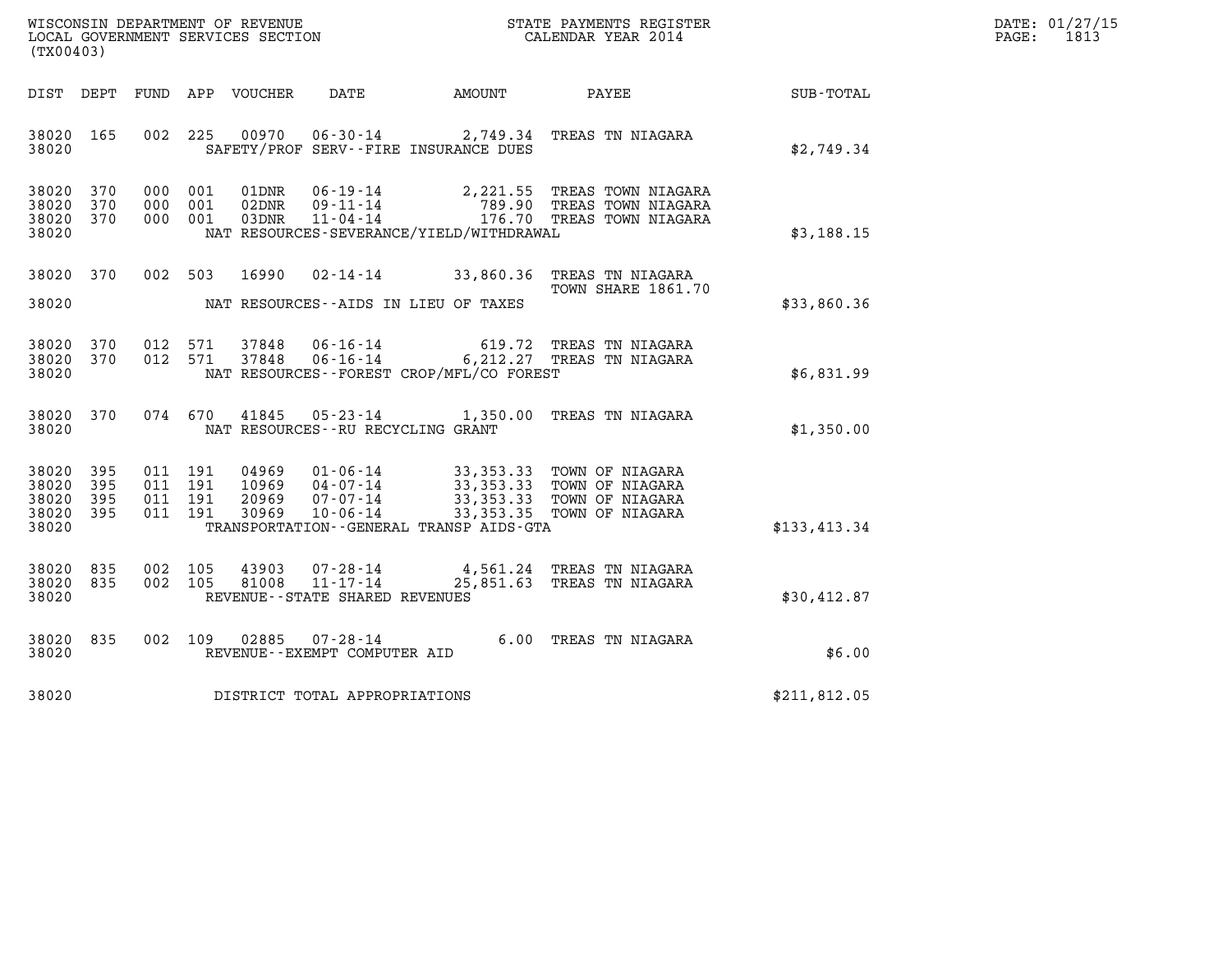| WISCONSIN DEPARTMENT OF REVENUE   | STATE PAYMENTS REGISTER | DATE: 01/27/15 |
|-----------------------------------|-------------------------|----------------|
| LOCAL GOVERNMENT SERVICES SECTION | CALENDAR YEAR 2014      | 1813<br>PAGE:  |

| WISCONSIN DEPARTMENT OF REVENUE<br>LOCAL GOVERNMENT SERVICES SECTION<br>(TX00403)                 |                                                                                                                                                                                      | STATE PAYMENTS REGISTER<br>CALENDAR YEAR 2014                                                                         |                  |
|---------------------------------------------------------------------------------------------------|--------------------------------------------------------------------------------------------------------------------------------------------------------------------------------------|-----------------------------------------------------------------------------------------------------------------------|------------------|
| <b>FUND</b><br>DIST<br>DEPT                                                                       | APP<br>VOUCHER<br>DATE                                                                                                                                                               | AMOUNT<br>PAYEE                                                                                                       | <b>SUB-TOTAL</b> |
| 165<br>002<br>38020<br>38020                                                                      | 00970<br>225<br>$06 - 30 - 14$<br>SAFETY/PROF SERV--FIRE INSURANCE DUES                                                                                                              | 2,749.34 TREAS TN NIAGARA                                                                                             | \$2,749.34       |
| 370<br>38020<br>000<br>38020<br>370<br>000<br>370<br>38020<br>000<br>38020                        | 001<br>01DNR<br>$06 - 19 - 14$<br>$09 - 11 - 14$<br>001<br>02DNR<br>$11 - 04 - 14$<br>001<br>03DNR<br>NAT RESOURCES-SEVERANCE/YIELD/WITHDRAWAL                                       | 2,221.55 TREAS TOWN NIAGARA<br>789.90<br>TREAS TOWN NIAGARA<br>176.70<br>TREAS TOWN NIAGARA                           | \$3,188.15       |
| 38020<br>370<br>002<br>38020                                                                      | 503<br>16990<br>$02 - 14 - 14$<br>NAT RESOURCES - AIDS IN LIEU OF TAXES                                                                                                              | 33,860.36<br>TREAS TN NIAGARA<br>TOWN SHARE 1861.70                                                                   | \$33,860.36      |
| 012<br>38020<br>370<br>38020<br>370<br>012<br>38020                                               | $06 - 16 - 14$<br>571<br>37848<br>$06 - 16 - 14$<br>571<br>37848<br>NAT RESOURCES - - FOREST CROP/MFL/CO FOREST                                                                      | 619.72<br>TREAS TN NIAGARA<br>6, 212.27 TREAS TN NIAGARA                                                              | \$6,831.99       |
| 38020<br>370<br>074<br>38020                                                                      | 670<br>41845<br>$05 - 23 - 14$<br>NAT RESOURCES - - RU RECYCLING GRANT                                                                                                               | 1,350.00<br>TREAS TN NIAGARA                                                                                          | \$1,350.00       |
| 38020<br>395<br>011<br>38020<br>395<br>011<br>395<br>38020<br>011<br>395<br>011<br>38020<br>38020 | 191<br>04969<br>$01 - 06 - 14$<br>191<br>10969<br>$04 - 07 - 14$<br>20969<br>$07 - 07 - 14$<br>191<br>191<br>30969<br>$10 - 06 - 14$<br>TRANSPORTATION - - GENERAL TRANSP AIDS - GTA | 33,353.33 TOWN OF NIAGARA<br>33,353.33 TOWN OF NIAGARA<br>33,353.33 TOWN OF NIAGARA<br>33, 353. 35<br>TOWN OF NIAGARA | \$133,413.34     |
| 835<br>38020<br>002<br>835<br>002<br>38020<br>38020                                               | 105<br>43903<br>$07 - 28 - 14$<br>$11 - 17 - 14$<br>105<br>81008<br>REVENUE - - STATE SHARED REVENUES                                                                                | 4,561.24<br>TREAS TN NIAGARA<br>25,851.63<br>TREAS TN NIAGARA                                                         | \$30,412.87      |
| 002<br>38020<br>835<br>38020                                                                      | 109<br>02885<br>$07 - 28 - 14$<br>REVENUE - - EXEMPT COMPUTER AID                                                                                                                    | 6.00<br>TREAS TN NIAGARA                                                                                              | \$6.00           |
| 38020                                                                                             | DISTRICT TOTAL APPROPRIATIONS                                                                                                                                                        |                                                                                                                       | \$211,812.05     |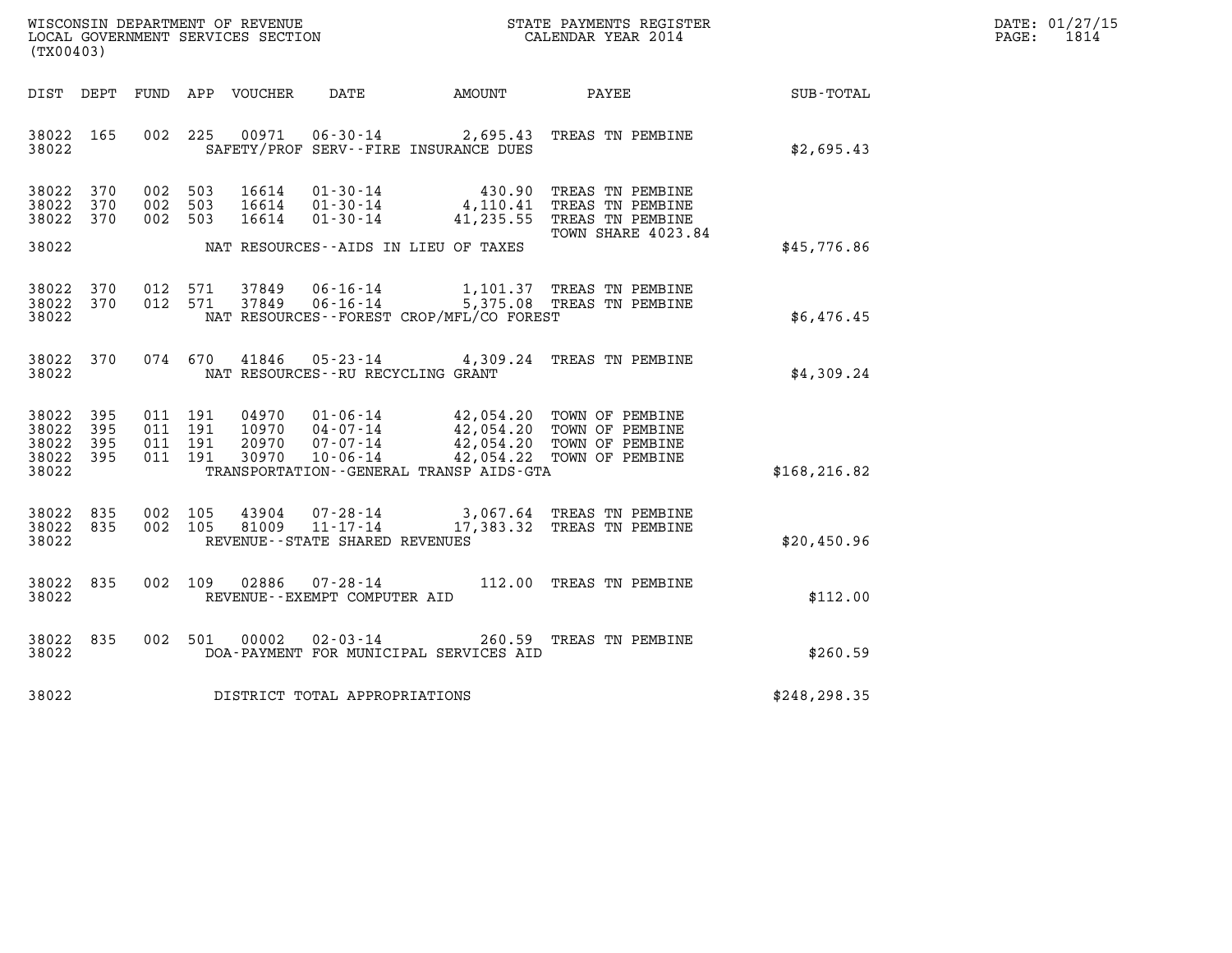| DATE: | 01/27/15 |
|-------|----------|
| PAGE: | 1814     |

| (TX00403)                                                                                                | WISCONSIN DEPARTMENT OF REVENUE<br>LOCAL GOVERNMENT SERVICES SECTION<br>CALENDAR YEAR 2014                                                                                                                                               |                    |               | DATE: 01/27/15<br>$\mathtt{PAGE:}$<br>1814 |
|----------------------------------------------------------------------------------------------------------|------------------------------------------------------------------------------------------------------------------------------------------------------------------------------------------------------------------------------------------|--------------------|---------------|--------------------------------------------|
|                                                                                                          | DIST DEPT FUND APP VOUCHER DATE AMOUNT PAYEE TOTAL                                                                                                                                                                                       |                    |               |                                            |
| 38022 165<br>38022                                                                                       | 002 225 00971<br>06-30-14 2,695.43 TREAS TN PEMBINE<br>SAFETY/PROF SERV--FIRE INSURANCE DUES                                                                                                                                             |                    | \$2,695.43    |                                            |
| 38022 370<br>002 503<br>38022 370<br>002 503<br>38022 370<br>002 503                                     | 01-30-14 430.90 TREAS TN PEMBINE<br>01-30-14 4,110.41 TREAS TN PEMBINE<br>01-30-14 41,235.55 TREAS TN PEMBINE<br>16614<br>16614<br>16614                                                                                                 |                    |               |                                            |
| 38022                                                                                                    | NAT RESOURCES--AIDS IN LIEU OF TAXES                                                                                                                                                                                                     | TOWN SHARE 4023.84 | \$45,776.86   |                                            |
| 38022 370<br>38022 370<br>38022                                                                          | 012 571 37849<br>06-16-14 1,101.37 TREAS TN PEMBINE<br>06-16-14 5,375.08 TREAS TN PEMBINE<br>012 571 37849<br>NAT RESOURCES--FOREST CROP/MFL/CO FOREST                                                                                   |                    | \$6,476.45    |                                            |
| 38022 370<br>38022                                                                                       | 05-23-14 4,309.24 TREAS TN PEMBINE<br>074 670 41846<br>NAT RESOURCES--RU RECYCLING GRANT                                                                                                                                                 |                    | \$4,309.24    |                                            |
| 38022 395<br>011 191<br>38022<br>395<br>011 191<br>38022 395<br>011 191<br>38022 395<br>011 191<br>38022 | 04970<br>01-06-14 42,054.20 TOWN OF PEMBINE<br>04-07-14 42,054.20 TOWN OF PEMBINE<br>07-07-14 42,054.20 TOWN OF PEMBINE<br>10-06-14 42,054.22 TOWN OF PEMBINE<br>10970<br>20970<br>30970<br>TRANSPORTATION - - GENERAL TRANSP AIDS - GTA |                    | \$168, 216.82 |                                            |
| 38022 835<br>002 105<br>38022 835<br>002 105<br>38022                                                    | 07-28-14 3,067.64 TREAS TN PEMBINE<br>11-17-14 17,383.32 TREAS TN PEMBINE<br>43904<br>81009<br>REVENUE--STATE SHARED REVENUES                                                                                                            |                    | \$20,450.96   |                                            |
| 38022 835<br>38022                                                                                       | 002 109 02886<br>07-28-14 112.00 TREAS TN PEMBINE<br>REVENUE--EXEMPT COMPUTER AID                                                                                                                                                        |                    | \$112.00      |                                            |
| 38022 835<br>002 501<br>38022                                                                            | 00002<br>02-03-14 260.59 TREAS TN PEMBINE<br>DOA-PAYMENT FOR MUNICIPAL SERVICES AID                                                                                                                                                      |                    | \$260.59      |                                            |
| 38022                                                                                                    | DISTRICT TOTAL APPROPRIATIONS                                                                                                                                                                                                            |                    | \$248, 298.35 |                                            |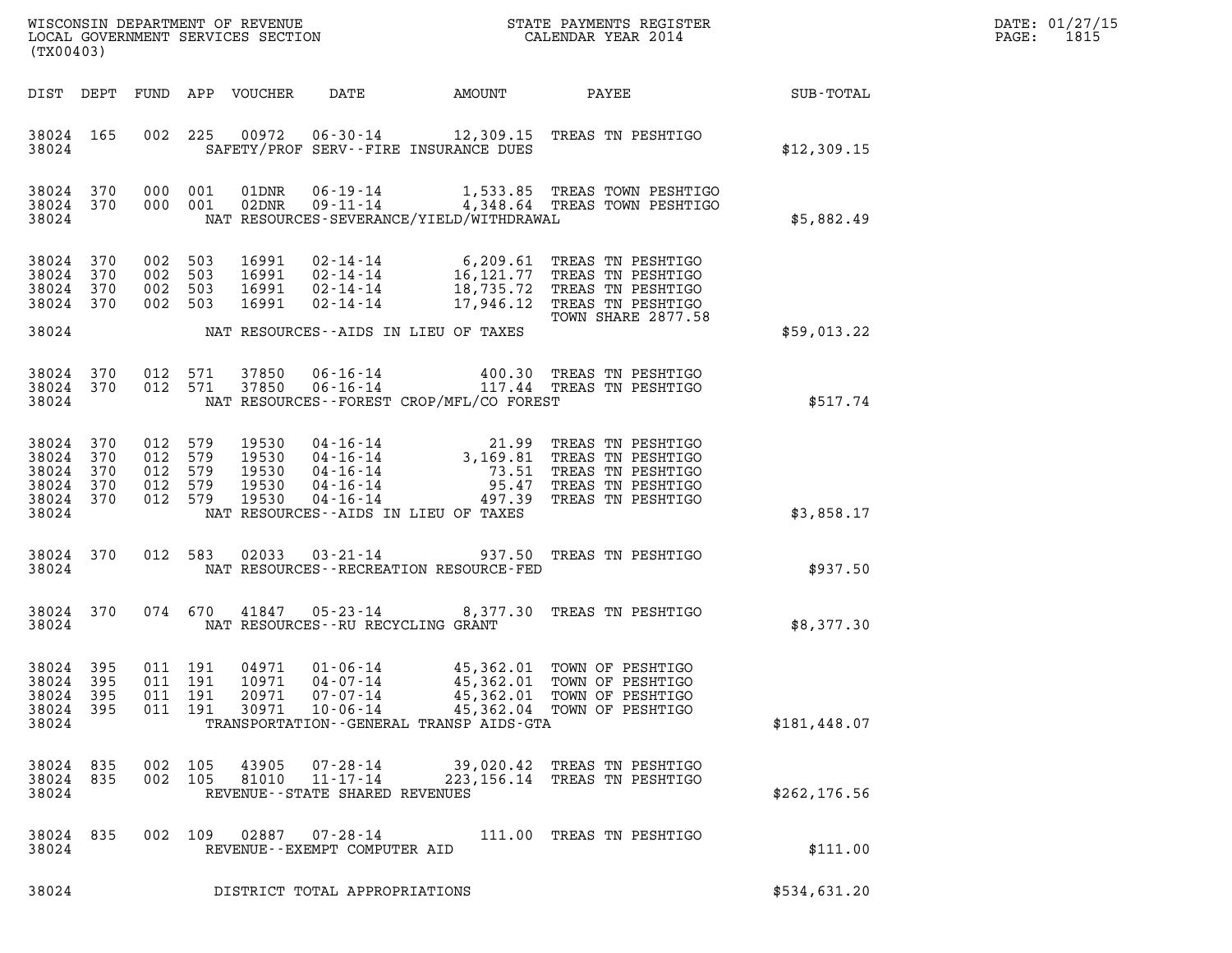| DATE: | 01/27/15 |
|-------|----------|
| PAGE: | 1815     |

| (TX00403)                                                  |                   |     |                                                     |                                           |                                                                       |                                                           |                                                                                                                                                                                                                                                                      |                 | DATE: 01/27/15<br>1815<br>$\mathtt{PAGE}$ : |
|------------------------------------------------------------|-------------------|-----|-----------------------------------------------------|-------------------------------------------|-----------------------------------------------------------------------|-----------------------------------------------------------|----------------------------------------------------------------------------------------------------------------------------------------------------------------------------------------------------------------------------------------------------------------------|-----------------|---------------------------------------------|
|                                                            |                   |     |                                                     | DIST DEPT FUND APP VOUCHER                | DATE                                                                  | AMOUNT                                                    |                                                                                                                                                                                                                                                                      | PAYEE SUB-TOTAL |                                             |
| 38024 165<br>38024                                         |                   |     |                                                     |                                           |                                                                       | SAFETY/PROF SERV--FIRE INSURANCE DUES                     | 002 225 00972 06-30-14 12,309.15 TREAS TN PESHTIGO                                                                                                                                                                                                                   | \$12,309.15     |                                             |
| 38024 370<br>38024                                         | 38024 370         |     | 000 001<br>000 001                                  |                                           |                                                                       | NAT RESOURCES-SEVERANCE/YIELD/WITHDRAWAL                  | 01DNR  06-19-14   1,533.85 TREAS TOWN PESHTIGO<br>02DNR  09-11-14   4,348.64 TREAS TOWN PESHTIGO                                                                                                                                                                     | \$5,882.49      |                                             |
| 38024<br>38024<br>38024<br>38024 370                       | 370<br>370<br>370 | 002 | 503<br>002 503<br>002 503<br>002 503                | 16991<br>16991<br>16991<br>16991          | $02 - 14 - 14$                                                        |                                                           | 02-14-14 6,209.61 TREAS TN PESHTIGO<br>02-14-14 16,121.77 TREAS TN PESHTIGO<br>02-14-14 18,735.72 TREAS TN PESHTIGO<br>17,946.12 TREAS TN PESHTIGO<br>TOWN SHARE 2877.58                                                                                             |                 |                                             |
| 38024                                                      |                   |     |                                                     |                                           |                                                                       | NAT RESOURCES--AIDS IN LIEU OF TAXES                      |                                                                                                                                                                                                                                                                      | \$59.013.22     |                                             |
| 38024 370<br>38024 370<br>38024                            |                   | 012 | 571<br>012 571                                      | 37850<br>37850                            |                                                                       | NAT RESOURCES - - FOREST CROP/MFL/CO FOREST               | 06-16-14 400.30 TREAS TN PESHTIGO<br>06-16-14 117.44 TREAS TN PESHTIGO                                                                                                                                                                                               | \$517.74        |                                             |
| 38024 370<br>38024<br>38024<br>38024<br>38024 370<br>38024 | 370<br>370<br>370 |     | 012 579<br>012 579<br>012 579<br>012 579<br>012 579 | 19530<br>19530<br>19530<br>19530<br>19530 |                                                                       | NAT RESOURCES--AIDS IN LIEU OF TAXES                      | 04-16-14<br>04-16-14<br>04-16-14<br>04-16-14<br>04-16-14<br>04-16-14<br>04-16-14<br>04-16-14<br>04-16-14<br>04-16-14<br>04-16-14<br>04-16-14<br>04-16-14<br>04-16-14<br>04-16-14<br>04-16-14<br>04-16-14<br>04-16-14<br>04-16-14<br>04-16-14<br>04-16-14<br>04-16-14 | \$3,858.17      |                                             |
| 38024                                                      | 38024 370         |     |                                                     |                                           |                                                                       | NAT RESOURCES - - RECREATION RESOURCE - FED               | 012 583 02033 03-21-14 937.50 TREAS TN PESHTIGO                                                                                                                                                                                                                      | \$937.50        |                                             |
| 38024                                                      | 38024 370         |     |                                                     |                                           |                                                                       | NAT RESOURCES--RU RECYCLING GRANT                         | 074 670 41847 05-23-14 8,377.30 TREAS TN PESHTIGO                                                                                                                                                                                                                    | \$8,377.30      |                                             |
| 38024 395<br>38024<br>38024<br>38024<br>38024              | 395<br>395<br>395 | 011 | 011 191<br>191<br>011 191<br>011 191                | 04971<br>10971<br>20971<br>30971          | 01-06-14<br>$04 - 07 - 14$<br>$07 - 07 - 14$<br>$10 - 06 - 14$        | 45,362.01<br>TRANSPORTATION - - GENERAL TRANSP AIDS - GTA | 45,362.01 TOWN OF PESHTIGO<br>TOWN OF PESHTIGO<br>45,362.01 TOWN OF PESHTIGO<br>45,362.04 TOWN OF PESHTIGO                                                                                                                                                           | \$181,448.07    |                                             |
| 38024<br>38024 835<br>38024                                | 835               | 002 | 105<br>002 105                                      | 43905<br>81010                            | $07 - 28 - 14$<br>$11 - 17 - 14$<br>REVENUE - - STATE SHARED REVENUES |                                                           | 39,020.42 TREAS TN PESHTIGO<br>223, 156.14 TREAS TN PESHTIGO                                                                                                                                                                                                         | \$262, 176.56   |                                             |
| 38024<br>38024                                             | 835               |     | 002 109                                             | 02887                                     | $07 - 28 - 14$<br>REVENUE--EXEMPT COMPUTER AID                        |                                                           | 111.00 TREAS TN PESHTIGO                                                                                                                                                                                                                                             | \$111.00        |                                             |
| 38024                                                      |                   |     |                                                     |                                           | DISTRICT TOTAL APPROPRIATIONS                                         |                                                           |                                                                                                                                                                                                                                                                      | \$534,631.20    |                                             |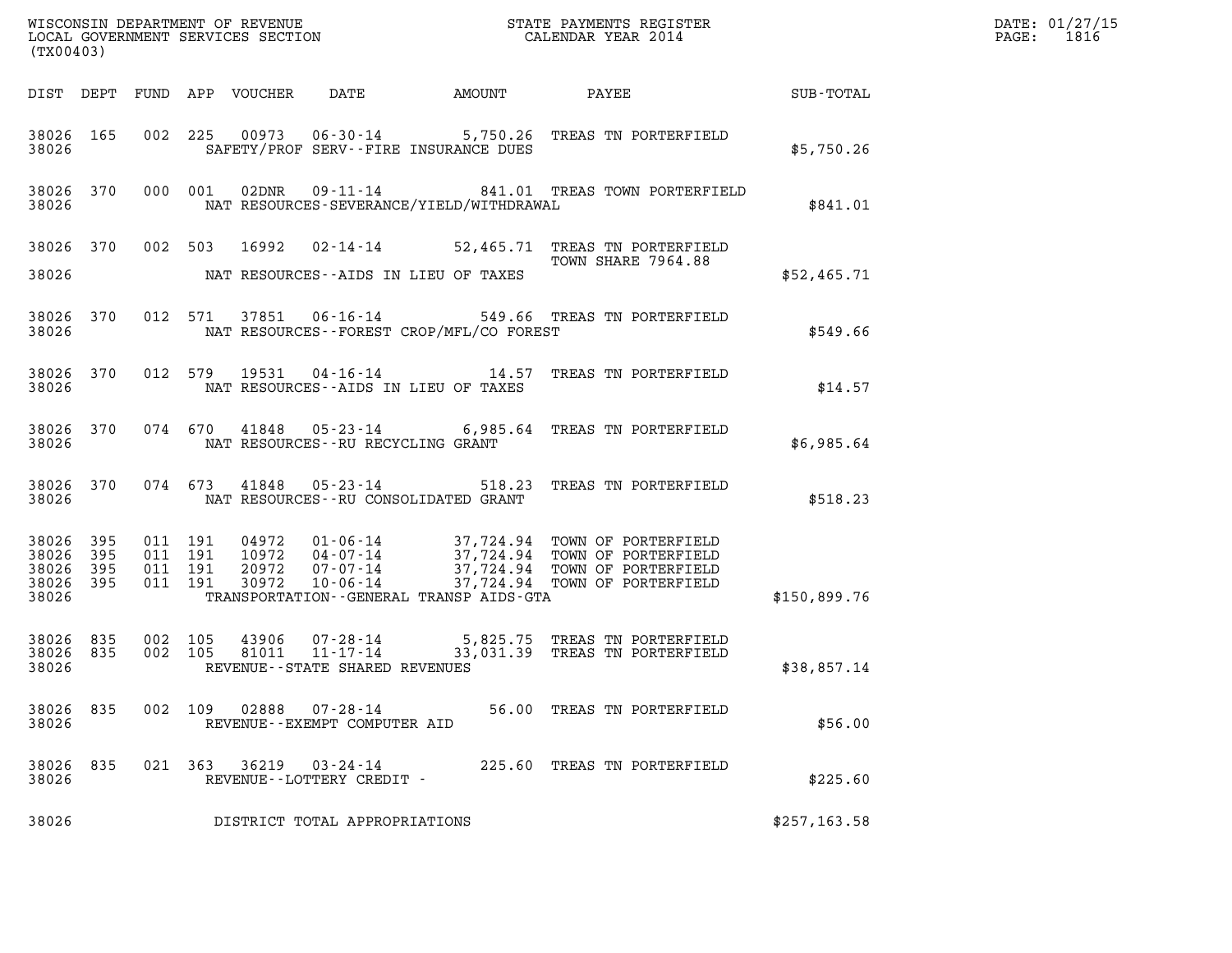| (TX00403)                                    |     |                              |                    |               |                                          |                                              |                                                                                                                                                                                                                      |               | DATE: 01/27/15<br>PAGE: 1816 |
|----------------------------------------------|-----|------------------------------|--------------------|---------------|------------------------------------------|----------------------------------------------|----------------------------------------------------------------------------------------------------------------------------------------------------------------------------------------------------------------------|---------------|------------------------------|
|                                              |     |                              |                    |               |                                          |                                              | DIST DEPT FUND APP VOUCHER DATE AMOUNT PAYEE SUB-TOTAL                                                                                                                                                               |               |                              |
| 38026                                        |     |                              |                    |               |                                          | SAFETY/PROF SERV--FIRE INSURANCE DUES        | 38026 165 002 225 00973 06-30-14 5,750.26 TREAS TN PORTERFIELD                                                                                                                                                       | \$5,750.26    |                              |
| 38026                                        |     |                              |                    |               |                                          | NAT RESOURCES-SEVERANCE/YIELD/WITHDRAWAL     | 38026 370 000 001 02DNR 09-11-14 841.01 TREAS TOWN PORTERFIELD                                                                                                                                                       | \$841.01      |                              |
|                                              |     |                              |                    |               |                                          | 38026 MAT RESOURCES--AIDS IN LIEU OF TAXES   | 38026 370 002 503 16992 02-14-14 52,465.71 TREAS TN PORTERFIELD<br>TOWN SHARE 7964.88                                                                                                                                | \$52,465.71   |                              |
|                                              |     | 38026 38026                  |                    |               |                                          | NAT RESOURCES - - FOREST CROP/MFL/CO FOREST  | 38026 370 012 571 37851 06-16-14 549.66 TREAS TN PORTERFIELD                                                                                                                                                         | \$549.66      |                              |
|                                              |     |                              |                    |               |                                          | 38026 NAT RESOURCES--AIDS IN LIEU OF TAXES   | 38026 370 012 579 19531 04-16-14 14.57 TREAS TN PORTERFIELD                                                                                                                                                          | \$14.57       |                              |
|                                              |     |                              |                    |               |                                          | 38026 NAT RESOURCES--RU RECYCLING GRANT      | 38026 370 074 670 41848 05-23-14 6,985.64 TREAS TN PORTERFIELD                                                                                                                                                       | \$6,985.64    |                              |
|                                              |     |                              |                    |               |                                          | 38026 NAT RESOURCES--RU CONSOLIDATED GRANT   | 38026 370 074 673 41848 05-23-14 518.23 TREAS TN PORTERFIELD                                                                                                                                                         | \$518.23      |                              |
| 38026 395<br>38026 395<br>38026 395<br>38026 |     | 38026 395 011 191<br>011 191 | 011 191<br>011 191 |               |                                          | TRANSPORTATION - - GENERAL TRANSP AIDS - GTA | 04972   01-06-14   37,724.94   TOWN OF PORTERFIELD<br>10972   04-07-14   37,724.94   TOWN OF PORTERFIELD<br>20972   07-07-14   37,724.94   TOWN OF PORTERFIELD<br>30972   10-06-14   37,724.94   TOWN OF PORTERFIELD | \$150,899.76  |                              |
| 38026                                        |     |                              |                    |               | REVENUE--STATE SHARED REVENUES           |                                              | 38026 835 002 105 43906 07-28-14 5,825.75 TREAS TN PORTERFIELD<br>38026 835 002 105 81011 11-17-14 33,031.39 TREAS TN PORTERFIELD                                                                                    | \$38,857.14   |                              |
| 38026 835<br>38026                           |     | 002 109                      |                    | 02888         | 07-28-14<br>REVENUE--EXEMPT COMPUTER AID |                                              | 56.00 TREAS TN PORTERFIELD                                                                                                                                                                                           | \$56.00       |                              |
| 38026<br>38026                               | 835 |                              |                    | 021 363 36219 | 03-24-14<br>REVENUE--LOTTERY CREDIT -    |                                              | 225.60 TREAS TN PORTERFIELD                                                                                                                                                                                          | \$225.60      |                              |
| 38026                                        |     |                              |                    |               | DISTRICT TOTAL APPROPRIATIONS            |                                              |                                                                                                                                                                                                                      | \$257, 163.58 |                              |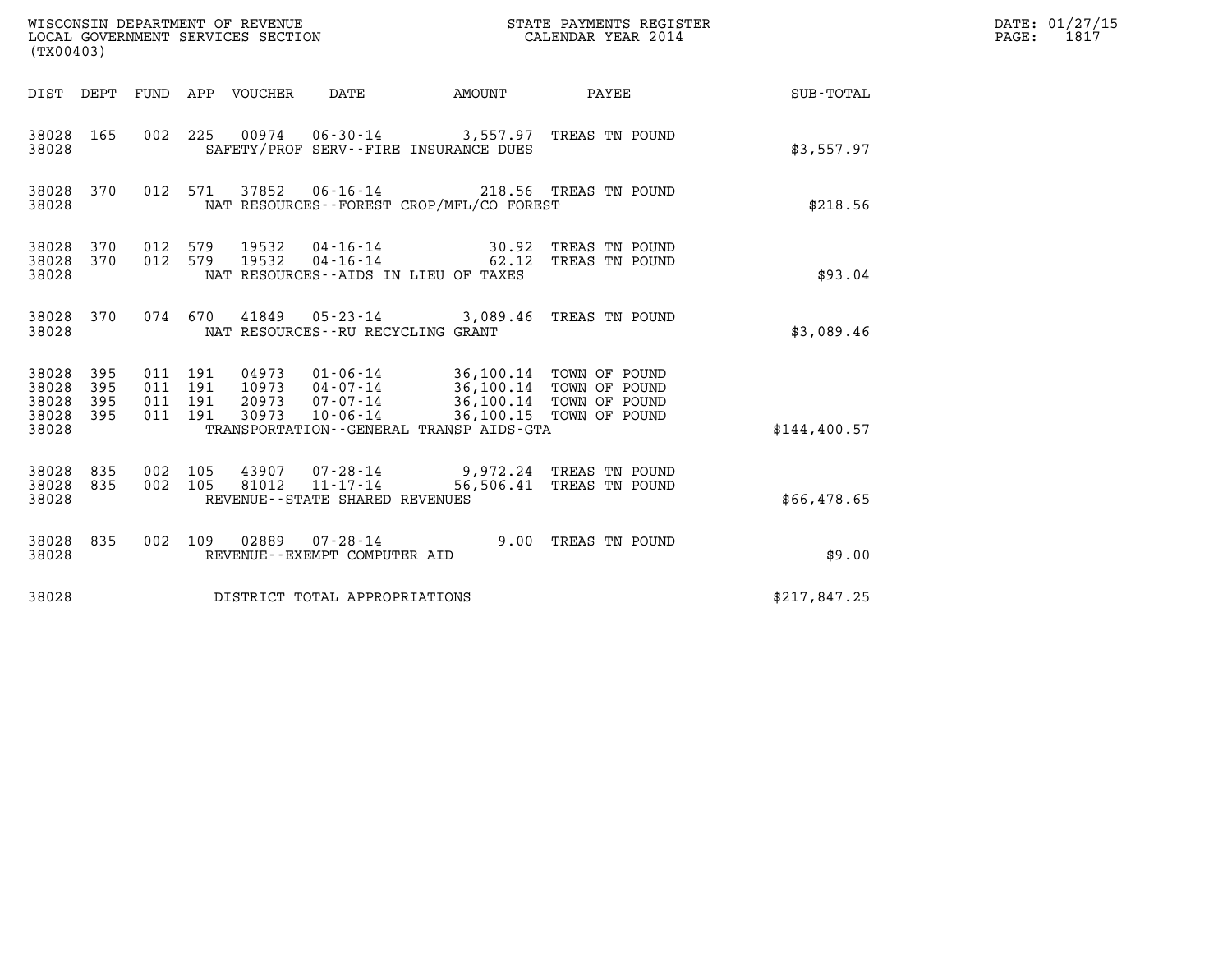| (TX00403)                                 |                          |                                          |         |                            | WISCONSIN DEPARTMENT OF REVENUE<br>LOCAL GOVERNMENT SERVICES SECTION |                                                                                           | STATE PAYMENTS REGISTER<br>CALENDAR YEAR 2014                                 |              | DATE: 01/27/15<br>$\mathtt{PAGE}$ :<br>1817 |
|-------------------------------------------|--------------------------|------------------------------------------|---------|----------------------------|----------------------------------------------------------------------|-------------------------------------------------------------------------------------------|-------------------------------------------------------------------------------|--------------|---------------------------------------------|
|                                           |                          |                                          |         | DIST DEPT FUND APP VOUCHER | DATE                                                                 | AMOUNT                                                                                    | PAYEE                                                                         | SUB-TOTAL    |                                             |
| 38028 165<br>38028                        |                          |                                          |         |                            |                                                                      | 002 225 00974 06-30-14 3,557.97 TREAS TN POUND<br>SAFETY/PROF SERV--FIRE INSURANCE DUES   |                                                                               | \$3,557.97   |                                             |
| 38028 370<br>38028                        |                          |                                          | 012 571 | 37852                      |                                                                      | 06-16-14 218.56 TREAS TN POUND<br>NAT RESOURCES - - FOREST CROP/MFL/CO FOREST             |                                                                               | \$218.56     |                                             |
| 38028 370<br>38028<br>38028               | 370                      | 012 579<br>012 579                       |         | 19532<br>19532             | 04-16-14<br>$04 - 16 - 14$                                           | 30.92<br>62.12<br>NAT RESOURCES -- AIDS IN LIEU OF TAXES                                  | TREAS TN POUND<br>TREAS TN POUND                                              | \$93.04      |                                             |
| 38028 370<br>38028                        |                          |                                          |         | 074 670 41849              | $05 - 23 - 14$<br>NAT RESOURCES - - RU RECYCLING GRANT               |                                                                                           | 3,089.46 TREAS TN POUND                                                       | \$3,089.46   |                                             |
| 38028<br>38028<br>38028<br>38028<br>38028 | 395<br>395<br>395<br>395 | 011 191<br>011 191<br>011 191<br>011 191 |         | 10973<br>20973<br>30973    | $04 - 07 - 14$<br>07-07-14<br>$10 - 06 - 14$                         | 04973  01-06-14  36,100.14  TOWN OF POUND<br>TRANSPORTATION - - GENERAL TRANSP AIDS - GTA | 36,100.14 TOWN OF POUND<br>36,100.14 TOWN OF POUND<br>36,100.15 TOWN OF POUND | \$144,400.57 |                                             |
| 38028 835<br>38028 835<br>38028           |                          | 002 105<br>002 105                       |         | 81012                      | 43907 07-28-14<br>11-17-14<br>REVENUE - - STATE SHARED REVENUES      |                                                                                           | 9,972.24 TREAS TN POUND<br>56,506.41 TREAS TN POUND                           | \$66,478.65  |                                             |
| 38028 835<br>38028                        |                          |                                          |         |                            | 002 109 02889 07-28-14<br>REVENUE--EXEMPT COMPUTER AID               |                                                                                           | 9.00 TREAS TN POUND                                                           | \$9.00       |                                             |
| 38028                                     |                          |                                          |         |                            | DISTRICT TOTAL APPROPRIATIONS                                        |                                                                                           |                                                                               | \$217,847.25 |                                             |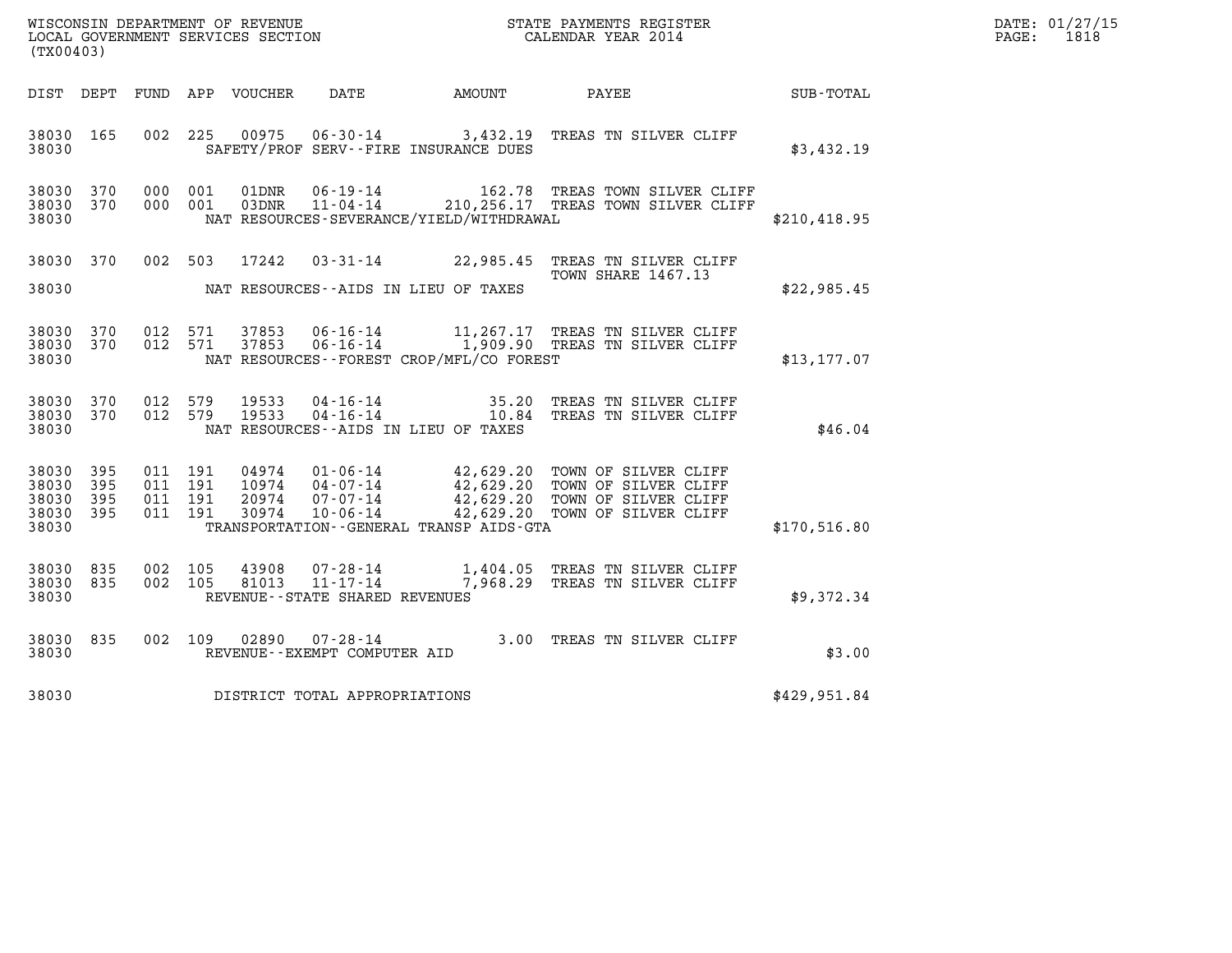| DATE: | 01/27/15 |
|-------|----------|
| PAGE: | 1818     |

| (TX00403)                                         |            |                               |         |                         |                                   |                                              |                                                                                                                                                                                                          |              | DATE: 01/27/15<br>$\mathtt{PAGE:}$<br>1818 |
|---------------------------------------------------|------------|-------------------------------|---------|-------------------------|-----------------------------------|----------------------------------------------|----------------------------------------------------------------------------------------------------------------------------------------------------------------------------------------------------------|--------------|--------------------------------------------|
|                                                   |            |                               |         |                         |                                   |                                              | DIST DEPT FUND APP VOUCHER DATE AMOUNT PAYEE                                                                                                                                                             | SUB-TOTAL    |                                            |
| 38030 165<br>38030                                |            |                               |         | 002 225 00975           |                                   | SAFETY/PROF SERV--FIRE INSURANCE DUES        | 06-30-14 3,432.19 TREAS TN SILVER CLIFF                                                                                                                                                                  | \$3,432.19   |                                            |
| 38030 370<br>38030 370<br>38030                   |            | 000 001<br>000 001            |         | 01DNR<br>03DNR          |                                   | NAT RESOURCES-SEVERANCE/YIELD/WITHDRAWAL     | 06-19-14 162.78 TREAS TOWN SILVER CLIFF<br>11-04-14 210,256.17 TREAS TOWN SILVER CLIFF                                                                                                                   | \$210,418.95 |                                            |
| 38030                                             |            |                               |         | 38030 370 002 503 17242 |                                   | NAT RESOURCES--AIDS IN LIEU OF TAXES         | 03-31-14 22,985.45 TREAS TN SILVER CLIFF<br><b>TOWN SHARE 1467.13</b>                                                                                                                                    | \$22,985.45  |                                            |
| 38030 370<br>38030 370<br>38030                   |            | 012 571                       | 012 571 | 37853<br>37853          |                                   | NAT RESOURCES--FOREST CROP/MFL/CO FOREST     | 06-16-14 11,267.17 TREAS TN SILVER CLIFF<br>06-16-14 1,909.90 TREAS TN SILVER CLIFF                                                                                                                      | \$13,177.07  |                                            |
| 38030 370<br>38030 370<br>38030                   |            | 012 579<br>012 579            |         | 19533<br>19533          |                                   | NAT RESOURCES--AIDS IN LIEU OF TAXES         | 04-16-14 35.20 TREAS TN SILVER CLIFF<br>04-16-14 10.84 TREAS TN SILVER CLIFF                                                                                                                             | \$46.04      |                                            |
| 38030<br>38030<br>38030 395<br>38030 395<br>38030 | 395<br>395 | 011 191<br>011 191<br>011 191 | 011 191 |                         |                                   | TRANSPORTATION - - GENERAL TRANSP AIDS - GTA | 04974  01-06-14  42,629.20 TOWN OF SILVER CLIFF<br>10974  04-07-14  42,629.20 TOWN OF SILVER CLIFF<br>20974  07-07-14  42,629.20 TOWN OF SILVER CLIFF<br>30974  10-06-14  42,629.20 TOWN OF SILVER CLIFF | \$170,516.80 |                                            |
| 38030<br>38030 835<br>38030                       | 835        | 002 105<br>002 105            |         | 43908<br>81013          | REVENUE - - STATE SHARED REVENUES |                                              | 07-28-14 1,404.05 TREAS TN SILVER CLIFF<br>11-17-14 7,968.29 TREAS TN SILVER CLIFF                                                                                                                       | \$9,372.34   |                                            |
| 38030 835<br>38030                                |            |                               | 002 109 |                         | REVENUE--EXEMPT COMPUTER AID      |                                              | 02890  07-28-14  3.00 TREAS TN SILVER CLIFF                                                                                                                                                              | \$3.00       |                                            |
| 38030                                             |            |                               |         |                         | DISTRICT TOTAL APPROPRIATIONS     |                                              |                                                                                                                                                                                                          | \$429,951.84 |                                            |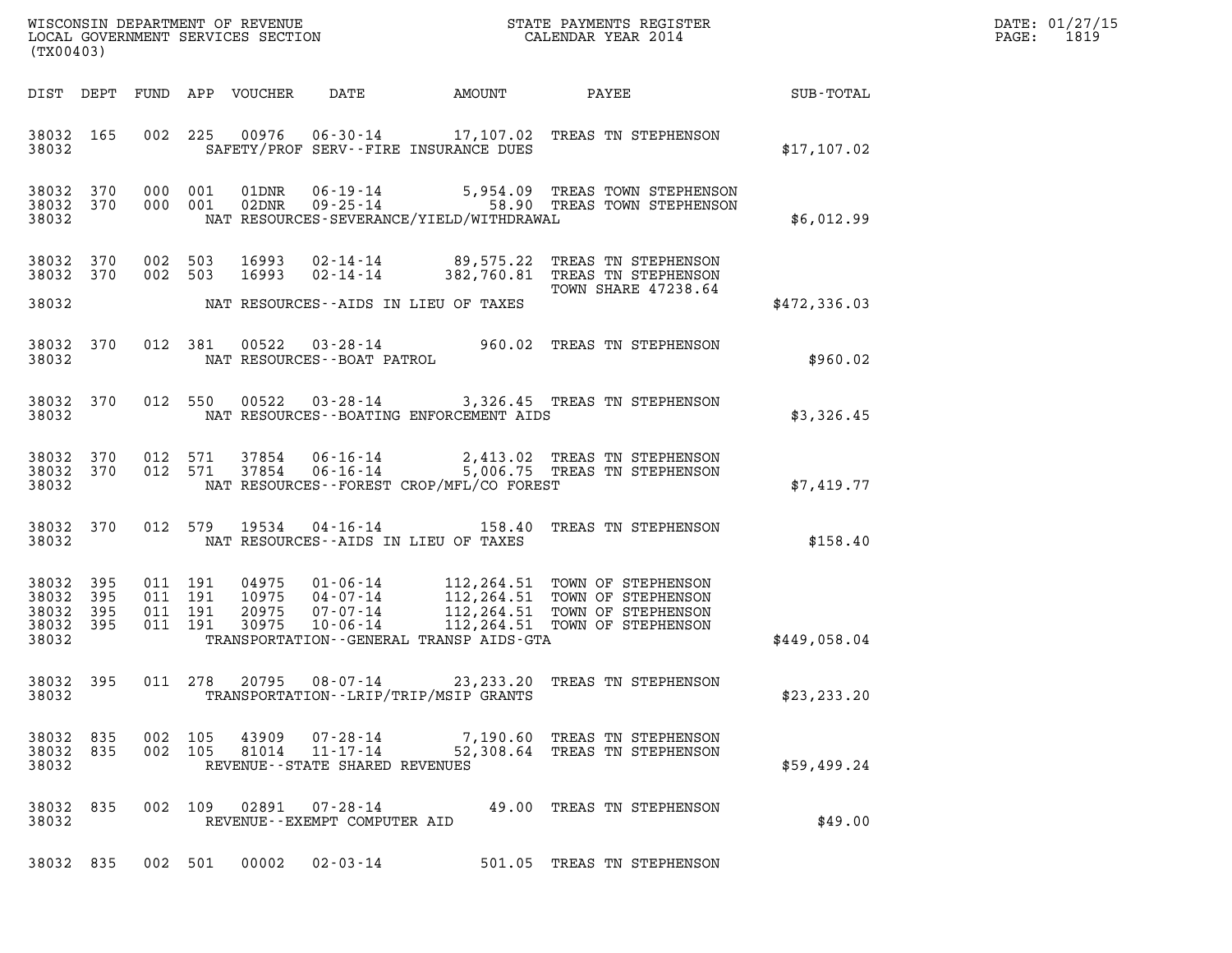| DATE: | 01/27/15 |
|-------|----------|
| PAGE: | 1819     |

| (TX00403)                                     |                   |         |                               |                                 |                                                  |                                          |                                                                                                                                        |              | DATE: 01/27/15<br>PAGE: 1819 |
|-----------------------------------------------|-------------------|---------|-------------------------------|---------------------------------|--------------------------------------------------|------------------------------------------|----------------------------------------------------------------------------------------------------------------------------------------|--------------|------------------------------|
|                                               |                   |         |                               | DIST DEPT FUND APP VOUCHER DATE |                                                  |                                          | AMOUNT PAYEE                                                                                                                           | SUB-TOTAL    |                              |
| 38032                                         |                   |         |                               |                                 |                                                  | SAFETY/PROF SERV--FIRE INSURANCE DUES    | 38032 165 002 225 00976 06-30-14 17,107.02 TREAS TN STEPHENSON                                                                         | \$17,107.02  |                              |
| 38032                                         |                   |         |                               |                                 |                                                  | NAT RESOURCES-SEVERANCE/YIELD/WITHDRAWAL | 38032 370 000 001 01DNR 06-19-14 5,954.09 TREAS TOWN STEPHENSON<br>38032 370 000 001 02DNR 09-25-14 58.90 TREAS TOWN STEPHENSON        | \$6,012.99   |                              |
| 38032 370<br>38032 370<br>38032               |                   |         | 002 503                       |                                 |                                                  | NAT RESOURCES--AIDS IN LIEU OF TAXES     | 002 503 16993 02-14-14 89,575.22 TREAS TN STEPHENSON<br>16993  02-14-14  382,760.81  TREAS TN STEPHENSON<br><b>TOWN SHARE 47238.64</b> | \$472,336.03 |                              |
| 38032 370<br>38032                            |                   |         |                               |                                 | NAT RESOURCES--BOAT PATROL                       |                                          | 012 381 00522 03-28-14 960.02 TREAS TN STEPHENSON                                                                                      | \$960.02     |                              |
| 38032 370<br>38032                            |                   |         |                               |                                 |                                                  | NAT RESOURCES--BOATING ENFORCEMENT AIDS  | 012 550 00522 03-28-14 3,326.45 TREAS TN STEPHENSON                                                                                    | \$3,326.45   |                              |
| 38032 370<br>38032 370<br>38032               |                   |         |                               |                                 |                                                  | NAT RESOURCES--FOREST CROP/MFL/CO FOREST | 012 571 37854 06-16-14 2,413.02 TREAS TN STEPHENSON<br>012 571 37854 06-16-14 5,006.75 TREAS TN STEPHENSON                             | \$7,419.77   |                              |
| 38032 370<br>38032                            |                   |         |                               |                                 |                                                  | NAT RESOURCES--AIDS IN LIEU OF TAXES     | 012 579 19534 04-16-14 158.40 TREAS TN STEPHENSON                                                                                      | \$158.40     |                              |
| 38032 395<br>38032<br>38032<br>38032<br>38032 | 395<br>395<br>395 | 011 191 | 011 191<br>011 191<br>011 191 |                                 |                                                  | TRANSPORTATION--GENERAL TRANSP AIDS-GTA  |                                                                                                                                        | \$449,058.04 |                              |
| 38032 395<br>38032                            |                   |         |                               |                                 |                                                  | TRANSPORTATION - - LRIP/TRIP/MSIP GRANTS | 011 278 20795 08-07-14 23,233.20 TREAS TN STEPHENSON                                                                                   | \$23, 233.20 |                              |
| 38032 835<br>38032 835<br>38032               |                   |         | 002 105<br>002 105            | 43909<br>81014                  | $11 - 17 - 14$<br>REVENUE--STATE SHARED REVENUES |                                          | 07-28-14 7,190.60 TREAS TN STEPHENSON<br>52,308.64 TREAS TN STEPHENSON                                                                 | \$59,499.24  |                              |
| 38032 835<br>38032                            |                   |         |                               | 002 109 02891                   | 07-28-14<br>REVENUE--EXEMPT COMPUTER AID         |                                          | 49.00 TREAS TN STEPHENSON                                                                                                              | \$49.00      |                              |
| 38032 835                                     |                   |         | 002 501                       | 00002                           | 02-03-14                                         |                                          | 501.05 TREAS TN STEPHENSON                                                                                                             |              |                              |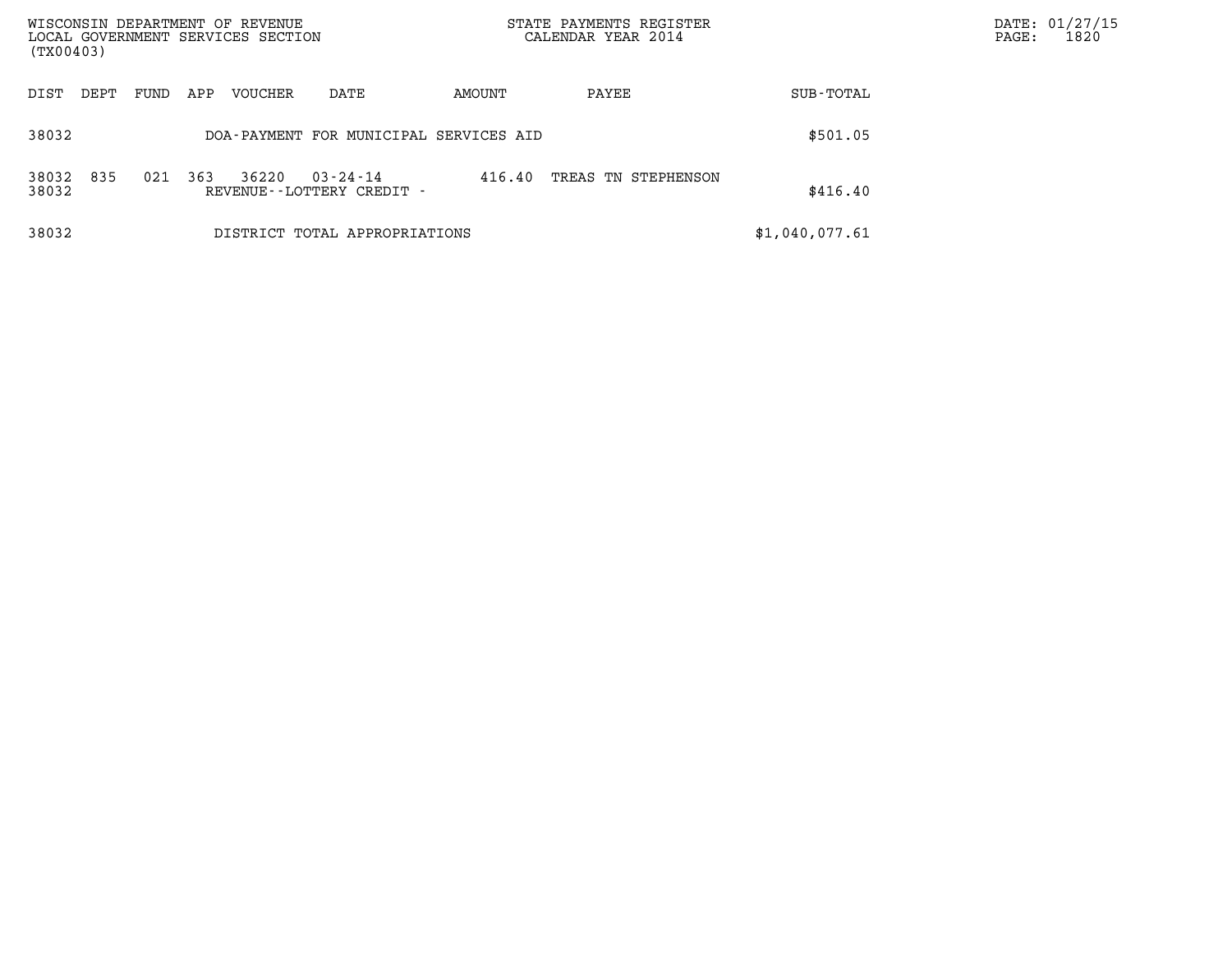| WISCONSIN DEPARTMENT OF REVENUE<br>LOCAL GOVERNMENT SERVICES SECTION<br>(TX00403) |             |         |                                                |        | STATE PAYMENTS REGISTER<br>CALENDAR YEAR 2014 |                | DATE: 01/27/15<br>1820<br>PAGE: |
|-----------------------------------------------------------------------------------|-------------|---------|------------------------------------------------|--------|-----------------------------------------------|----------------|---------------------------------|
| DEPT<br>DIST                                                                      | FUND<br>APP | VOUCHER | DATE                                           | AMOUNT | PAYEE                                         | SUB-TOTAL      |                                 |
| 38032                                                                             |             |         | DOA-PAYMENT FOR MUNICIPAL SERVICES AID         |        |                                               | \$501.05       |                                 |
| 835<br>38032<br>38032                                                             | 021<br>363  | 36220   | $03 - 24 - 14$<br>REVENUE - - LOTTERY CREDIT - | 416.40 | TREAS TN STEPHENSON                           | \$416.40       |                                 |
| 38032                                                                             |             |         | DISTRICT TOTAL APPROPRIATIONS                  |        |                                               | \$1,040,077.61 |                                 |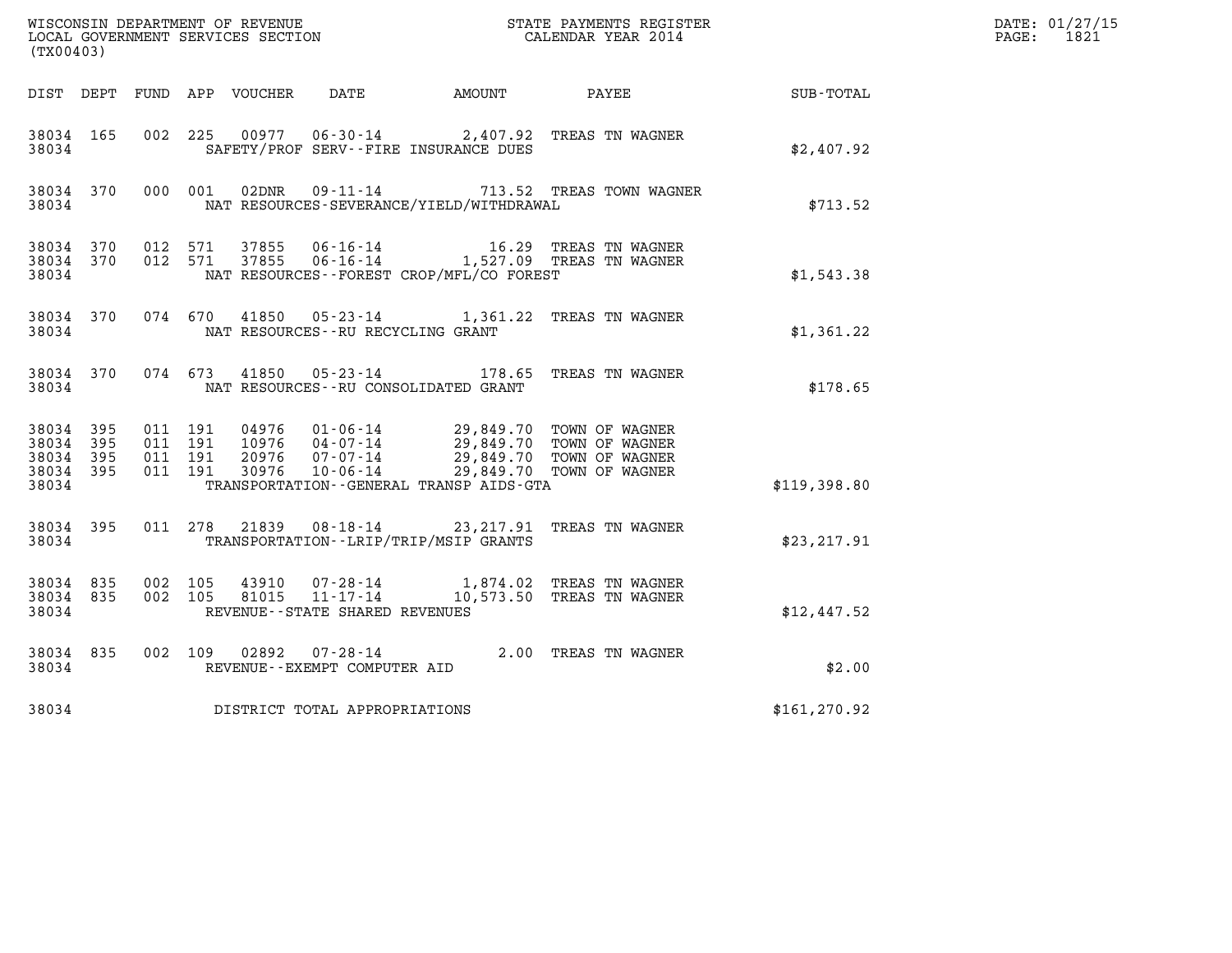|                                          |              |                                          |         |                |                                                        |                                              | DATE: 01/27/15                                                                                                                                   |                  |            |
|------------------------------------------|--------------|------------------------------------------|---------|----------------|--------------------------------------------------------|----------------------------------------------|--------------------------------------------------------------------------------------------------------------------------------------------------|------------------|------------|
| (TX00403)                                |              |                                          |         |                |                                                        |                                              |                                                                                                                                                  |                  | PAGE: 1821 |
|                                          |              |                                          |         |                |                                                        | DIST DEPT FUND APP VOUCHER DATE AMOUNT PAYEE |                                                                                                                                                  | <b>SUB-TOTAL</b> |            |
| 38034 165<br>38034                       |              |                                          |         |                |                                                        | SAFETY/PROF SERV--FIRE INSURANCE DUES        | 002 225 00977 06-30-14 2,407.92 TREAS TN WAGNER                                                                                                  | \$2,407.92       |            |
| 38034 370<br>38034                       |              |                                          | 000 001 | 02DNR          |                                                        | NAT RESOURCES-SEVERANCE/YIELD/WITHDRAWAL     | 09-11-14 713.52 TREAS TOWN WAGNER                                                                                                                | \$713.52         |            |
| 38034                                    | 38034 370    | 38034 370 012 571                        | 012 571 |                |                                                        | NAT RESOURCES - - FOREST CROP/MFL/CO FOREST  |                                                                                                                                                  | \$1,543.38       |            |
| 38034                                    | 38034 370    |                                          |         |                | NAT RESOURCES--RU RECYCLING GRANT                      |                                              | 074 670 41850 05-23-14 1,361.22 TREAS TN WAGNER                                                                                                  | \$1,361.22       |            |
| 38034 370<br>38034                       |              | 074 673                                  |         | 41850          | $05 - 23 - 14$                                         | NAT RESOURCES - - RU CONSOLIDATED GRANT      | 178.65   TREAS  TN  WAGNER                                                                                                                       | \$178.65         |            |
| 38034 395<br>38034<br>38034<br>38034 395 | - 395<br>395 | 011 191<br>011 191<br>011 191<br>011 191 |         | 20976<br>30976 | $07 - 07 - 14$<br>$10 - 06 - 14$                       |                                              | 04976  01-06-14  29,849.70  TOWN OF WAGNER<br>10976  04-07-14  29,849.70  TOWN OF WAGNER<br>29,849.70 TOWN OF WAGNER<br>29,849.70 TOWN OF WAGNER |                  |            |
| 38034                                    |              |                                          |         |                |                                                        | TRANSPORTATION - - GENERAL TRANSP AIDS - GTA |                                                                                                                                                  | \$119,398.80     |            |
| 38034                                    | 38034 395    |                                          |         |                |                                                        | TRANSPORTATION - - LRIP/TRIP/MSIP GRANTS     | 011 278 21839 08-18-14 23,217.91 TREAS TN WAGNER                                                                                                 | \$23,217.91      |            |
| 38034 835<br>38034 835<br>38034          |              | 002 105<br>002 105                       |         | 43910<br>81015 | $11 - 17 - 14$<br>REVENUE - - STATE SHARED REVENUES    |                                              | 07-28-14 1,874.02 TREAS TN WAGNER<br>10,573.50 TREAS TN WAGNER                                                                                   | \$12,447.52      |            |
| 38034 835<br>38034                       |              |                                          |         |                | 002 109 02892 07-28-14<br>REVENUE--EXEMPT COMPUTER AID |                                              | 2.00 TREAS TN WAGNER                                                                                                                             | \$2.00           |            |
| 38034                                    |              |                                          |         |                | DISTRICT TOTAL APPROPRIATIONS                          |                                              |                                                                                                                                                  | \$161, 270.92    |            |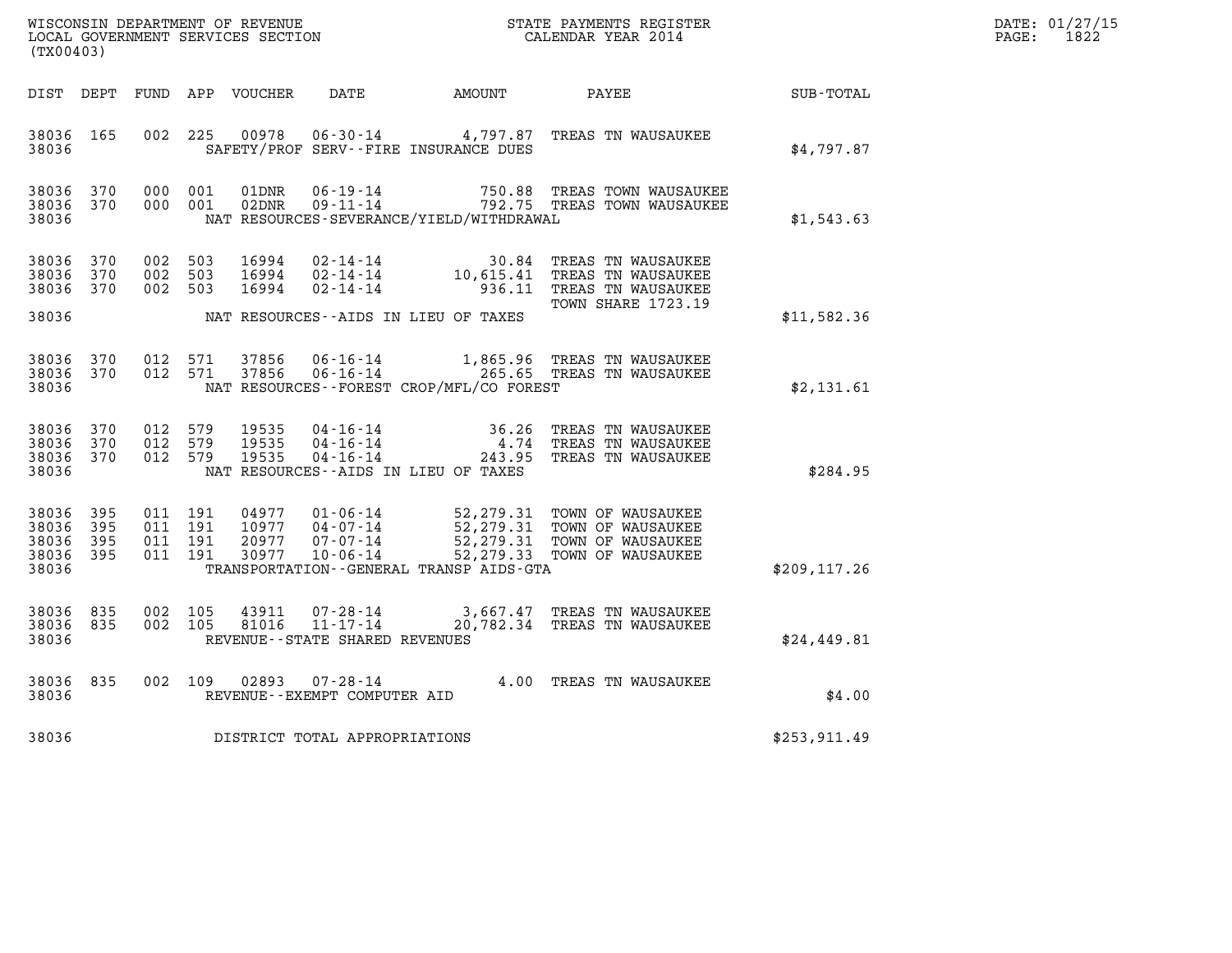| DATE: | 01/27/15 |
|-------|----------|
| PAGE: | 1822     |

|                                           |                          | WISCONSIN DEPARTMENT OF REVENUE      |                   | DATE: 01/27/15                    |                                                                 |                                                    |                                                                                                                             |                          |  |
|-------------------------------------------|--------------------------|--------------------------------------|-------------------|-----------------------------------|-----------------------------------------------------------------|----------------------------------------------------|-----------------------------------------------------------------------------------------------------------------------------|--------------------------|--|
| (TX00403)                                 |                          |                                      |                   | LOCAL GOVERNMENT SERVICES SECTION |                                                                 | CALENDAR YEAR 2014                                 |                                                                                                                             | $\mathtt{PAGE:}$<br>1822 |  |
| DIST DEPT                                 |                          | FUND                                 |                   | APP VOUCHER                       | DATE                                                            | AMOUNT                                             | PAYEE                                                                                                                       | SUB-TOTAL                |  |
| 38036 165<br>38036                        |                          | 002                                  | 225               | 00978                             |                                                                 | SAFETY/PROF SERV--FIRE INSURANCE DUES              | 06-30-14 4,797.87 TREAS TN WAUSAUKEE                                                                                        | \$4,797.87               |  |
| 38036<br>38036<br>38036                   | 370<br>370               | 000<br>000 001                       | 001               | 01DNR<br>02DNR                    | $06 - 19 - 14$<br>$09 - 11 - 14$                                | 750.88<br>NAT RESOURCES-SEVERANCE/YIELD/WITHDRAWAL | TREAS TOWN WAUSAUKEE<br>792.75 TREAS TOWN WAUSAUKEE                                                                         | \$1,543.63               |  |
| 38036<br>38036<br>38036                   | 370<br>370<br>370        | 002<br>002<br>002                    | 503<br>503<br>503 | 16994<br>16994<br>16994           | $02 - 14 - 14$<br>02-14-14<br>02-14-14                          | 30.84<br>10,615.41<br>936.11                       | TREAS TN WAUSAUKEE<br>TREAS TN WAUSAUKEE<br>TREAS TN WAUSAUKEE                                                              |                          |  |
| 38036                                     |                          |                                      |                   |                                   |                                                                 | NAT RESOURCES--AIDS IN LIEU OF TAXES               | <b>TOWN SHARE 1723.19</b>                                                                                                   | \$11,582.36              |  |
| 38036<br>38036 370<br>38036               | 370                      | 012<br>012 571                       | 571               | 37856<br>37856                    | 06-16-14<br>$06 - 16 - 14$                                      | NAT RESOURCES - - FOREST CROP/MFL/CO FOREST        | 1,865.96 TREAS TN WAUSAUKEE<br>265.65 TREAS TN WAUSAUKEE                                                                    | \$2,131.61               |  |
| 38036 370<br>38036<br>38036 370<br>38036  | 370                      | 012 579<br>012 579<br>012 579        |                   | 19535<br>19535<br>19535           | $04 - 16 - 14$<br>$04 - 16 - 14$<br>04-16-14                    | 4.74<br>NAT RESOURCES -- AIDS IN LIEU OF TAXES     | 36.26 TREAS TN WAUSAUKEE<br>TREAS TN WAUSAUKEE<br>243.95 TREAS TN WAUSAUKEE                                                 | \$284.95                 |  |
| 38036<br>38036<br>38036<br>38036<br>38036 | 395<br>395<br>395<br>395 | 011 191<br>011 191<br>011<br>011 191 | 191               | 04977<br>10977<br>20977<br>30977  | 01-06-14<br>$04 - 07 - 14$<br>$07 - 07 - 14$<br>$10 - 06 - 14$  | TRANSPORTATION--GENERAL TRANSP AIDS-GTA            | 52, 279.31 TOWN OF WAUSAUKEE<br>52,279.31 TOWN OF WAUSAUKEE<br>52, 279.31 TOWN OF WAUSAUKEE<br>52, 279.33 TOWN OF WAUSAUKEE | \$209, 117.26            |  |
| 38036 835<br>38036 835<br>38036           |                          | 002 105<br>002 105                   |                   | 43911<br>81016                    | 07-28-14<br>$11 - 17 - 14$<br>REVENUE - - STATE SHARED REVENUES |                                                    | 3,667.47 TREAS TN WAUSAUKEE<br>20,782.34 TREAS TN WAUSAUKEE                                                                 | \$24,449.81              |  |
| 38036<br>38036                            | 835                      | 002 109                              |                   | 02893                             | 07-28-14<br>REVENUE--EXEMPT COMPUTER AID                        |                                                    | 4.00 TREAS TN WAUSAUKEE                                                                                                     | \$4.00                   |  |
| 38036                                     |                          |                                      |                   |                                   | DISTRICT TOTAL APPROPRIATIONS                                   |                                                    |                                                                                                                             | \$253,911.49             |  |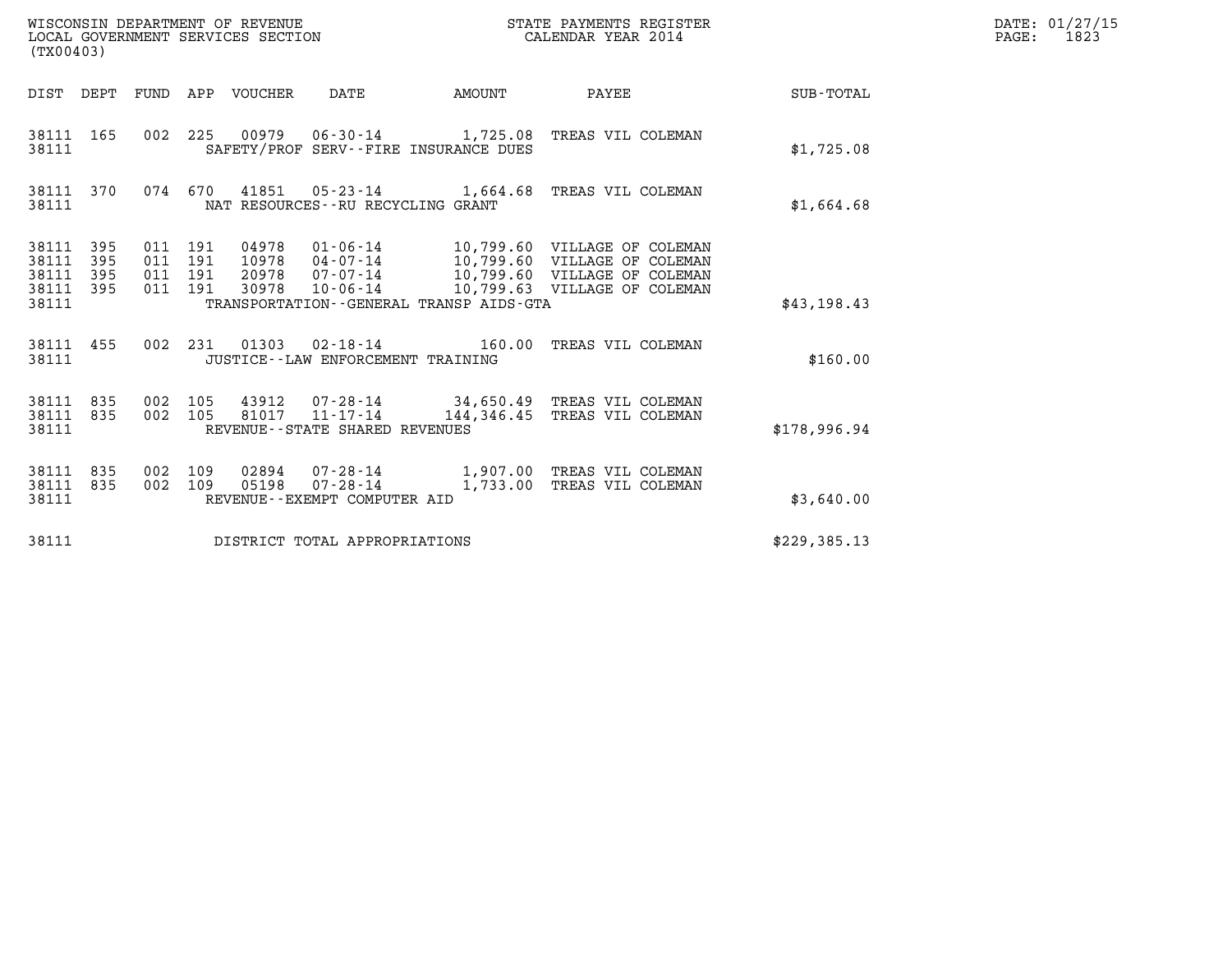| WISCONSIN DEPARTMENT OF REVENUE<br>LOCAL GOVERNMENT SERVICES SECTION<br>(TX00403) |                                          |       |                                              |        | STATE PAYMENTS REGISTER<br>CALENDAR YEAR 2014                                                                                                                                              |              | DATE: 01/27/15<br>PAGE: 1823 |
|-----------------------------------------------------------------------------------|------------------------------------------|-------|----------------------------------------------|--------|--------------------------------------------------------------------------------------------------------------------------------------------------------------------------------------------|--------------|------------------------------|
| DIST DEPT FUND APP VOUCHER DATE                                                   |                                          |       |                                              | AMOUNT | <b>PAYEE</b> FOR THE PAYEE                                                                                                                                                                 | SUB-TOTAL    |                              |
| 38111 165<br>38111                                                                |                                          |       | SAFETY/PROF SERV--FIRE INSURANCE DUES        |        | 002 225 00979 06-30-14 1,725.08 TREAS VIL COLEMAN                                                                                                                                          | \$1,725.08   |                              |
| 38111 370<br>38111                                                                |                                          |       | NAT RESOURCES - - RU RECYCLING GRANT         |        | 074 670 41851 05-23-14 1,664.68 TREAS VIL COLEMAN                                                                                                                                          | \$1,664.68   |                              |
| 38111 395<br>38111<br>395<br>38111<br>395<br>38111 395<br>38111                   | 011 191<br>011 191<br>011 191<br>011 191 | 30978 | TRANSPORTATION - - GENERAL TRANSP AIDS - GTA |        | 04978  01-06-14  10,799.60  VILLAGE OF COLEMAN<br>10978  04-07-14  10,799.60  VILLAGE OF COLEMAN<br>20978  07-07-14  10,799.60 VILLAGE OF COLEMAN<br>10-06-14 10,799.63 VILLAGE OF COLEMAN | \$43,198.43  |                              |
| 38111 455<br>38111                                                                |                                          |       | JUSTICE - - LAW ENFORCEMENT TRAINING         |        | 002 231 01303 02-18-14 160.00 TREAS VIL COLEMAN                                                                                                                                            | \$160.00     |                              |
| 38111 835<br>38111 835<br>38111                                                   | 002 105<br>002 105                       |       | REVENUE - - STATE SHARED REVENUES            |        | 43912  07-28-14  34,650.49  TREAS VIL COLEMAN<br>81017  11-17-14  144,346.45  TREAS VIL COLEMAN                                                                                            | \$178,996.94 |                              |
| 38111 835<br>38111 835<br>38111                                                   | 002 109<br>002 109                       | 05198 | REVENUE--EXEMPT COMPUTER AID                 |        | 02894  07-28-14   1,907.00 TREAS VIL COLEMAN<br>07-28-14 1,733.00 TREAS VIL COLEMAN                                                                                                        | \$3,640.00   |                              |
| 38111                                                                             |                                          |       | DISTRICT TOTAL APPROPRIATIONS                |        |                                                                                                                                                                                            | \$229,385.13 |                              |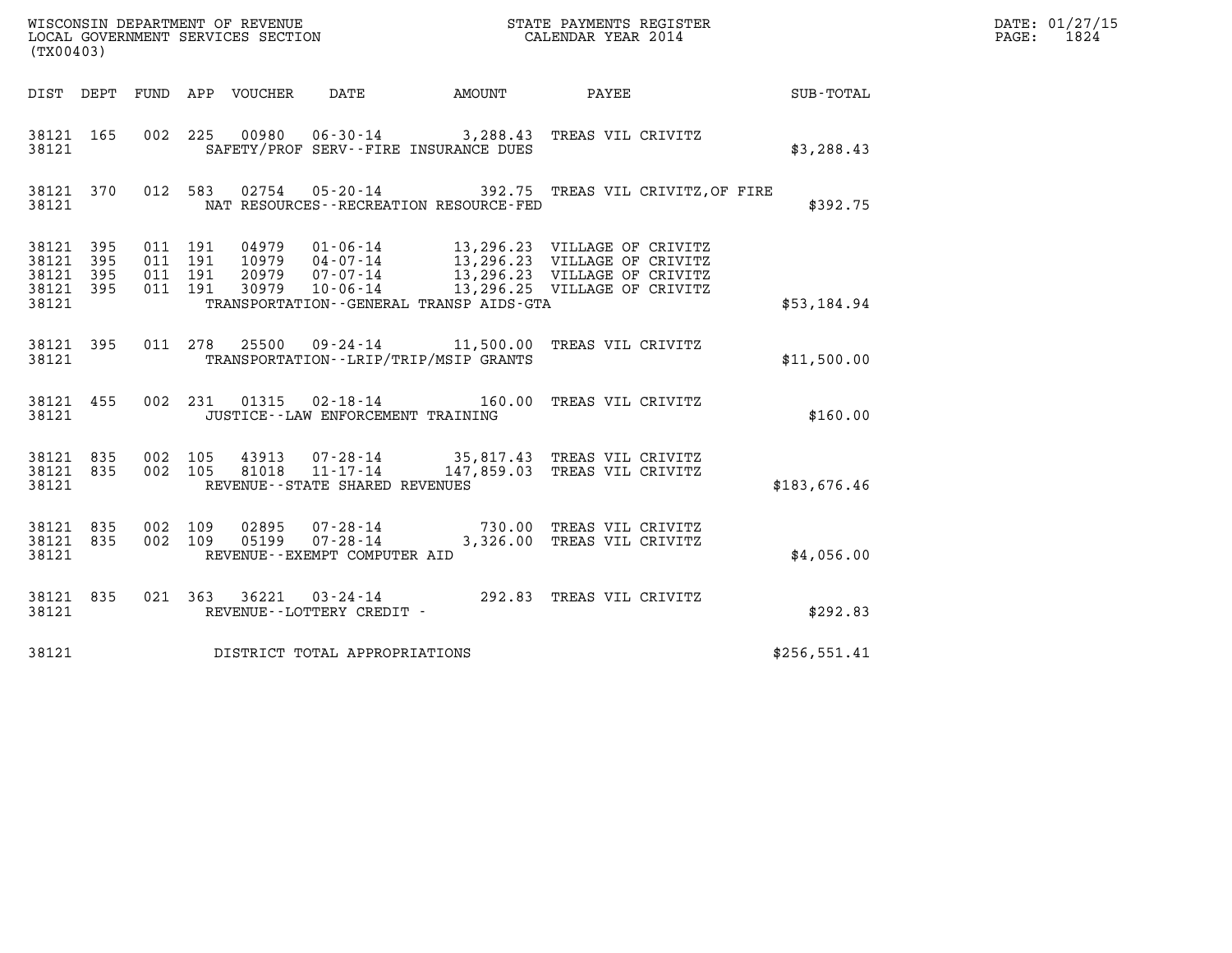| (TX00403)                                             |           |               |                                     |                                                                                                                                                                                                                                                                                                                                                                                          |  |  |  |              | $\mathtt{PAGE:}$ | DATE: 01/27/15<br>1824 |
|-------------------------------------------------------|-----------|---------------|-------------------------------------|------------------------------------------------------------------------------------------------------------------------------------------------------------------------------------------------------------------------------------------------------------------------------------------------------------------------------------------------------------------------------------------|--|--|--|--------------|------------------|------------------------|
|                                                       |           |               |                                     |                                                                                                                                                                                                                                                                                                                                                                                          |  |  |  |              |                  |                        |
| 38121 165<br>38121                                    |           |               |                                     | 002 225 00980 06-30-14 3,288.43 TREAS VIL CRIVITZ<br>SAFETY/PROF SERV--FIRE INSURANCE DUES                                                                                                                                                                                                                                                                                               |  |  |  | \$3,288.43   |                  |                        |
| 38121 370<br>38121                                    |           |               |                                     | 012 583 02754 05-20-14 392.75 TREAS VIL CRIVITZ, OF FIRE<br>NAT RESOURCES - - RECREATION RESOURCE - FED                                                                                                                                                                                                                                                                                  |  |  |  | \$392.75     |                  |                        |
| 38121 395<br>38121<br>38121 395<br>38121 395<br>38121 | - 395     |               |                                     | $\begin{tabular}{cccc} 011 & 191 & 04979 & 01\text{-}06\text{-}14 & 13,296.23 & \text{VILLAGE OF CRIVITZ} \\ 011 & 191 & 10979 & 04\text{-}07\text{-}14 & 13,296.23 & \text{VILLAGE OF CRIVITZ} \\ 011 & 191 & 20979 & 07\text{-}07\text{-}14 & 13,296.23 & \text{VILLAGE OF CRIVITZ} \\ 011 & 191 & 30979 & 10\text{-}06\text{-}14 & 13,2$<br>TRANSPORTATION -- GENERAL TRANSP AIDS-GTA |  |  |  | \$53,184.94  |                  |                        |
|                                                       | 38121 395 | 011 278 25500 |                                     | 09-24-14 11,500.00 TREAS VIL CRIVITZ                                                                                                                                                                                                                                                                                                                                                     |  |  |  |              |                  |                        |
| 38121                                                 |           |               |                                     | TRANSPORTATION - - LRIP/TRIP/MSIP GRANTS                                                                                                                                                                                                                                                                                                                                                 |  |  |  | \$11,500.00  |                  |                        |
| 38121                                                 | 38121 455 |               |                                     | 002 231 01315 02-18-14 160.00 TREAS VIL CRIVITZ<br>JUSTICE--LAW ENFORCEMENT TRAINING                                                                                                                                                                                                                                                                                                     |  |  |  | \$160.00     |                  |                        |
| 38121 835<br>38121 835<br>38121                       |           |               | REVENUE--STATE SHARED REVENUES      | 002 105 43913 07-28-14 35,817.43 TREAS VIL CRIVITZ<br>002 105 81018 11-17-14 147,859.03 TREAS VIL CRIVITZ                                                                                                                                                                                                                                                                                |  |  |  | \$183,676.46 |                  |                        |
| 38121 835<br>38121 835<br>38121                       |           |               | REVENUE--EXEMPT COMPUTER AID        | 002 109 02895 07-28-14 730.00 TREAS VIL CRIVITZ<br>002 109 05199 07-28-14 3,326.00 TREAS VIL CRIVITZ                                                                                                                                                                                                                                                                                     |  |  |  | \$4,056.00   |                  |                        |
| 38121 835<br>38121                                    |           |               | REVENUE--LOTTERY CREDIT -           | 021 363 36221 03-24-14 292.83 TREAS VIL CRIVITZ                                                                                                                                                                                                                                                                                                                                          |  |  |  | \$292.83     |                  |                        |
|                                                       |           |               | 38121 DISTRICT TOTAL APPROPRIATIONS |                                                                                                                                                                                                                                                                                                                                                                                          |  |  |  | \$256,551.41 |                  |                        |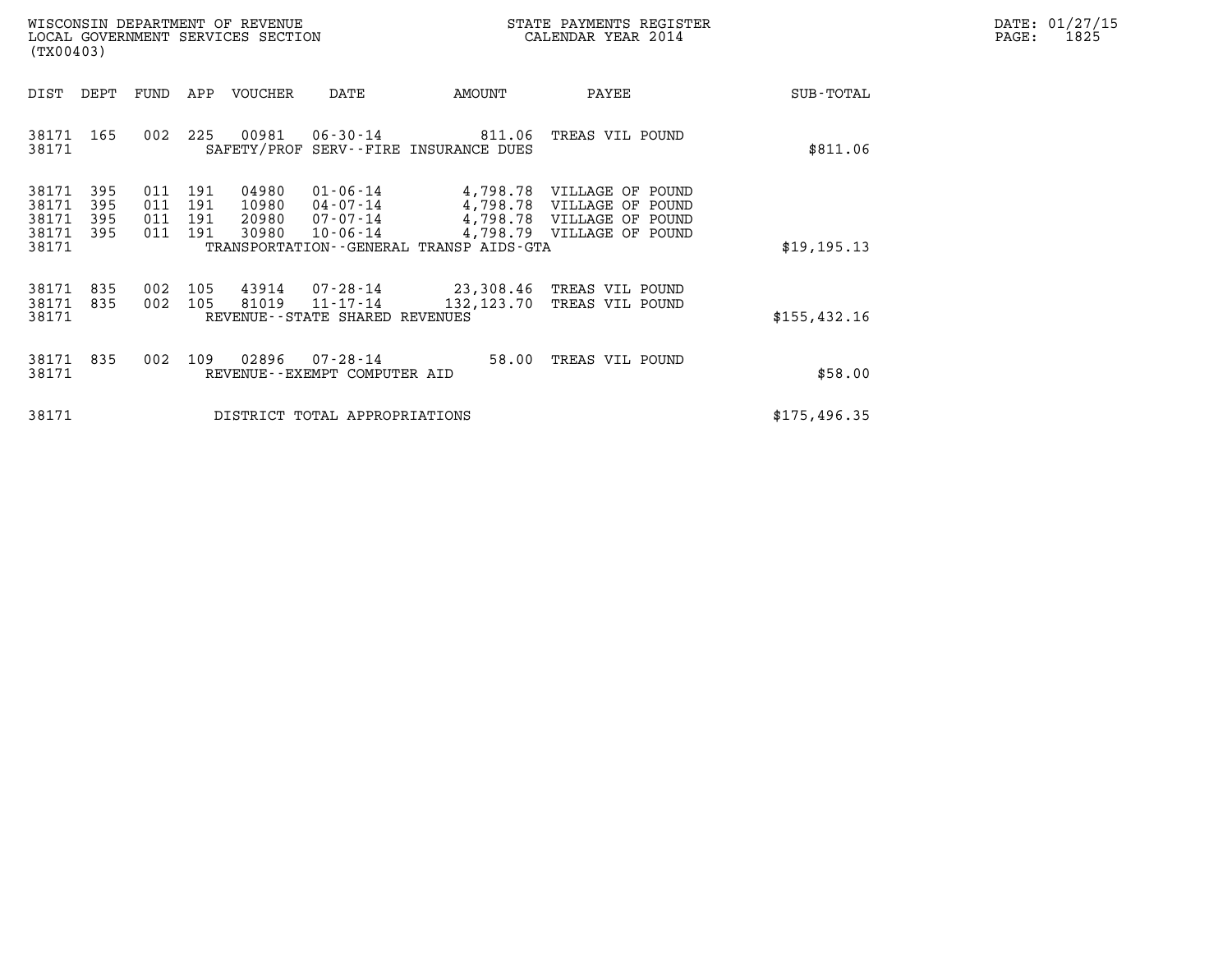| DATE: | 01/27/15 |
|-------|----------|
| PAGE: | 1825     |

|                                           | (TX00403)                |                          |                          | WISCONSIN DEPARTMENT OF REVENUE<br>LOCAL GOVERNMENT SERVICES SECTION |                                                                |                                                          | STATE PAYMENTS REGISTER<br>CALENDAR YEAR 2014                                                                    |              | DATE: 01/27/15<br>PAGE:<br>1825 |
|-------------------------------------------|--------------------------|--------------------------|--------------------------|----------------------------------------------------------------------|----------------------------------------------------------------|----------------------------------------------------------|------------------------------------------------------------------------------------------------------------------|--------------|---------------------------------|
| DIST                                      | DEPT                     | FUND                     | APP                      | VOUCHER                                                              | DATE                                                           | AMOUNT                                                   | PAYEE                                                                                                            | SUB-TOTAL    |                                 |
| 38171                                     | 38171 165                | 002                      | 225                      | 00981                                                                |                                                                | 06-30-14 811.06<br>SAFETY/PROF SERV--FIRE INSURANCE DUES | TREAS VIL POUND                                                                                                  | \$811.06     |                                 |
| 38171<br>38171<br>38171<br>38171<br>38171 | 395<br>395<br>395<br>395 | 011<br>011<br>011<br>011 | 191<br>191<br>191<br>191 | 04980<br>10980<br>20980<br>30980                                     | $01 - 06 - 14$<br>$04 - 07 - 14$<br>07-07-14<br>$10 - 06 - 14$ | TRANSPORTATION--GENERAL TRANSP AIDS-GTA                  | 4,798.78 VILLAGE OF POUND<br>4,798.78 VILLAGE OF POUND<br>4,798.78 VILLAGE OF POUND<br>4,798.79 VILLAGE OF POUND | \$19,195.13  |                                 |
| 38171<br>38171<br>38171                   | 835<br>835               | 002<br>002               | 105<br>105               | 43914<br>81019                                                       | 07-28-14<br>11-17-14<br>REVENUE--STATE SHARED REVENUES         | 132,123.70                                               | 23,308.46 TREAS VIL POUND<br>TREAS VIL POUND                                                                     | \$155,432.16 |                                 |
| 38171<br>38171                            | 835                      | 002                      | 109                      | 02896                                                                | 07-28-14<br>REVENUE--EXEMPT COMPUTER AID                       |                                                          | 58.00 TREAS VIL POUND                                                                                            | \$58.00      |                                 |
| 38171                                     |                          |                          |                          |                                                                      | DISTRICT TOTAL APPROPRIATIONS                                  |                                                          |                                                                                                                  | \$175,496.35 |                                 |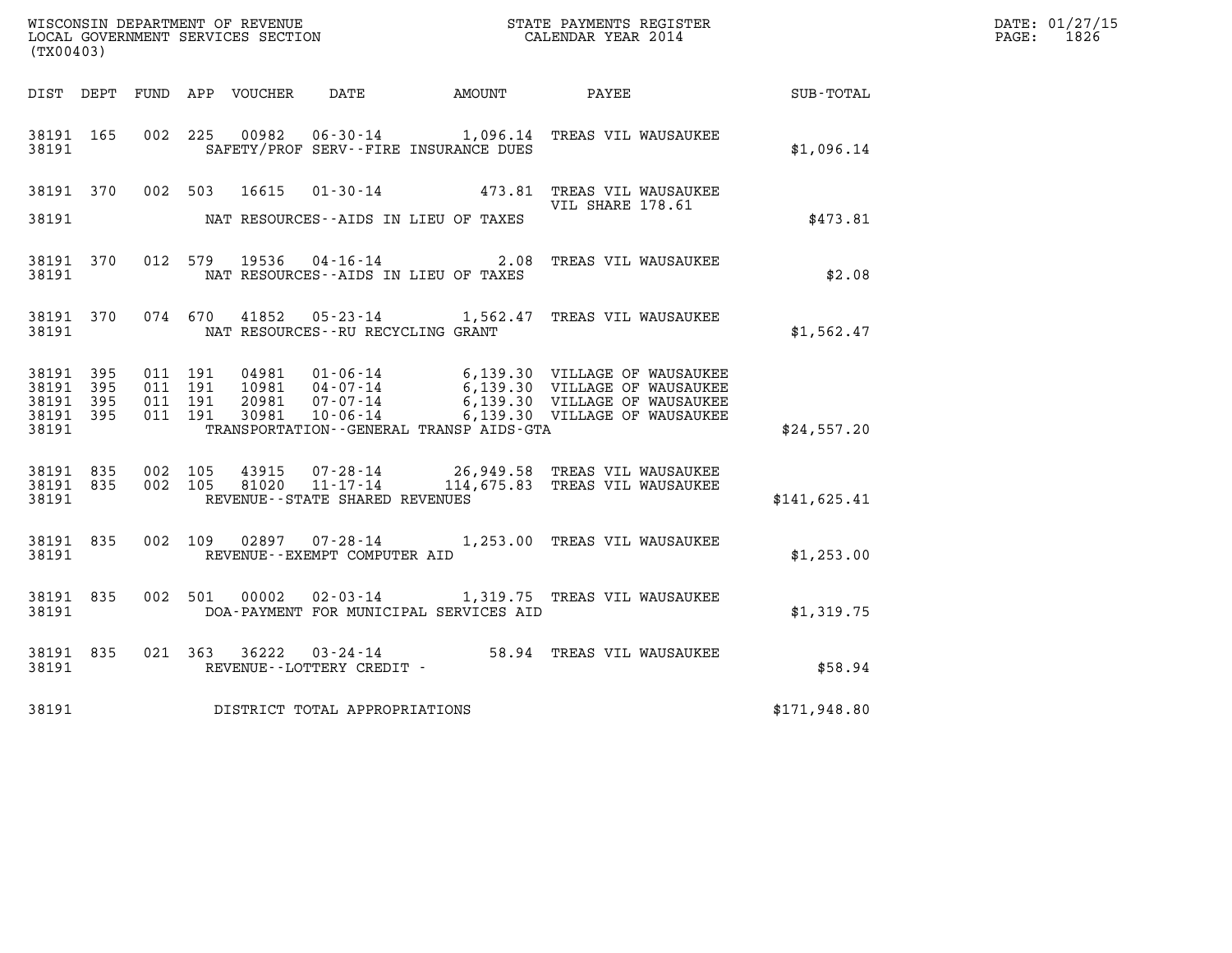|                                                           |           |                                          |  |                                       |                                              | WISCONSIN DEPARTMENT OF REVENUE<br>LOCAL GOVERNMENT SERVICES SECTION<br>CALENDAR YEAR 2014                                        |              | DATE: 01/27/15<br>PAGE: 1826 |
|-----------------------------------------------------------|-----------|------------------------------------------|--|---------------------------------------|----------------------------------------------|-----------------------------------------------------------------------------------------------------------------------------------|--------------|------------------------------|
| (TX00403)                                                 |           |                                          |  |                                       |                                              |                                                                                                                                   |              |                              |
|                                                           |           |                                          |  |                                       |                                              | DIST DEPT FUND APP VOUCHER DATE AMOUNT PAYEE TOTAL                                                                                |              |                              |
| 38191 165<br>38191                                        |           |                                          |  |                                       | SAFETY/PROF SERV--FIRE INSURANCE DUES        | 002 225 00982 06-30-14 1,096.14 TREAS VIL WAUSAUKEE                                                                               | \$1,096.14   |                              |
|                                                           |           |                                          |  |                                       |                                              | 38191 370 002 503 16615 01-30-14 473.81 TREAS VIL WAUSAUKEE                                                                       |              |                              |
| 38191                                                     |           |                                          |  |                                       | NAT RESOURCES--AIDS IN LIEU OF TAXES         | VIL SHARE 178.61                                                                                                                  | \$473.81     |                              |
|                                                           |           |                                          |  |                                       | 38191 NAT RESOURCES--AIDS IN LIEU OF TAXES   | 38191 370 012 579 19536 04-16-14 2.08 TREAS VIL WAUSAUKEE                                                                         | \$2.08       |                              |
|                                                           |           |                                          |  |                                       |                                              | 38191 370 074 670 41852 05-23-14 1,562.47 TREAS VIL WAUSAUKEE                                                                     | \$1,562.47   |                              |
| 38191 395<br>38191 395<br>38191 395<br>38191 395<br>38191 |           | 011 191<br>011 191<br>011 191<br>011 191 |  |                                       | TRANSPORTATION - - GENERAL TRANSP AIDS - GTA |                                                                                                                                   | \$24,557.20  |                              |
| 38191                                                     |           |                                          |  | REVENUE--STATE SHARED REVENUES        |                                              | 38191 835 002 105 43915 07-28-14 26,949.58 TREAS VIL WAUSAUKEE<br>38191 835 002 105 81020 11-17-14 114,675.83 TREAS VIL WAUSAUKEE | \$141,625.41 |                              |
|                                                           |           |                                          |  | 38191 REVENUE - - EXEMPT COMPUTER AID |                                              | 38191 835 002 109 02897 07-28-14 1,253.00 TREAS VIL WAUSAUKEE                                                                     | \$1,253.00   |                              |
| 38191                                                     | 38191 835 |                                          |  |                                       | DOA-PAYMENT FOR MUNICIPAL SERVICES AID       | 002 501 00002 02-03-14 1,319.75 TREAS VIL WAUSAUKEE                                                                               | \$1,319.75   |                              |
| 38191                                                     | 38191 835 |                                          |  | REVENUE--LOTTERY CREDIT -             |                                              | 021 363 36222 03-24-14 58.94 TREAS VIL WAUSAUKEE                                                                                  | \$58.94      |                              |
| 38191                                                     |           |                                          |  | DISTRICT TOTAL APPROPRIATIONS         |                                              |                                                                                                                                   | \$171,948.80 |                              |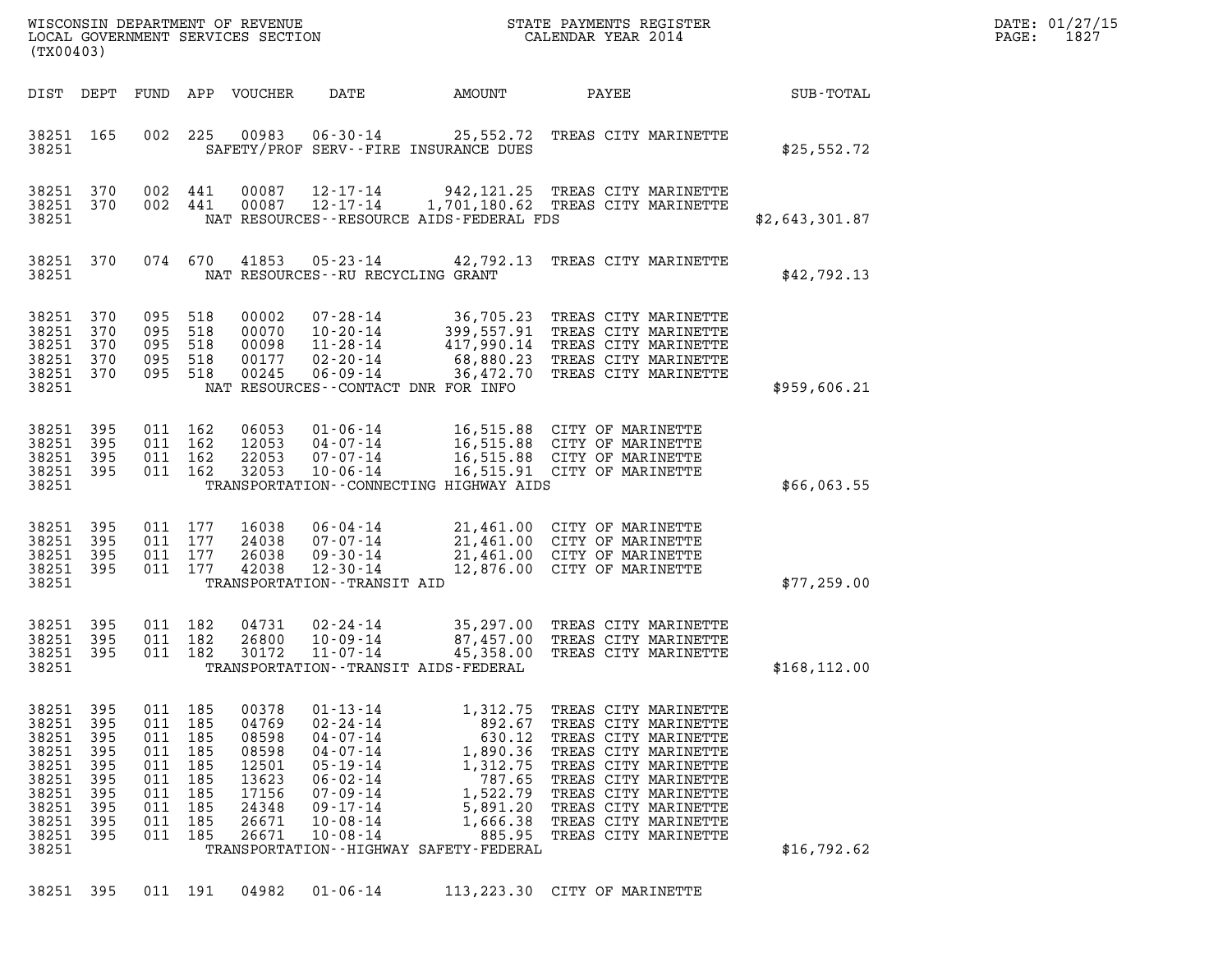| (TX00403)                                                                                       |                                                                    |                                                                        |                                                             | LOCAL GOVERNMENT SERVICES SECTION                                                      | WISCONSIN DEPARTMENT OF REVENUE<br>LOCAL GOVERNMENT SERVICES SECTION                                                                                                             |                                                                                                                                                             | STATE PAYMENTS REGISTER<br>CALENDAR YEAR 2014                                                                                                                                                                                                |                  | DATE: 01/27/15<br>1827<br>PAGE: |
|-------------------------------------------------------------------------------------------------|--------------------------------------------------------------------|------------------------------------------------------------------------|-------------------------------------------------------------|----------------------------------------------------------------------------------------|----------------------------------------------------------------------------------------------------------------------------------------------------------------------------------|-------------------------------------------------------------------------------------------------------------------------------------------------------------|----------------------------------------------------------------------------------------------------------------------------------------------------------------------------------------------------------------------------------------------|------------------|---------------------------------|
| DIST DEPT                                                                                       |                                                                    | FUND                                                                   |                                                             | APP VOUCHER                                                                            | DATE                                                                                                                                                                             | AMOUNT                                                                                                                                                      | PAYEE                                                                                                                                                                                                                                        | <b>SUB-TOTAL</b> |                                 |
| 38251 165<br>38251                                                                              |                                                                    |                                                                        | 002 225                                                     | 00983                                                                                  | $06 - 30 - 14$                                                                                                                                                                   | SAFETY/PROF SERV--FIRE INSURANCE DUES                                                                                                                       | 25,552.72 TREAS CITY MARINETTE                                                                                                                                                                                                               | \$25,552.72      |                                 |
| 38251 370<br>38251 370<br>38251                                                                 |                                                                    | 002 441<br>002 441                                                     |                                                             | 00087<br>00087                                                                         | $12 - 17 - 14$<br>$12 - 17 - 14$                                                                                                                                                 | NAT RESOURCES--RESOURCE AIDS-FEDERAL FDS                                                                                                                    | 942, 121.25 TREAS CITY MARINETTE<br>1,701,180.62 TREAS CITY MARINETTE                                                                                                                                                                        | \$2,643,301.87   |                                 |
| 38251 370<br>38251                                                                              |                                                                    | 074 670                                                                |                                                             | 41853                                                                                  | 05-23-14<br>NAT RESOURCES--RU RECYCLING GRANT                                                                                                                                    | 42,792.13                                                                                                                                                   | TREAS CITY MARINETTE                                                                                                                                                                                                                         | \$42,792.13      |                                 |
| 38251 370<br>38251 370<br>38251<br>38251<br>38251 370<br>38251                                  | 370<br>370                                                         | 095<br>095 518<br>095 518<br>095 518<br>095 518                        | 518                                                         | 00002<br>00070<br>00098<br>00177<br>00245                                              | $07 - 28 - 14$<br>$10 - 20 - 14$<br>$11 - 28 - 14$<br>$02 - 20 - 14$<br>$06 - 09 - 14$<br>NAT RESOURCES - CONTACT DNR FOR INFO                                                   |                                                                                                                                                             | 36,705.23 TREAS CITY MARINETTE<br>399,557.91 TREAS CITY MARINETTE<br>417,990.14 TREAS CITY MARINETTE<br>68,880.23 TREAS CITY MARINETTE<br>36,472.70 TREAS CITY MARINETTE                                                                     | \$959,606.21     |                                 |
| 38251<br>38251 395<br>38251<br>38251 395<br>38251                                               | 395<br>395                                                         | 011 162<br>011 162<br>011 162<br>011 162                               |                                                             | 06053<br>12053<br>22053<br>32053                                                       | $01 - 06 - 14$<br>04-07-14<br>$07 - 07 - 14$<br>$10 - 06 - 14$                                                                                                                   | TRANSPORTATION -- CONNECTING HIGHWAY AIDS                                                                                                                   | 16,515.88 CITY OF MARINETTE<br>16,515.88 CITY OF MARINETTE<br>16,515.88 CITY OF MARINETTE<br>16,515.91 CITY OF MARINETTE                                                                                                                     | \$66,063.55      |                                 |
| 38251 395<br>38251<br>38251<br>38251 395<br>38251                                               | 395<br>395                                                         | 011 177<br>011<br>011 177<br>011 177                                   | 177                                                         | 16038<br>24038<br>26038<br>42038                                                       | 06-04-14<br>$07 - 07 - 14$<br>$09 - 30 - 14$<br>$12 - 30 - 14$<br>TRANSPORTATION - - TRANSIT AID                                                                                 |                                                                                                                                                             | 21,461.00 CITY OF MARINETTE<br>21,461.00 CITY OF MARINETTE<br>21,461.00 CITY OF MARINETTE<br>12,876.00 CITY OF MARINETTE                                                                                                                     | \$77,259.00      |                                 |
| 38251 395<br>38251 395<br>38251 395<br>38251                                                    |                                                                    | 011 182<br>011 182<br>011 182                                          |                                                             | 04731<br>26800<br>30172                                                                | $02 - 24 - 14$<br>$10 - 09 - 14$<br>11-07-14                                                                                                                                     | 45,358.00<br>TRANSPORTATION - - TRANSIT AIDS - FEDERAL                                                                                                      | 35,297.00 TREAS CITY MARINETTE<br>87,457.00 TREAS CITY MARINETTE<br>TREAS CITY MARINETTE                                                                                                                                                     | \$168, 112.00    |                                 |
| 38251<br>38251<br>38251<br>38251<br>38251<br>38251<br>38251<br>38251<br>38251<br>38251<br>38251 | 395<br>395<br>395<br>395<br>395<br>395<br>395<br>395<br>395<br>395 | 011<br>011<br>011<br>011<br>011<br>011<br>011<br>011<br>011<br>011 185 | 185<br>185<br>185<br>185<br>185<br>185<br>185<br>185<br>185 | 00378<br>04769<br>08598<br>08598<br>12501<br>13623<br>17156<br>24348<br>26671<br>26671 | $01 - 13 - 14$<br>$02 - 24 - 14$<br>$04 - 07 - 14$<br>$04 - 07 - 14$<br>$05 - 19 - 14$<br>$06 - 02 - 14$<br>$07 - 09 - 14$<br>$09 - 17 - 14$<br>$10 - 08 - 14$<br>$10 - 08 - 14$ | 1,312.75<br>892.67<br>630.12<br>1,890.36<br>1,312.75<br>787.65<br>1,522.79<br>5,891.20<br>1,666.38<br>885.95<br>TRANSPORTATION - - HIGHWAY SAFETY - FEDERAL | TREAS CITY MARINETTE<br>TREAS CITY MARINETTE<br>TREAS CITY MARINETTE<br>TREAS CITY MARINETTE<br>TREAS CITY MARINETTE<br>TREAS CITY MARINETTE<br>TREAS CITY MARINETTE<br>TREAS CITY MARINETTE<br>TREAS CITY MARINETTE<br>TREAS CITY MARINETTE | \$16,792.62      |                                 |

38251 395 011 191 04982 01-06-14 113,223.30 CITY OF MARINETTE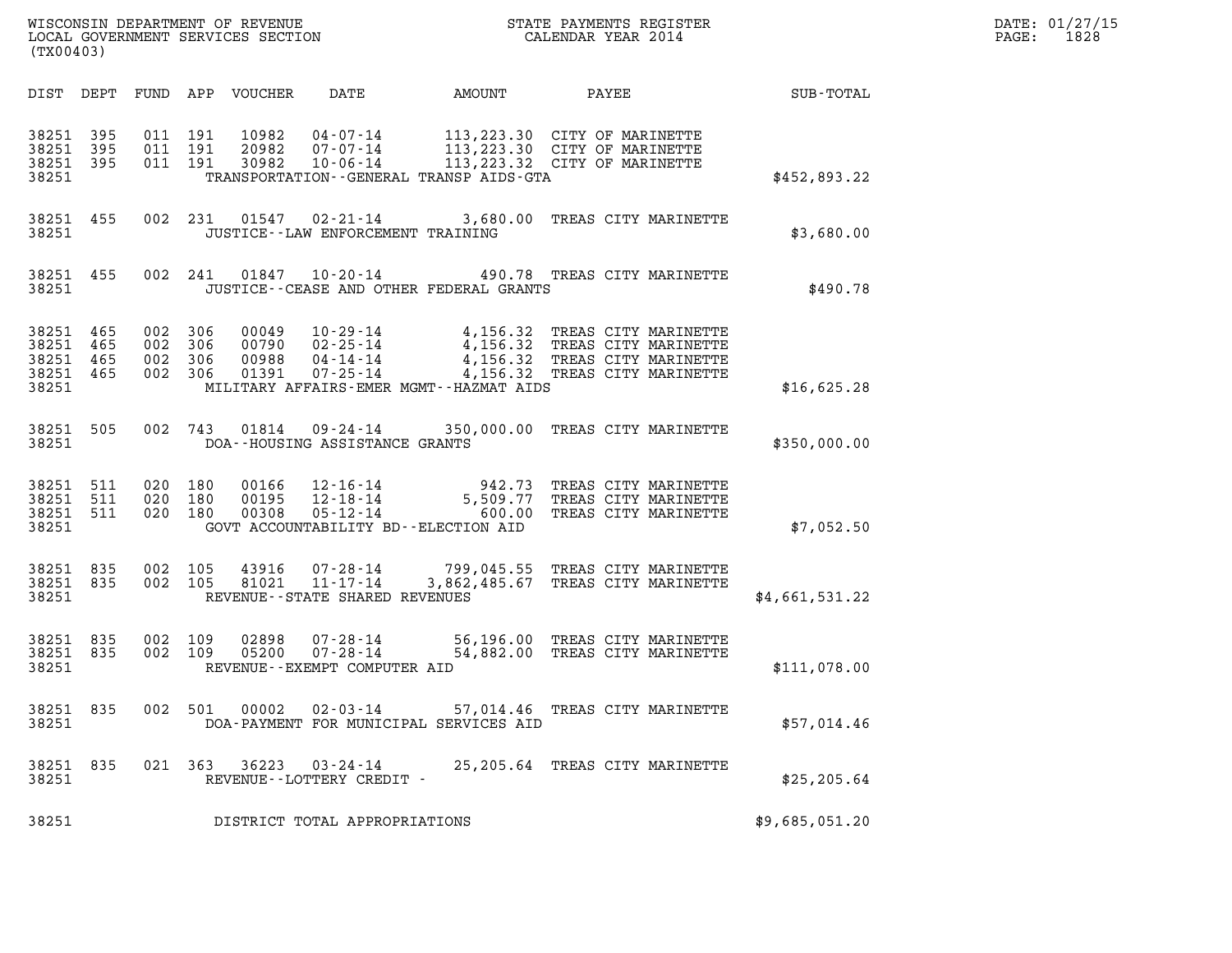| (TX00403)                       |                                     |                                          |         |                            |                                             |                                              |                                                                                                                                                                                                                      |                | DATE: 01/27/15<br>1828<br>$\mathtt{PAGE:}$ |
|---------------------------------|-------------------------------------|------------------------------------------|---------|----------------------------|---------------------------------------------|----------------------------------------------|----------------------------------------------------------------------------------------------------------------------------------------------------------------------------------------------------------------------|----------------|--------------------------------------------|
|                                 |                                     |                                          |         | DIST DEPT FUND APP VOUCHER | DATE                                        | AMOUNT                                       | PAYEE SUB-TOTAL                                                                                                                                                                                                      |                |                                            |
| 38251                           | 38251 395<br>38251 395              | 38251 395 011 191<br>011 191             | 011 191 |                            |                                             | TRANSPORTATION - - GENERAL TRANSP AIDS - GTA | 10982  04-07-14   113,223.30  CITY OF MARINETTE<br>20982  07-07-14   113,223.30  CITY OF MARINETTE<br>30982  10-06-14   113,223.32  CITY OF MARINETTE                                                                | \$452,893.22   |                                            |
| 38251                           | 38251 455                           |                                          |         |                            | JUSTICE - - LAW ENFORCEMENT TRAINING        |                                              | 002 231 01547 02-21-14 3,680.00 TREAS CITY MARINETTE                                                                                                                                                                 | \$3,680.00     |                                            |
| 38251                           |                                     |                                          |         |                            |                                             | JUSTICE -- CEASE AND OTHER FEDERAL GRANTS    | 38251 455 002 241 01847 10-20-14 490.78 TREAS CITY MARINETTE                                                                                                                                                         | \$490.78       |                                            |
| 38251 465<br>38251 465<br>38251 | 38251 465<br>38251 465              | 002 306<br>002 306<br>002 306<br>002 306 |         |                            |                                             | MILITARY AFFAIRS-EMER MGMT--HAZMAT AIDS      | 00049   10-29-14   4,156.32   TREAS CITY MARINETTE<br>00790   02-25-14   4,156.32   TREAS CITY MARINETTE<br>00988   04-14-14   4,156.32   TREAS CITY MARINETTE<br>01391   07-25-14   4,156.32   TREAS CITY MARINETTE | \$16,625.28    |                                            |
|                                 | 38251 505<br>38251                  |                                          |         |                            | DOA--HOUSING ASSISTANCE GRANTS              |                                              | 002 743 01814 09-24-14 350,000.00 TREAS CITY MARINETTE                                                                                                                                                               | \$350,000.00   |                                            |
| 38251                           | 38251 511<br>38251 511<br>38251 511 | 020 180<br>020 180<br>020 180            |         |                            |                                             | GOVT ACCOUNTABILITY BD--ELECTION AID         | 00166  12-16-14  942.73  TREAS CITY MARINETTE<br>00195  12-18-14  5,509.77  TREAS CITY MARINETTE<br>00308  05-12-14  600.00  TREAS CITY MARINETTE                                                                    | \$7,052.50     |                                            |
| 38251 835<br>38251              | 38251 835                           | 002 105                                  | 002 105 |                            | REVENUE--STATE SHARED REVENUES              |                                              | 43916  07-28-14  799,045.55  TREAS CITY MARINETTE<br>81021  11-17-14  3,862,485.67  TREAS CITY MARINETTE                                                                                                             | \$4,661,531.22 |                                            |
| 38251                           | 38251 835                           | 38251 835 002 109<br>002 109             |         |                            | REVENUE--EXEMPT COMPUTER AID                |                                              |                                                                                                                                                                                                                      | \$111,078.00   |                                            |
| 38251                           | 38251 835                           |                                          | 002 501 | 00002                      |                                             | DOA-PAYMENT FOR MUNICIPAL SERVICES AID       | 02-03-14 57,014.46 TREAS CITY MARINETTE                                                                                                                                                                              | \$57,014.46    |                                            |
| 38251 835<br>38251              |                                     |                                          | 021 363 | 36223                      | $03 - 24 - 14$<br>REVENUE--LOTTERY CREDIT - |                                              | 25,205.64 TREAS CITY MARINETTE                                                                                                                                                                                       | \$25, 205.64   |                                            |
| 38251                           |                                     |                                          |         |                            | DISTRICT TOTAL APPROPRIATIONS               |                                              |                                                                                                                                                                                                                      | \$9,685,051.20 |                                            |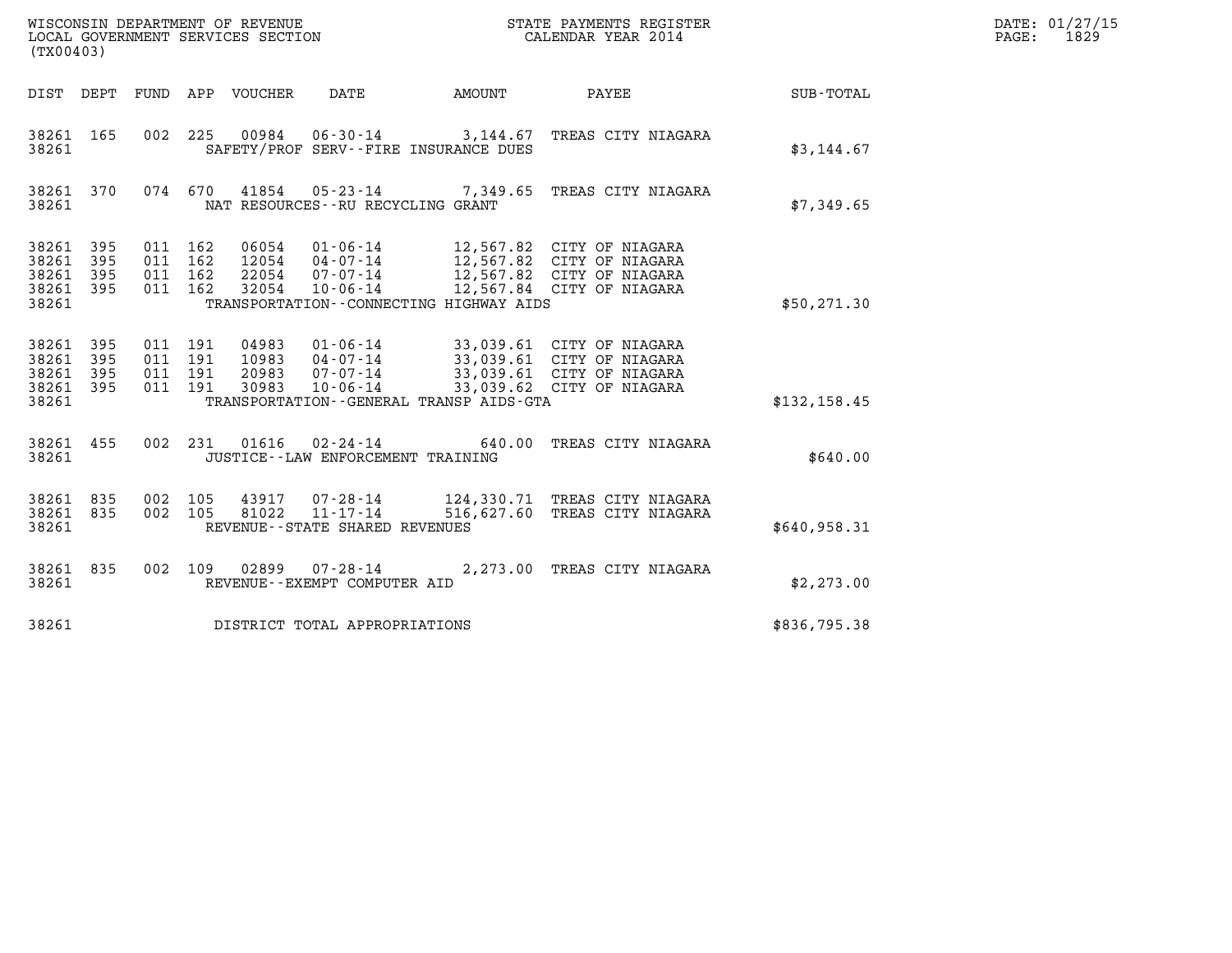| (TX00403)                                 |                          |                               |         | WISCONSIN DEPARTMENT OF REVENUE<br>LOCAL GOVERNMENT SERVICES SECTION |                                                    |                                         | STATE PAYMENTS REGISTER<br>CALENDAR YEAR 2014                                                                                                        |               | DATE: 01/27/15<br>PAGE: 1829 |
|-------------------------------------------|--------------------------|-------------------------------|---------|----------------------------------------------------------------------|----------------------------------------------------|-----------------------------------------|------------------------------------------------------------------------------------------------------------------------------------------------------|---------------|------------------------------|
|                                           |                          |                               |         | DIST DEPT FUND APP VOUCHER                                           | DATE                                               | AMOUNT                                  | PAYEE                                                                                                                                                | SUB-TOTAL     |                              |
| 38261 165<br>38261                        |                          |                               |         |                                                                      |                                                    | SAFETY/PROF SERV--FIRE INSURANCE DUES   | 002 225 00984 06-30-14 3,144.67 TREAS CITY NIAGARA                                                                                                   | \$3,144.67    |                              |
| 38261 370<br>38261                        |                          |                               | 074 670 |                                                                      | NAT RESOURCES--RU RECYCLING GRANT                  |                                         | 41854  05-23-14  7,349.65  TREAS CITY NIAGARA                                                                                                        | \$7,349.65    |                              |
| 38261<br>38261<br>38261<br>38261<br>38261 | 395<br>395<br>395<br>395 | 011 162<br>011 162<br>011 162 | 011 162 | 06054<br>12054<br>22054<br>32054                                     | $04 - 07 - 14$<br>$07 - 07 - 14$<br>$10 - 06 - 14$ | TRANSPORTATION--CONNECTING HIGHWAY AIDS | 01-06-14 12,567.82 CITY OF NIAGARA<br>12,567.82 CITY OF NIAGARA<br>12,567.82 CITY OF NIAGARA<br>12,567.84 CITY OF NIAGARA                            | \$50,271.30   |                              |
| 38261<br>38261<br>38261<br>38261<br>38261 | 395<br>395<br>395<br>395 | 011 191<br>011 191<br>011 191 | 011 191 | 04983<br>10983<br>20983<br>30983                                     |                                                    | TRANSPORTATION--GENERAL TRANSP AIDS-GTA | 01-06-14 33,039.61 CITY OF NIAGARA<br>04-07-14 33,039.61 CITY OF NIAGARA<br>07-07-14 33,039.61 CITY OF NIAGARA<br>10-06-14 33,039.62 CITY OF NIAGARA | \$132, 158.45 |                              |
| 38261 455<br>38261                        |                          | 002                           |         |                                                                      | JUSTICE - - LAW ENFORCEMENT TRAINING               | 231 01616 02-24-14 640.00               | TREAS CITY NIAGARA                                                                                                                                   | \$640.00      |                              |
|                                           |                          |                               |         |                                                                      |                                                    |                                         |                                                                                                                                                      |               |                              |

| 38261                                         |  | \$640.00 |  |  |                                                              |  |                                                                |              |
|-----------------------------------------------|--|----------|--|--|--------------------------------------------------------------|--|----------------------------------------------------------------|--------------|
| 38261 835 002 105 43917<br>38261 835<br>38261 |  | 002 105  |  |  | 07-28-14<br>81022 11-17-14<br>REVENUE--STATE SHARED REVENUES |  | 124,330.71 TREAS CITY NIAGARA<br>516,627.60 TREAS CITY NIAGARA | \$640,958.31 |

| 38261              | REVENUE--STATE SHARED REVENUES |         |  |  |                                                |  |                             | \$640,958.31 |
|--------------------|--------------------------------|---------|--|--|------------------------------------------------|--|-----------------------------|--------------|
| 38261 835<br>38261 |                                | 002 109 |  |  | 02899 07-28-14<br>REVENUE--EXEMPT COMPUTER AID |  | 2,273.00 TREAS CITY NIAGARA | \$2,273.00   |

38261 DISTRICT TOTAL APPROPRIATIONS \$836,795.38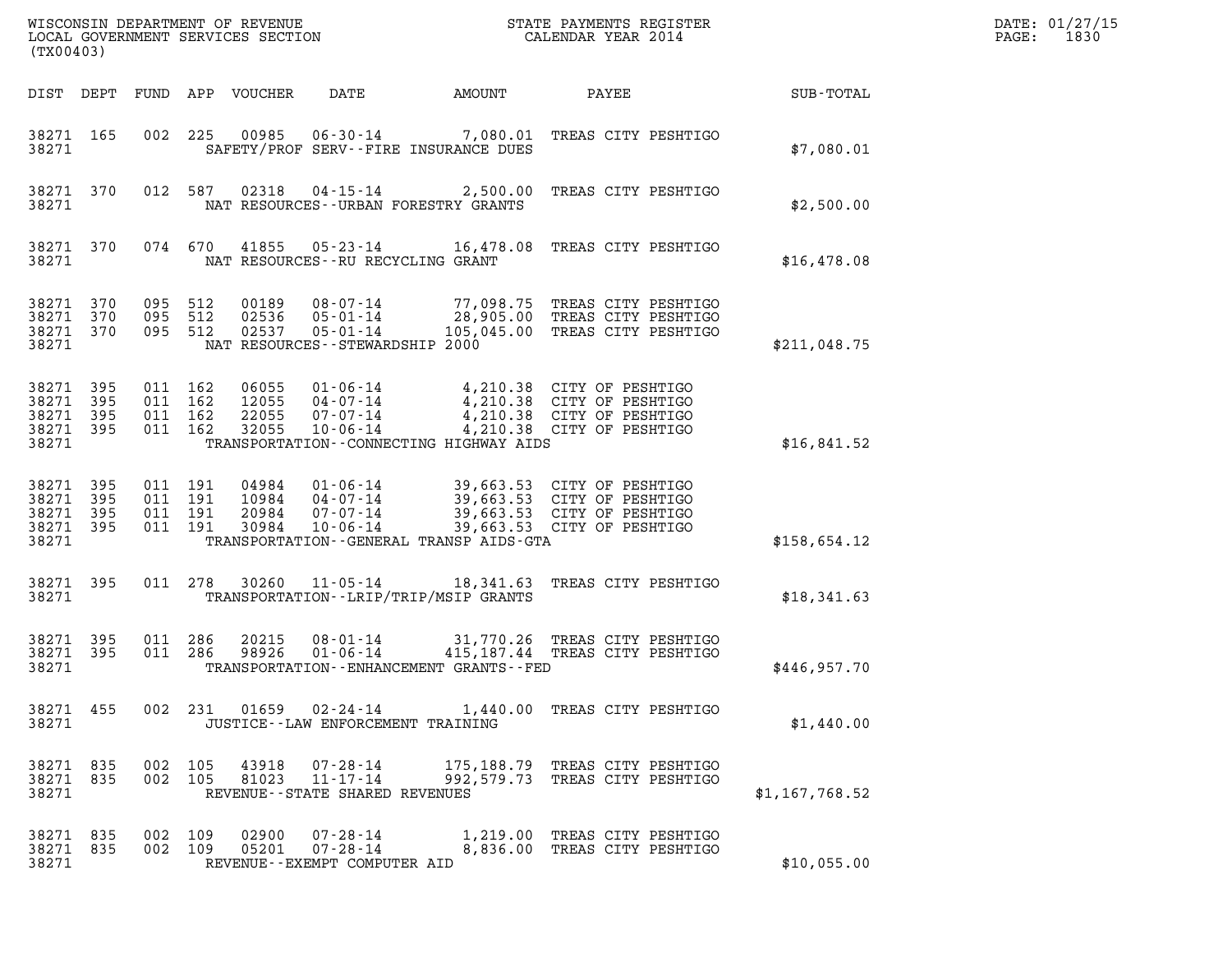| WISCONSIN DEPARTMENT OF REVENUE<br>LOCAL GOVERNMENT SERVICES SECTION<br>(TX00403) | STATE PAYMENTS REGISTER<br>CALENDAR YEAR 2014 | DATE: 01/27/15<br>1830<br>PAGE: |
|-----------------------------------------------------------------------------------|-----------------------------------------------|---------------------------------|

| WISCONSIN DEPARTMENT OF REVENUE<br>LOCAL GOVERNMENT SERVICES SECTION<br>CALENDAR YEAR 2014<br>(TX00403) |                        |                                          |         |                            |                                                                     |                                               |                                                                                                                                                                                              |                | DATE: 01/27/15<br>$\mathtt{PAGE:}$<br>1830 |
|---------------------------------------------------------------------------------------------------------|------------------------|------------------------------------------|---------|----------------------------|---------------------------------------------------------------------|-----------------------------------------------|----------------------------------------------------------------------------------------------------------------------------------------------------------------------------------------------|----------------|--------------------------------------------|
|                                                                                                         |                        |                                          |         | DIST DEPT FUND APP VOUCHER | DATE                                                                | <b>EXAMPLE THE AMOUNT</b>                     | <b>PAYEE</b> FOUND THE PAYEE                                                                                                                                                                 | SUB-TOTAL      |                                            |
| 38271                                                                                                   | 38271 165              | 002 225                                  |         |                            |                                                                     | SAFETY/PROF SERV--FIRE INSURANCE DUES         | 00985  06-30-14  7,080.01  TREAS CITY PESHTIGO                                                                                                                                               | \$7,080.01     |                                            |
| 38271                                                                                                   | 38271 370              |                                          |         |                            |                                                                     | NAT RESOURCES--URBAN FORESTRY GRANTS          | 012 587 02318 04-15-14 2,500.00 TREAS CITY PESHTIGO                                                                                                                                          | \$2,500.00     |                                            |
| 38271                                                                                                   | 38271 370              |                                          |         |                            | NAT RESOURCES -- RU RECYCLING GRANT                                 |                                               | 074 670 41855 05-23-14 16,478.08 TREAS CITY PESHTIGO                                                                                                                                         | \$16,478.08    |                                            |
| 38271                                                                                                   | 38271 370<br>38271 370 | 38271 370 095 512<br>095 512<br>095 512  |         |                            | 02536  05-01-14<br>NAT RESOURCES - - STEWARDSHIP 2000               |                                               |                                                                                                                                                                                              | \$211,048.75   |                                            |
| 38271 395<br>38271 395<br>38271 395<br>38271 395<br>38271                                               |                        | 011 162<br>011 162<br>011 162<br>011 162 |         | 32055                      | $10 - 06 - 14$                                                      | TRANSPORTATION--CONNECTING HIGHWAY AIDS       | 06055  01-06-14  4,210.38  CITY OF PESHTIGO<br>12055  04-07-14  4,210.38  CITY OF PESHTIGO<br>22055  07-07-14  4,210.38  CITY OF PESHTIGO<br>4,210.38 CITY OF PESHTIGO                       | \$16,841.52    |                                            |
| 38271 395<br>38271<br>38271 395<br>38271 395<br>38271                                                   | 395                    | 011 191<br>011 191<br>011 191<br>011 191 |         |                            |                                                                     | TRANSPORTATION - - GENERAL TRANSP AIDS - GTA  | 04984  01-06-14  39,663.53  CITY OF PESHTIGO<br>10984  04-07-14  39,663.53  CITY OF PESHTIGO<br>20984  07-07-14  39,663.53  CITY OF PESHTIGO<br>30984  10-06-14  39,663.53  CITY OF PESHTIGO | \$158,654.12   |                                            |
| 38271                                                                                                   | 38271 395              | 011 278                                  |         |                            |                                                                     | TRANSPORTATION - - LRIP/TRIP/MSIP GRANTS      | 30260  11-05-14  18,341.63  TREAS CITY PESHTIGO                                                                                                                                              | \$18,341.63    |                                            |
| 38271 395<br>38271 395<br>38271                                                                         |                        | 011 286<br>011 286                       |         | 20215<br>98926             | $01 - 06 - 14$                                                      | TRANSPORTATION - - ENHANCEMENT GRANTS - - FED | 08-01-14 31,770.26 TREAS CITY PESHTIGO<br>415,187.44 TREAS CITY PESHTIGO                                                                                                                     | \$446,957.70   |                                            |
| 38271 455<br>38271                                                                                      |                        |                                          | 002 231 | 01659                      | 02-24-14<br>JUSTICE - - LAW ENFORCEMENT TRAINING                    |                                               | 1,440.00 TREAS CITY PESHTIGO                                                                                                                                                                 | \$1,440.00     |                                            |
| 38271 835<br>38271 835<br>38271                                                                         |                        | 002 105<br>002 105                       |         | 43918<br>81023             | 07-28-14<br>$11 - 17 - 14$<br>REVENUE--STATE SHARED REVENUES        | 992,579.73                                    | 175,188.79 TREAS CITY PESHTIGO<br>TREAS CITY PESHTIGO                                                                                                                                        | \$1,167,768.52 |                                            |
| 38271 835<br>38271 835<br>38271                                                                         |                        | 002 109<br>002 109                       |         | 02900<br>05201             | $07 - 28 - 14$<br>$07 - 28 - 14$<br>REVENUE - - EXEMPT COMPUTER AID | 1,219.00                                      | TREAS CITY PESHTIGO<br>8,836.00 TREAS CITY PESHTIGO                                                                                                                                          | \$10,055.00    |                                            |